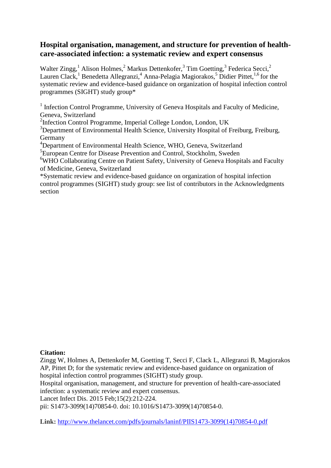# **Hospital organisation, management, and structure for prevention of healthcare-associated infection: a systematic review and expert consensus**

Walter Zingg,<sup>1</sup> Alison Holmes,<sup>2</sup> Markus Dettenkofer,<sup>3</sup> Tim Goetting,<sup>3</sup> Federica Secci,<sup>2</sup> Lauren Clack,<sup>1</sup> Benedetta Allegranzi,<sup>4</sup> Anna-Pelagia Magiorakos,<sup>5</sup> Didier Pittet,<sup>1,6</sup> for the systematic review and evidence-based guidance on organization of hospital infection control programmes (SIGHT) study group\*

<sup>1</sup> Infection Control Programme, University of Geneva Hospitals and Faculty of Medicine, Geneva, Switzerland

<sup>2</sup>Infection Control Programme, Imperial College London, London, UK

<sup>3</sup>Department of Environmental Health Science, University Hospital of Freiburg, Freiburg, Germany

<sup>4</sup>Department of Environmental Health Science, WHO, Geneva, Switzerland

<sup>5</sup>European Centre for Disease Prevention and Control, Stockholm, Sweden

<sup>6</sup>WHO Collaborating Centre on Patient Safety, University of Geneva Hospitals and Faculty of Medicine, Geneva, Switzerland

\*Systematic review and evidence-based guidance on organization of hospital infection control programmes (SIGHT) study group: see list of contributors in the Acknowledgments section

# **Citation:**

Zingg W, Holmes A, Dettenkofer M, Goetting T, Secci F, Clack L, Allegranzi B, Magiorakos AP, Pittet D; for the systematic review and evidence-based guidance on organization of hospital infection control programmes (SIGHT) study group.

Hospital organisation, management, and structure for prevention of health-care-associated infection: a systematic review and expert consensus.

Lancet Infect Dis. 2015 Feb;15(2):212-224.

pii: S1473-3099(14)70854-0. doi: 10.1016/S1473-3099(14)70854-0.

**Link:** [http://www.thelancet.com/pdfs/journals/laninf/PIIS1473-3099\(14\)70854-0.pdf](http://www.thelancet.com/pdfs/journals/laninf/PIIS1473-3099(14)70854-0.pdf)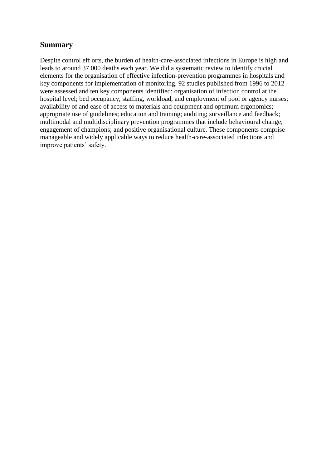# **Summary**

Despite control eff orts, the burden of health-care-associated infections in Europe is high and leads to around 37 000 deaths each year. We did a systematic review to identify crucial elements for the organisation of effective infection-prevention programmes in hospitals and key components for implementation of monitoring. 92 studies published from 1996 to 2012 were assessed and ten key components identified: organisation of infection control at the hospital level; bed occupancy, staffing, workload, and employment of pool or agency nurses; availability of and ease of access to materials and equipment and optimum ergonomics; appropriate use of guidelines; education and training; auditing; surveillance and feedback; multimodal and multidisciplinary prevention programmes that include behavioural change; engagement of champions; and positive organisational culture. These components comprise manageable and widely applicable ways to reduce health-care-associated infections and improve patients' safety.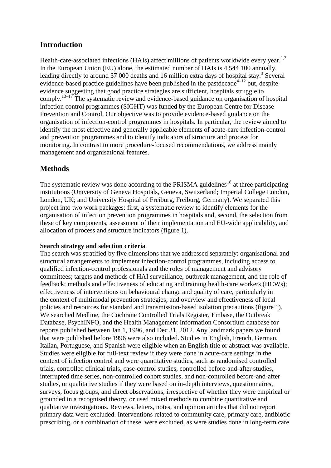# **Introduction**

Health-care-associated infections (HAIs) affect millions of patients worldwide every year.<sup>1,2</sup> In the European Union (EU) alone, the estimated number of HAIs is 4 544 100 annually, leading directly to around 37 000 deaths and 16 million extra days of hospital stay.<sup>3</sup> Several evidence-based practice guidelines have been published in the pastdecade<sup>4–12</sup> but, despite evidence suggesting that good practice strategies are sufficient, hospitals struggle to comply.<sup>13–17</sup> The systematic review and evidence-based guidance on organisation of hospital infection control programmes (SIGHT) was funded by the European Centre for Disease Prevention and Control. Our objective was to provide evidence-based guidance on the organisation of infection-control programmes in hospitals. In particular, the review aimed to identify the most effective and generally applicable elements of acute-care infection-control and prevention programmes and to identify indicators of structure and process for monitoring. In contrast to more procedure-focused recommendations, we address mainly management and organisational features.

# **Methods**

The systematic review was done according to the PRISMA guidelines<sup>18</sup> at three participating institutions (University of Geneva Hospitals, Geneva, Switzerland; Imperial College London, London, UK; and University Hospital of Freiburg, Freiburg, Germany). We separated this project into two work packages: first, a systematic review to identify elements for the organisation of infection prevention programmes in hospitals and, second, the selection from these of key components, assessment of their implementation and EU-wide applicability, and allocation of process and structure indicators (figure 1).

# **Search strategy and selection criteria**

The search was stratified by five dimensions that we addressed separately: organisational and structural arrangements to implement infection-control programmes, including access to qualified infection-control professionals and the roles of management and advisory committees; targets and methods of HAI surveillance, outbreak management, and the role of feedback; methods and effectiveness of educating and training health-care workers (HCWs); effectiveness of interventions on behavioural change and quality of care, particularly in the context of multimodal prevention strategies; and overview and effectiveness of local policies and resources for standard and transmission-based isolation precautions (figure 1). We searched Medline, the Cochrane Controlled Trials Register, Embase, the Outbreak Database, PsychINFO, and the Health Management Information Consortium database for reports published between Jan 1, 1996, and Dec 31, 2012. Any landmark papers we found that were published before 1996 were also included. Studies in English, French, German, Italian, Portuguese, and Spanish were eligible when an English title or abstract was available. Studies were eligible for full-text review if they were done in acute-care settings in the context of infection control and were quantitative studies, such as randomised controlled trials, controlled clinical trials, case-control studies, controlled before-and-after studies, interrupted time series, non-controlled cohort studies, and non-controlled before-and-after studies, or qualitative studies if they were based on in-depth interviews, questionnaires, surveys, focus groups, and direct observations, irrespective of whether they were empirical or grounded in a recognised theory, or used mixed methods to combine quantitative and qualitative investigations. Reviews, letters, notes, and opinion articles that did not report primary data were excluded. Interventions related to community care, primary care, antibiotic prescribing, or a combination of these, were excluded, as were studies done in long-term care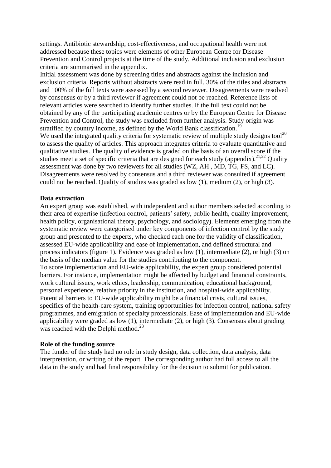settings. Antibiotic stewardship, cost-effectiveness, and occupational health were not addressed because these topics were elements of other European Centre for Disease Prevention and Control projects at the time of the study. Additional inclusion and exclusion criteria are summarised in the appendix.

Initial assessment was done by screening titles and abstracts against the inclusion and exclusion criteria. Reports without abstracts were read in full. 30% of the titles and abstracts and 100% of the full texts were assessed by a second reviewer. Disagreements were resolved by consensus or by a third reviewer if agreement could not be reached. Reference lists of relevant articles were searched to identify further studies. If the full text could not be obtained by any of the participating academic centres or by the European Centre for Disease Prevention and Control, the study was excluded from further analysis. Study origin was stratified by country income, as defined by the World Bank classification.<sup>19</sup> We used the integrated quality criteria for systematic review of multiple study designs tool<sup>20</sup> to assess the quality of articles. This approach integrates criteria to evaluate quantitative and qualitative studies. The quality of evidence is graded on the basis of an overall score if the studies meet a set of specific criteria that are designed for each study (appendix).<sup>21,22</sup> Quality assessment was done by two reviewers for all studies (WZ, AH , MD, TG, FS, and LC). Disagreements were resolved by consensus and a third reviewer was consulted if agreement could not be reached. Quality of studies was graded as low (1), medium (2), or high (3).

### **Data extraction**

An expert group was established, with independent and author members selected according to their area of expertise (infection control, patients' safety, public health, quality improvement, health policy, organisational theory, psychology, and sociology). Elements emerging from the systematic review were categorised under key components of infection control by the study group and presented to the experts, who checked each one for the validity of classification, assessed EU-wide applicability and ease of implementation, and defined structural and process indicators (figure 1). Evidence was graded as low (1), intermediate (2), or high (3) on the basis of the median value for the studies contributing to the component. To score implementation and EU-wide applicability, the expert group considered potential barriers. For instance, implementation might be affected by budget and financial constraints, work cultural issues, work ethics, leadership, communication, educational background, personal experience, relative priority in the institution, and hospital-wide applicability. Potential barriers to EU-wide applicability might be a financial crisis, cultural issues, specifics of the health-care system, training opportunities for infection control, national safety programmes, and emigration of specialty professionals. Ease of implementation and EU-wide applicability were graded as low (1), intermediate (2), or high (3). Consensus about grading was reached with the Delphi method. $^{23}$ 

### **Role of the funding source**

The funder of the study had no role in study design, data collection, data analysis, data interpretation, or writing of the report. The corresponding author had full access to all the data in the study and had final responsibility for the decision to submit for publication.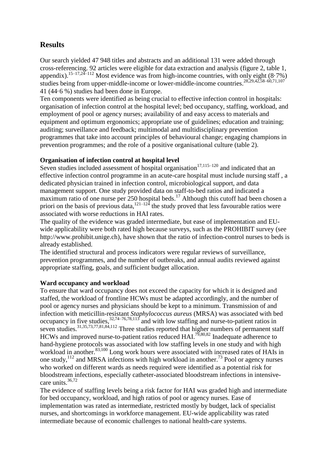# **Results**

Our search yielded 47 948 titles and abstracts and an additional 131 were added through cross-referencing. 92 articles were eligible for data extraction and analysis (figure 2, table 1, appendix).<sup>15–17,24–112</sup> Most evidence was from high-income countries, with only eight  $(8.7%)$ studies being from upper-middle-income or lower-middle-income countries.<sup>28,29,42,58–60,71,107</sup> 41 (44·6 %) studies had been done in Europe.

Ten components were identified as being crucial to effective infection control in hospitals: organisation of infection control at the hospital level; bed occupancy, staffing, workload, and employment of pool or agency nurses; availability of and easy access to materials and equipment and optimum ergonomics; appropriate use of guidelines; education and training; auditing; surveillance and feedback; multimodal and multidisciplinary prevention programmes that take into account principles of behavioural change; engaging champions in prevention programmes; and the role of a positive organisational culture (table 2).

# **Organisation of infection control at hospital level**

Seven studies included assessment of hospital organisation<sup>17,115–120</sup> and indicated that an effective infection control programme in an acute-care hospital must include nursing staff , a dedicated physician trained in infection control, microbiological support, and data management support. One study provided data on staff-to-bed ratios and indicated a maximum ratio of one nurse per  $250$  hospital beds.<sup>17</sup> Although this cutoff had been chosen a priori on the basis of previous data,  $121-124$  the study proved that less favourable ratios were associated with worse reductions in HAI rates.

The quality of the evidence was graded intermediate, but ease of implementation and EUwide applicability were both rated high because surveys, such as the PROHIBIT survey (see http://www.prohibit.unige.ch), have shown that the ratio of infection-control nurses to beds is already established.

The identified structural and process indicators were regular reviews of surveillance, prevention programmes, and the number of outbreaks, and annual audits reviewed against appropriate staffing, goals, and sufficient budget allocation.

# **Ward occupancy and workload**

To ensure that ward occupancy does not exceed the capacity for which it is designed and staffed, the workload of frontline HCWs must be adapted accordingly, and the number of pool or agency nurses and physicians should be kept to a minimum. Transmission of and infection with meticillin-resistant *Staphylococcus aureus* (MRSA) was associated with bed occupancy in five studies,  $32,74-76,78,113$  and with low staffing and nurse-to-patient ratios in seven studies.<sup>31,35,73,77,81,84,112</sup> Three studies reported that higher numbers of permanent staff HCWs and improved nurse-to-patient ratios reduced  $HAI^{75,80,82}$  Inadequate adherence to hand-hygiene protocols was associated with low staffing levels in one study and with high workload in another.<sup>83,100</sup> Long work hours were associated with increased rates of HAIs in one study,  $^{112}$  and MRSA infections with high workload in another.<sup>73</sup> Pool or agency nurses who worked on different wards as needs required were identified as a potential risk for bloodstream infections, especially catheter-associated bloodstream infections in intensivecare units.36,72

The evidence of staffing levels being a risk factor for HAI was graded high and intermediate for bed occupancy, workload, and high ratios of pool or agency nurses. Ease of implementation was rated as intermediate, restricted mostly by budget, lack of specialist nurses, and shortcomings in workforce management. EU-wide applicability was rated intermediate because of economic challenges to national health-care systems.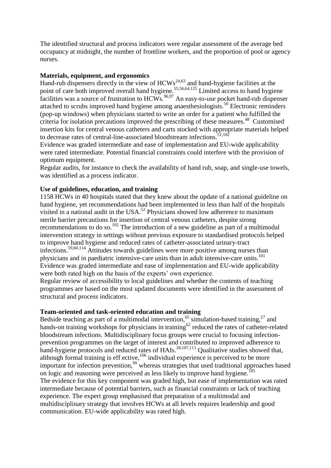The identified structural and process indicators were regular assessment of the average bed occupancy at midnight, the number of frontline workers, and the proportion of pool or agency nurses.

# **Materials, equipment, and ergonomics**

Hand-rub dispensers directly in the view of  $HCWs^{24,63}$  and hand-hygiene facilities at the point of care both improved overall hand hygiene.<sup>55,56,64,125</sup> Limited access to hand hygiene facilities was a source of frustration to HCWs.<sup>96,97</sup> An easy-to-use pocket hand-rub dispenser attached to scrubs improved hand hygiene among anaesthesiologists.<sup>50</sup> Electronic reminders (pop-up windows) when physicians started to write an order for a patient who fulfilled the criteria for isolation precautions improved the prescribing of these measures.<sup>48</sup> Customised insertion kits for central venous catheters and carts stocked with appropriate materials helped to decrease rates of central-line-associated bloodstream infections. $51,102$ 

Evidence was graded intermediate and ease of implementation and EU-wide applicability were rated intermediate. Potential financial constraints could interfere with the provision of optimum equipment.

Regular audits, for instance to check the availability of hand rub, soap, and single-use towels, was identified as a process indicator.

# **Use of guidelines, education, and training**

1158 HCWs in 40 hospitals stated that they knew about the update of a national guideline on hand hygiene, yet recommendations had been implemented in less than half of the hospitals visited in a national audit in the USA.<sup>52</sup> Physicians showed low adherence to maximum sterile barrier precautions for insertion of central venous catheters, despite strong recommendations to do so.<sup>102</sup> The introduction of a new guideline as part of a multimodal intervention strategy in settings without previous exposure to standardised protocols helped to improve hand hygiene and reduced rates of catheter-associated urinary-tract infections.59,60,114 Attitudes towards guidelines were more positive among nurses than physicians and in paediatric intensive-care units than in adult intensive-care units.<sup>101</sup> Evidence was graded intermediate and ease of implementation and EU-wide applicability were both rated high on the basis of the experts' own experience.

Regular review of accessibility to local guidelines and whether the contents of teaching programmes are based on the most updated documents were identified in the assessment of structural and process indicators.

# **Team-oriented and task-oriented education and training**

Bedside teaching as part of a multimodal intervention,<sup>65</sup> simulation-based training,<sup>27</sup> and hands-on training workshops for physicians in training<sup>62</sup> reduced the rates of catheter-related bloodstream infections. Multidisciplinary focus groups were crucial to focusing infectionprevention programmes on the target of interest and contributed to improved adherence to hand-hygiene protocols and reduced rates of HAIs.<sup>28,107,111</sup> Qualitative studies showed that, although formal training is eff ective,  $106$  individual experience is perceived to be more important for infection prevention,<sup>99</sup> whereas strategies that used traditional approaches based on logic and reasoning were perceived as less likely to improve hand hygiene.<sup>1</sup> The evidence for this key component was graded high, but ease of implementation was rated intermediate because of potential barriers, such as financial constraints or lack of teaching experience. The expert group emphasised that preparation of a multimodal and multidisciplinary strategy that involves HCWs at all levels requires leadership and good communication. EU-wide applicability was rated high.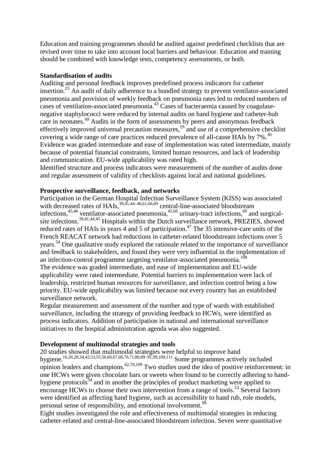Education and training programmes should be audited against predefined checklists that are revised over time to take into account local barriers and behaviour. Education and training should be combined with knowledge tests, competency assessments, or both.

# **Standardisation of audits**

Auditing and personal feedback improves predefined process indicators for catheter insertion.<sup>25</sup> An audit of daily adherence to a bundled strategy to prevent ventilator-associated pneumonia and provision of weekly feedback on pneumonia rates led to reduced numbers of cases of ventilation-associated pneumonia.<sup>43</sup> Cases of bacteraemia caused by coagulasenegative staphylococci were reduced by internal audits on hand hygiene and catheter-hub care in neonates.<sup>49</sup> Audits in the form of assessments by peers and anonymous feedback effectively improved universal precaution measures,<sup>29</sup> and use of a comprehensive checklist covering a wide range of care practices reduced prevalence of all-cause HAIs by 7%.<sup>30</sup> Evidence was graded intermediate and ease of implementation was rated intermediate, mainly because of potential financial constraints, limited human resources, and lack of leadership and communication. EU-wide applicability was rated high.

Identified structure and process indicators were measurement of the number of audits done and regular assessment of validity of checklists against local and national guidelines.

# **Prospective surveillance, feedback, and networks**

Participation in the German Hospital Infection Surveillance System (KISS) was associated with decreased rates of  $HAIs$ ,  $^{39,41,44-46,61,66,69}$  central-line-associated bloodstream infections,  $45,46$  ventilator-associated pneumonia,  $45,66$  urinary-tract infections,  $69$  and surgicalsite infections.<sup>39,41,44,45</sup> Hospitals within the Dutch surveillance network, PREZIES, showed reduced rates of HAIs in years 4 and 5 of participation.<sup>47</sup> The 35 intensive-care units of the French REACAT network had reductions in catheter-related bloodstream infections over 5 years.<sup>54</sup> One qualitative study explored the rationale related to the importance of surveillance and feedback to stakeholders, and found they were very influential in the implementation of an infection-control programme targeting ventilator-associated pneumonia.<sup>108</sup> The evidence was graded intermediate, and ease of implementation and EU-wide applicability were rated intermediate. Potential barriers to implementation were lack of

leadership, restricted human resources for surveillance, and infection control being a low priority. EU-wide applicability was limited because not every country has an established surveillance network.

Regular measurement and assessment of the number and type of wards with established surveillance, including the strategy of providing feedback to HCWs, were identified as process indicators. Addition of participation in national and international surveillance initiatives to the hospital administration agenda was also suggested.

# **Development of multimodal strategies and tools**

20 studies showed that multimodal strategies were helpful to improve hand hygiene.16,26,28,34,42,53,55,56,60,67,68,70,71,86,89–91,99,109,111 Some programmes actively included opinion leaders and champions.<sup>42,70,109</sup> Two studies used the idea of positive reinforcement: in one HCWs were given chocolate bars or sweets when found to be correctly adhering to handhygiene protocols $34$  and in another the principles of product marketing were applied to encourage HCWs to choose their own intervention from a range of tools.<sup>53</sup> Several factors were identified as affecting hand hygiene, such as accessibility to hand rub, role models, personal sense of responsibility, and emotional involvement.<sup>99</sup>

Eight studies investigated the role and effectiveness of multimodal strategies in reducing catheter-related and central-line-associated bloodstream infection. Seven were quantitative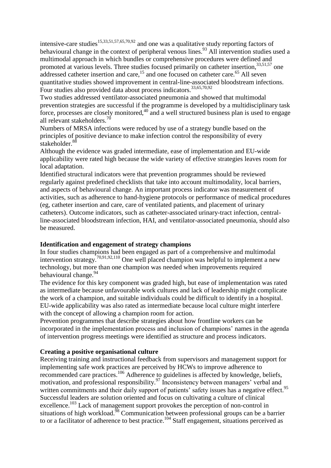intensive-care studies<sup>15,33,51,57,65,70,92</sup> and one was a qualitative study reporting factors of behavioural change in the context of peripheral venous lines.<sup>93</sup> All intervention studies used a multimodal approach in which bundles or comprehensive procedures were defined and promoted at various levels. Three studies focused primarily on catheter insertion, 33,51,57 one addressed catheter insertion and care,<sup>15</sup> and one focused on catheter care.<sup>65</sup> All seven quantitative studies showed improvement in central-line-associated bloodstream infections. Four studies also provided data about process indicators.<sup>33,65,70,92</sup>

Two studies addressed ventilator-associated pneumonia and showed that multimodal prevention strategies are successful if the programme is developed by a multidisciplinary task force, processes are closely monitored,  $40$  and a well structured business plan is used to engage all relevant stakeholders.<sup>70</sup>

Numbers of MRSA infections were reduced by use of a strategy bundle based on the principles of positive deviance to make infection control the responsibility of every stakeholder. $88$ 

Although the evidence was graded intermediate, ease of implementation and EU-wide applicability were rated high because the wide variety of effective strategies leaves room for local adaptation.

Identified structural indicators were that prevention programmes should be reviewed regularly against predefined checklists that take into account multimodality, local barriers, and aspects of behavioural change. An important process indicator was measurement of activities, such as adherence to hand-hygiene protocols or performance of medical procedures (eg, catheter insertion and care, care of ventilated patients, and placement of urinary catheters). Outcome indicators, such as catheter-associated urinary-tract infection, centralline-associated bloodstream infection, HAI, and ventilator-associated pneumonia, should also be measured.

# **Identification and engagement of strategy champions**

In four studies champions had been engaged as part of a comprehensive and multimodal intervention strategy.<sup>70,91,92,110</sup> One well placed champion was helpful to implement a new technology, but more than one champion was needed when improvements required behavioural change.<sup>94</sup>

The evidence for this key component was graded high, but ease of implementation was rated as intermediate because unfavourable work cultures and lack of leadership might complicate the work of a champion, and suitable individuals could be difficult to identify in a hospital. EU-wide applicability was also rated as intermediate because local culture might interfere with the concept of allowing a champion room for action.

Prevention programmes that describe strategies about how frontline workers can be incorporated in the implementation process and inclusion of champions' names in the agenda of intervention progress meetings were identified as structure and process indicators.

# **Creating a positive organisational culture**

Receiving training and instructional feedback from supervisors and management support for implementing safe work practices are perceived by HCWs to improve adherence to recommended care practices.<sup>106</sup> Adherence to guidelines is affected by knowledge, beliefs, motivation, and professional responsibility.<sup>97</sup> Inconsistency between managers' verbal and written commitments and their daily support of patients' safety issues has a negative effect.<sup>95</sup> Successful leaders are solution oriented and focus on cultivating a culture of clinical excellence.<sup>103</sup> Lack of management support provokes the perception of non-control in situations of high workload.<sup>98</sup> Communication between professional groups can be a barrier to or a facilitator of adherence to best practice.<sup>104</sup> Staff engagement, situations perceived as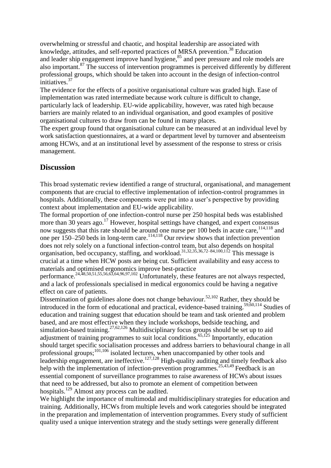overwhelming or stressful and chaotic, and hospital leadership are associated with knowledge, attitudes, and self-reported practices of MRSA prevention.<sup>38</sup> Education and leader ship engagement improve hand hygiene, $85$  and peer pressure and role models are also important.<sup>87</sup> The success of intervention programmes is perceived differently by different professional groups, which should be taken into account in the design of infection-control initiatives.<sup>37</sup>

The evidence for the effects of a positive organisational culture was graded high. Ease of implementation was rated intermediate because work culture is difficult to change, particularly lack of leadership. EU-wide applicability, however, was rated high because barriers are mainly related to an individual organisation, and good examples of positive organisational cultures to draw from can be found in many places.

The expert group found that organisational culture can be measured at an individual level by work satisfaction questionnaires, at a ward or department level by turnover and absenteeism among HCWs, and at an institutional level by assessment of the response to stress or crisis management.

# **Discussion**

This broad systematic review identified a range of structural, organisational, and management components that are crucial to effective implementation of infection-control programmes in hospitals. Additionally, these components were put into a user's perspective by providing context about implementation and EU-wide applicability.

The formal proportion of one infection-control nurse per 250 hospital beds was established more than  $30$  years ago.<sup>17</sup> However, hospital settings have changed, and expert consensus now suggests that this rate should be around one nurse per 100 beds in acute care,  $14,118$  and one per 150–250 beds in long-term care.<sup>114,118</sup> Our review shows that infection prevention does not rely solely on a functional infection-control team, but also depends on hospital organisation, bed occupancy, staffing, and workload.<sup>31,32,35,36,72-84,100,112</sup> This message is crucial at a time when HCW posts are being cut. Sufficient availability and easy access to materials and optimised ergonomics improve best-practice

performance.<sup>24,48,50,51,55,56,63,64,96,97,102</sup> Unfortunately, these features are not always respected, and a lack of professionals specialised in medical ergonomics could be having a negative effect on care of patients.

Dissemination of guidelines alone does not change behaviour.<sup>52,102</sup> Rather, they should be introduced in the form of educational and practical, evidence-based training.59,60,114 Studies of education and training suggest that education should be team and task oriented and problem based, and are most effective when they include workshops, bedside teaching, and simulation-based training.<sup>27,62,126</sup> Multidisciplinary focus groups should be set up to aid adjustment of training programmes to suit local conditions.<sup>65,125</sup> Importantly, education should target specific socialisation processes and address barriers to behavioural change in all professional groups;<sup>101,106</sup> isolated lectures, when unaccompanied by other tools and leadership engagement, are ineffective.<sup>127,128</sup> High-quality auditing and timely feedback also help with the implementation of infection-prevention programmes.<sup>25,43,49</sup> Feedback is an essential component of surveillance programmes to raise awareness of HCWs about issues that need to be addressed, but also to promote an element of competition between hospitals.<sup>129</sup> Almost any process can be audited.

We highlight the importance of multimodal and multidisciplinary strategies for education and training. Additionally, HCWs from multiple levels and work categories should be integrated in the preparation and implementation of intervention programmes. Every study of sufficient quality used a unique intervention strategy and the study settings were generally different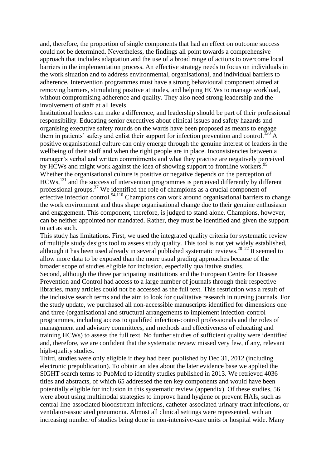and, therefore, the proportion of single components that had an effect on outcome success could not be determined. Nevertheless, the findings all point towards a comprehensive approach that includes adaptation and the use of a broad range of actions to overcome local barriers in the implementation process. An effective strategy needs to focus on individuals in the work situation and to address environmental, organisational, and individual barriers to adherence. Intervention programmes must have a strong behavioural component aimed at removing barriers, stimulating positive attitudes, and helping HCWs to manage workload, without compromising adherence and quality. They also need strong leadership and the involvement of staff at all levels.

Institutional leaders can make a difference, and leadership should be part of their professional responsibility. Educating senior executives about clinical issues and safety hazards and organising executive safety rounds on the wards have been proposed as means to engage them in patients' safety and enlist their support for infection prevention and control.<sup>130</sup> A positive organisational culture can only emerge through the genuine interest of leaders in the wellbeing of their staff and when the right people are in place. Inconsistencies between a manager's verbal and written commitments and what they practise are negatively perceived by HCWs and might work against the idea of showing support to frontline workers.<sup>95</sup> Whether the organisational culture is positive or negative depends on the perception of HCWs,<sup>131</sup> and the success of intervention programmes is perceived differently by different professional groups.<sup>37</sup> We identified the role of champions as a crucial component of effective infection control.<sup>94,110</sup> Champions can work around organisational barriers to change the work environment and thus shape organisational change due to their genuine enthusiasm and engagement. This component, therefore, is judged to stand alone. Champions, however, can be neither appointed nor mandated. Rather, they must be identified and given the support to act as such.

This study has limitations. First, we used the integrated quality criteria for systematic review of multiple study designs tool to assess study quality. This tool is not yet widely established, although it has been used already in several published systematic reviews.<sup>20–22</sup> It seemed to allow more data to be exposed than the more usual grading approaches because of the broader scope of studies eligible for inclusion, especially qualitative studies. Second, although the three participating institutions and the European Centre for Disease Prevention and Control had access to a large number of journals through their respective libraries, many articles could not be accessed as the full text. This restriction was a result of the inclusive search terms and the aim to look for qualitative research in nursing journals. For the study update, we purchased all non-accessible manuscripts identified for dimensions one and three (organisational and structural arrangements to implement infection-control programmes, including access to qualified infection-control professionals and the roles of management and advisory committees, and methods and effectiveness of educating and training HCWs) to assess the full text. No further studies of sufficient quality were identified and, therefore, we are confident that the systematic review missed very few, if any, relevant high-quality studies.

Third, studies were only eligible if they had been published by Dec 31, 2012 (including electronic prepublication). To obtain an idea about the later evidence base we applied the SIGHT search terms to PubMed to identify studies published in 2013. We retrieved 4036 titles and abstracts, of which 65 addressed the ten key components and would have been potentially eligible for inclusion in this systematic review (appendix). Of these studies, 56 were about using multimodal strategies to improve hand hygiene or prevent HAIs, such as central-line-associated bloodstream infections, catheter-associated urinary-tract infections, or ventilator-associated pneumonia. Almost all clinical settings were represented, with an increasing number of studies being done in non-intensive-care units or hospital wide. Many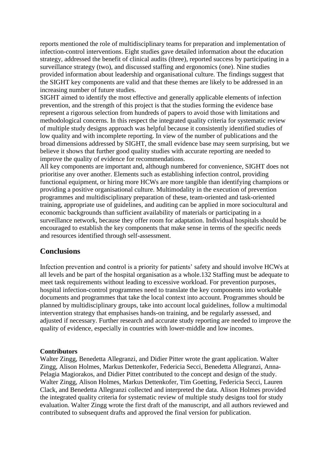reports mentioned the role of multidisciplinary teams for preparation and implementation of infection-control interventions. Eight studies gave detailed information about the education strategy, addressed the benefit of clinical audits (three), reported success by participating in a surveillance strategy (two), and discussed staffing and ergonomics (one). Nine studies provided information about leadership and organisational culture. The findings suggest that the SIGHT key components are valid and that these themes are likely to be addressed in an increasing number of future studies.

SIGHT aimed to identify the most effective and generally applicable elements of infection prevention, and the strength of this project is that the studies forming the evidence base represent a rigorous selection from hundreds of papers to avoid those with limitations and methodological concerns. In this respect the integrated quality criteria for systematic review of multiple study designs approach was helpful because it consistently identified studies of low quality and with incomplete reporting. In view of the number of publications and the broad dimensions addressed by SIGHT, the small evidence base may seem surprising, but we believe it shows that further good quality studies with accurate reporting are needed to improve the quality of evidence for recommendations.

All key components are important and, although numbered for convenience, SIGHT does not prioritise any over another. Elements such as establishing infection control, providing functional equipment, or hiring more HCWs are more tangible than identifying champions or providing a positive organisational culture. Multimodality in the execution of prevention programmes and multidisciplinary preparation of these, team-oriented and task-oriented training, appropriate use of guidelines, and auditing can be applied in more sociocultural and economic backgrounds than sufficient availability of materials or participating in a surveillance network, because they offer room for adaptation. Individual hospitals should be encouraged to establish the key components that make sense in terms of the specific needs and resources identified through self-assessment.

# **Conclusions**

Infection prevention and control is a priority for patients' safety and should involve HCWs at all levels and be part of the hospital organisation as a whole.132 Staffing must be adequate to meet task requirements without leading to excessive workload. For prevention purposes, hospital infection-control programmes need to translate the key components into workable documents and programmes that take the local context into account. Programmes should be planned by multidisciplinary groups, take into account local guidelines, follow a multimodal intervention strategy that emphasises hands-on training, and be regularly assessed, and adjusted if necessary. Further research and accurate study reporting are needed to improve the quality of evidence, especially in countries with lower-middle and low incomes.

# **Contributors**

Walter Zingg, Benedetta Allegranzi, and Didier Pitter wrote the grant application. Walter Zingg, Alison Holmes, Markus Dettenkofer, Federicia Secci, Benedetta Allegranzi, Anna-Pelagia Magiorakos, and Didier Pittet contributed to the concept and design of the study. Walter Zingg, Alison Holmes, Markus Dettenkofer, Tim Goetting, Federicia Secci, Lauren Clack, and Benedetta Allegranzi collected and interpreted the data. Alison Holmes provided the integrated quality criteria for systematic review of multiple study designs tool for study evaluation. Walter Zingg wrote the first draft of the manuscript, and all authors reviewed and contributed to subsequent drafts and approved the final version for publication.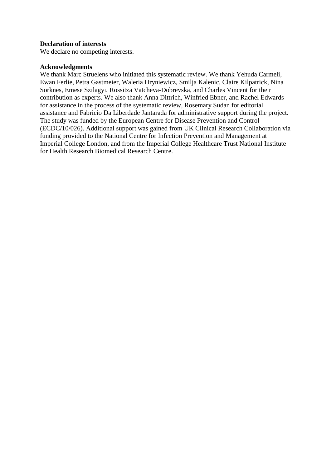# **Declaration of interests**

We declare no competing interests.

### **Acknowledgments**

We thank Marc Struelens who initiated this systematic review. We thank Yehuda Carmeli, Ewan Ferlie, Petra Gastmeier, Waleria Hryniewicz, Smilja Kalenic, Claire Kilpatrick, Nina Sorknes, Emese Szilagyi, Rossitza Vatcheva-Dobrevska, and Charles Vincent for their contribution as experts. We also thank Anna Dittrich, Winfried Ebner, and Rachel Edwards for assistance in the process of the systematic review, Rosemary Sudan for editorial assistance and Fabricio Da Liberdade Jantarada for administrative support during the project. The study was funded by the European Centre for Disease Prevention and Control (ECDC/10/026). Additional support was gained from UK Clinical Research Collaboration via funding provided to the National Centre for Infection Prevention and Management at Imperial College London, and from the Imperial College Healthcare Trust National Institute for Health Research Biomedical Research Centre.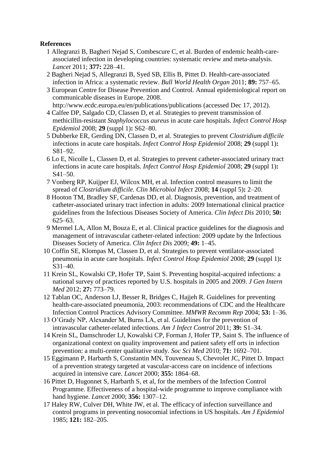# **References**

- 1 Allegranzi B, Bagheri Nejad S, Combescure C, et al. Burden of endemic health-careassociated infection in developing countries: systematic review and meta-analysis. *Lancet* 2011; **377:** 228–41.
- 2 Bagheri Nejad S, Allegranzi B, Syed SB, Ellis B, Pittet D. Health-care-associated infection in Africa: a systematic review. *Bull World Health Organ* 2011; **89:** 757–65.
- 3 European Centre for Disease Prevention and Control. Annual epidemiological report on communicable diseases in Europe. 2008.

http://www.ecdc.europa.eu/en/publications/publications (accessed Dec 17, 2012).

- 4 Calfee DP, Salgado CD, Classen D, et al. Strategies to prevent transmission of methicillin-resistant *Staphylococcus aureus* in acute care hospitals. *Infect Control Hosp Epidemiol* 2008; **29** (suppl 1)**:** S62–80.
- 5 Dubberke ER, Gerding DN, Classen D, et al. Strategies to prevent *Clostridium difficile*  infections in acute care hospitals. *Infect Control Hosp Epidemiol* 2008; **29** (suppl 1)**:**  S81–92.
- 6 Lo E, Nicolle L, Classen D, et al. Strategies to prevent catheter-associated urinary tract infections in acute care hospitals. *Infect Control Hosp Epidemiol* 2008; **29** (suppl 1)**:**  S41–50.
- 7 Vonberg RP, Kuijper EJ, Wilcox MH, et al. Infection control measures to limit the spread of *Clostridium difficile. Clin Microbiol Infect* 2008; **14** (suppl 5)**:** 2–20.
- 8 Hooton TM, Bradley SF, Cardenas DD, et al. Diagnosis, prevention, and treatment of catheter-associated urinary tract infection in adults: 2009 International clinical practice guidelines from the Infectious Diseases Society of America. *Clin Infect Dis* 2010; **50:**  625–63.
- 9 Mermel LA, Allon M, Bouza E, et al. Clinical practice guidelines for the diagnosis and management of intravascular catheter-related infection: 2009 update by the Infectious Diseases Society of America. *Clin Infect Dis* 2009; **49:** 1–45.
- 10 Coffin SE, Klompas M, Classen D, et al. Strategies to prevent ventilator-associated pneumonia in acute care hospitals. *Infect Control Hosp Epidemiol* 2008; **29** (suppl 1)**:**  S31–40.
- 11 Krein SL, Kowalski CP, Hofer TP, Saint S. Preventing hospital-acquired infections: a national survey of practices reported by U.S. hospitals in 2005 and 2009. *J Gen Intern Med* 2012; **27:** 773–79.
- 12 Tablan OC, Anderson LJ, Besser R, Bridges C, Hajjeh R. Guidelines for preventing health-care-associated pneumonia, 2003: recommendations of CDC and the Healthcare Infection Control Practices Advisory Committee. *MMWR Recomm Rep* 2004; **53:** 1–36.
- 13 O'Grady NP, Alexander M, Burns LA, et al. Guidelines for the prevention of intravascular catheter-related infections. *Am J Infect Control* 2011; **39:** S1–34.
- 14 Krein SL, Damschroder LJ, Kowalski CP, Forman J, Hofer TP, Saint S. The influence of organizational context on quality improvement and patient safety eff orts in infection prevention: a multi-center qualitative study. *Soc Sci Med* 2010; **71:** 1692–701.
- 15 Eggimann P, Harbarth S, Constantin MN, Touveneau S, Chevrolet JC, Pittet D. Impact of a prevention strategy targeted at vascular-access care on incidence of infections acquired in intensive care. *Lancet* 2000; **355:** 1864–68.
- 16 Pittet D, Hugonnet S, Harbarth S, et al, for the members of the Infection Control Programme. Effectiveness of a hospital-wide programme to improve compliance with hand hygiene. *Lancet* 2000; **356:** 1307–12.
- 17 Haley RW, Culver DH, White JW, et al. The efficacy of infection surveillance and control programs in preventing nosocomial infections in US hospitals. *Am J Epidemiol*  1985; **121:** 182–205.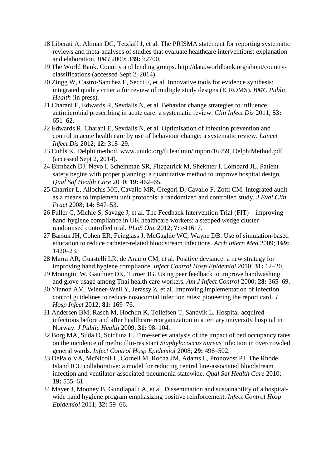- 18 Liberati A, Altman DG, Tetzlaff J, et al. The PRISMA statement for reporting systematic reviews and meta-analyses of studies that evaluate healthcare interventions: explanation and elaboration. *BMJ* 2009; **339:** b2700.
- 19 The World Bank. Country and lending groups. http://data.worldbank.org/about/countryclassifications (accessed Sept 2, 2014).
- 20 Zingg W, Castro-Sanchez E, Secci F, et al. Innovative tools for evidence synthesis: integrated quality criteria for review of multiple study designs (ICROMS). *BMC Public Health* (in press).
- 21 Charani E, Edwards R, Sevdalis N, et al. Behavior change strategies to influence antimicrobial prescribing in acute care: a systematic review. *Clin Infect Dis* 2011; **53:**  651–62.
- 22 Edwards R, Charani E, Sevdalis N, et al. Optimisation of infection prevention and control in acute health care by use of behaviour change: a systematic review. *Lancet Infect Dis* 2012; **12:** 318–29.
- 23 Cuhls K. Delphi method. www.unido.org/fi leadmin/import/16959\_DelphiMethod.pdf (accessed Sept 2, 2014).
- 24 Birnbach DJ, Nevo I, Scheinman SR, Fitzpatrick M, Shekhter I, Lombard JL. Patient safety begins with proper planning: a quantitative method to improve hospital design. *Qual Saf Health Care* 2010; **19:** 462–65.
- 25 Charrier L, Allochis MC, Cavallo MR, Gregori D, Cavallo F, Zotti CM. Integrated audit as a means to implement unit protocols: a randomized and controlled study. *J Eval Clin Pract* 2008; **14:** 847–53.
- 26 Fuller C, Michie S, Savage J, et al. The Feedback Intervention Trial (FIT)—improving hand-hygiene compliance in UK healthcare workers: a stepped wedge cluster randomised controlled trial. *PLoS One* 2012; **7:** e41617.
- 27 Barsuk JH, Cohen ER, Feinglass J, McGaghie WC, Wayne DB. Use of simulation-based education to reduce catheter-related bloodstream infections. *Arch Intern Med* 2009; **169:**  1420–23.
- 28 Marra AR, Guastelli LR, de Araujo CM, et al. Positive deviance: a new strategy for improving hand hygiene compliance. *Infect Control Hosp Epidemiol* 2010; **31:** 12–20.
- 29 Moongtui W, Gauthier DK, Turner JG. Using peer feedback to improve handwashing and glove usage among Thai health care workers. *Am J Infect Control* 2000; **28:** 365–69.
- 30 Yinnon AM, Wiener-Well Y, Jerassy Z, et al. Improving implementation of infection control guidelines to reduce nosocomial infection rates: pioneering the report card. *J Hosp Infect* 2012; **81:** 169–76.
- 31 Andersen BM, Rasch M, Hochlin K, Tollefsen T, Sandvik L. Hospital-acquired infections before and after healthcare reorganization in a tertiary university hospital in Norway. *J Public Health* 2009; **31:** 98–104.
- 32 Borg MA, Suda D, Scicluna E. Time-series analysis of the impact of bed occupancy rates on the incidence of methicillin-resistant *Staphylococcus aureus* infection in overcrowded general wards. *Infect Control Hosp Epidemiol* 2008; **29:** 496–502.
- 33 DePalo VA, McNicoll L, Cornell M, Rocha JM, Adams L, Pronovost PJ. The Rhode Island ICU collaborative: a model for reducing central line-associated bloodstream infection and ventilator-associated pneumonia statewide. *Qual Saf Health Care* 2010; **19:** 555–61.
- 34 Mayer J, Mooney B, Gundlapalli A, et al. Dissemination and sustainability of a hospitalwide hand hygiene program emphasizing positive reinforcement. *Infect Control Hosp Epidemiol* 2011; **32:** 59–66.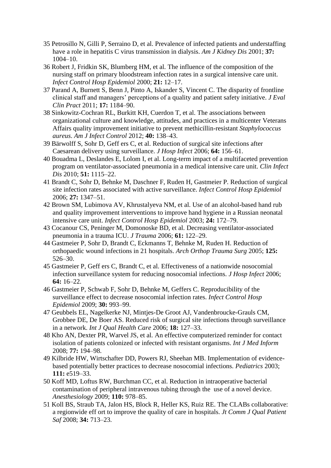- 35 Petrosillo N, Gilli P, Serraino D, et al. Prevalence of infected patients and understaffing have a role in hepatitis C virus transmission in dialysis. *Am J Kidney Dis* 2001; **37:**  1004–10.
- 36 Robert J, Fridkin SK, Blumberg HM, et al. The influence of the composition of the nursing staff on primary bloodstream infection rates in a surgical intensive care unit. *Infect Control Hosp Epidemiol* 2000; **21:** 12–17.
- 37 Parand A, Burnett S, Benn J, Pinto A, Iskander S, Vincent C. The disparity of frontline clinical staff and managers' perceptions of a quality and patient safety initiative. *J Eval Clin Pract* 2011; **17:** 1184–90.
- 38 Sinkowitz-Cochran RL, Burkitt KH, Cuerdon T, et al. The associations between organizational culture and knowledge, attitudes, and practices in a multicenter Veterans Affairs quality improvement initiative to prevent methicillin-resistant *Staphylococcus aureus*. *Am J Infect Control* 2012; **40:** 138–43.
- 39 Bärwolff S, Sohr D, Geff ers C, et al. Reduction of surgical site infections after Caesarean delivery using surveillance. *J Hosp Infect* 2006; **64:** 156–61.
- 40 Bouadma L, Deslandes E, Lolom I, et al. Long-term impact of a multifaceted prevention program on ventilator-associated pneumonia in a medical intensive care unit. *Clin Infect Dis* 2010; **51:** 1115–22.
- 41 Brandt C, Sohr D, Behnke M, Daschner F, Ruden H, Gastmeier P. Reduction of surgical site infection rates associated with active surveillance. *Infect Control Hosp Epidemiol*  2006; **27:** 1347–51.
- 42 Brown SM, Lubimova AV, Khrustalyeva NM, et al. Use of an alcohol-based hand rub and quality improvement interventions to improve hand hygiene in a Russian neonatal intensive care unit. *Infect Control Hosp Epidemiol* 2003; **24:** 172–79.
- 43 Cocanour CS, Peninger M, Domonoske BD, et al. Decreasing ventilator-associated pneumonia in a trauma ICU. *J Trauma* 2006; **61:** 122–29.
- 44 Gastmeier P, Sohr D, Brandt C, Eckmanns T, Behnke M, Ruden H. Reduction of orthopaedic wound infections in 21 hospitals. *Arch Orthop Trauma Surg* 2005; **125:**  526–30.
- 45 Gastmeier P, Geff ers C, Brandt C, et al. Effectiveness of a nationwide nosocomial infection surveillance system for reducing nosocomial infections. *J Hosp Infect* 2006; **64:** 16–22.
- 46 Gastmeier P, Schwab F, Sohr D, Behnke M, Geffers C. Reproducibility of the surveillance effect to decrease nosocomial infection rates. *Infect Control Hosp Epidemiol* 2009; **30:** 993–99.
- 47 Geubbels EL, Nagelkerke NJ, Mintjes-De Groot AJ, Vandenbroucke-Grauls CM, Grobbee DE, De Boer AS. Reduced risk of surgical site infections through surveillance in a network. *Int J Qual Health Care* 2006; **18:** 127–33.
- 48 Kho AN, Dexter PR, Warvel JS, et al. An effective computerized reminder for contact isolation of patients colonized or infected with resistant organisms. *Int J Med Inform*  2008; **77:** 194–98.
- 49 Kilbride HW, Wirtschafter DD, Powers RJ, Sheehan MB. Implementation of evidencebased potentially better practices to decrease nosocomial infections. *Pediatrics* 2003; **111:** e519–33.
- 50 Koff MD, Loftus RW, Burchman CC, et al. Reduction in intraoperative bacterial contamination of peripheral intravenous tubing through the use of a novel device. *Anesthesiology* 2009; **110:** 978–85.
- 51 Koll BS, Straub TA, Jalon HS, Block R, Heller KS, Ruiz RE. The CLABs collaborative: a regionwide eff ort to improve the quality of care in hospitals. *Jt Comm J Qual Patient Saf* 2008; **34:** 713–23.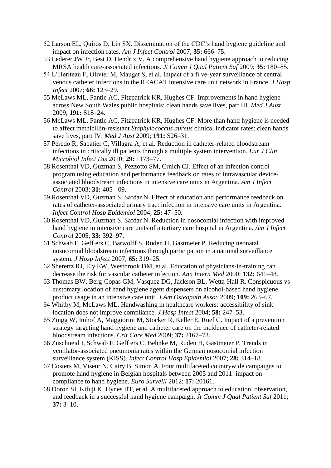- 52 Larson EL, Quiros D, Lin SX. Dissemination of the CDC's hand hygiene guideline and impact on infection rates. *Am J Infect Control* 2007; **35:** 666–75.
- 53 Lederer JW Jr, Best D, Hendrix V. A comprehensive hand hygiene approach to reducing MRSA health care-associated infections. *Jt Comm J Qual Patient Saf* 2009; **35:** 180–85.
- 54 L'Heriteau F, Olivier M, Maugat S, et al. Impact of a fi ve-year surveillance of central venous catheter infections in the REACAT intensive care unit network in France. *J Hosp Infect* 2007; **66:** 123–29.
- 55 McLaws ML, Pantle AC, Fitzpatrick KR, Hughes CF. Improvements in hand hygiene across New South Wales public hospitals: clean hands save lives, part III. *Med J Aust*  2009; **191:** S18–24.
- 56 McLaws ML, Pantle AC, Fitzpatrick KR, Hughes CF. More than hand hygiene is needed to affect methicillin-resistant *Staphylococcus aureus* clinical indicator rates: clean hands save lives, part IV. *Med J Aust* 2009; **191:** S26–31.
- 57 Peredo R, Sabatier C, Villagra A, et al. Reduction in catheter-related bloodstream infections in critically ill patients through a multiple system intervention. *Eur J Clin Microbiol Infect Dis* 2010; **29:** 1173–77.
- 58 Rosenthal VD, Guzman S, Pezzotto SM, Crnich CJ. Effect of an infection control program using education and performance feedback on rates of intravascular deviceassociated bloodstream infections in intensive care units in Argentina. *Am J Infect Control* 2003; **31:** 405-–09.
- 59 Rosenthal VD, Guzman S, Safdar N. Effect of education and performance feedback on rates of catheter-associated urinary tract infection in intensive care units in Argentina. *Infect Control Hosp Epidemiol* 2004; **25:** 47–50.
- 60 Rosenthal VD, Guzman S, Safdar N. Reduction in nosocomial infection with improved hand hygiene in intensive care units of a tertiary care hospital in Argentina. *Am J Infect Control* 2005; **33:** 392–97.
- 61 Schwab F, Geff ers C, Barwolff S, Ruden H, Gastmeier P. Reducing neonatal nosocomial bloodstream infections through participation in a national surveillance system. *J Hosp Infect* 2007; **65:** 319–25.
- 62 Sherertz RJ, Ely EW, Westbrook DM, et al. Education of physicians-in-training can decrease the risk for vascular catheter infection. *Ann Intern Med* 2000; **132:** 641–48.
- 63 Thomas BW, Berg-Copas GM, Vasquez DG, Jackson BL, Wetta-Hall R. Conspicuous vs customary location of hand hygiene agent dispensers on alcohol-based hand hygiene product usage in an intensive care unit. *J Am Osteopath Assoc* 2009; **109:** 263–67.
- 64 Whitby M, McLaws ML. Handwashing in healthcare workers: accessibility of sink location does not improve compliance. *J Hosp Infect* 2004; **58:** 247–53.
- 65 Zingg W, Imhof A, Maggiorini M, Stocker R, Keller E, Ruef C. Impact of a prevention strategy targeting hand hygiene and catheter care on the incidence of catheter-related bloodstream infections. *Crit Care Med* 2009; **37:** 2167–73.
- 66 Zuschneid I, Schwab F, Geff ers C, Behnke M, Ruden H, Gastmeier P. Trends in ventilator-associated pneumonia rates within the German nosocomial infection surveillance system (KISS). *Infect Control Hosp Epidemiol* 2007; **28:** 314–18.
- 67 Costers M, Viseur N, Catry B, Simon A. Four multifaceted countrywide campaigns to promote hand hygiene in Belgian hospitals between 2005 and 2011: impact on compliance to hand hygiene. *Euro Surveill* 2012; **17:** 20161.
- 68 Doron SI, Kifuji K, Hynes BT, et al. A multifaceted approach to education, observation, and feedback in a successful hand hygiene campaign. *Jt Comm J Qual Patient Saf* 2011; **37:** 3–10.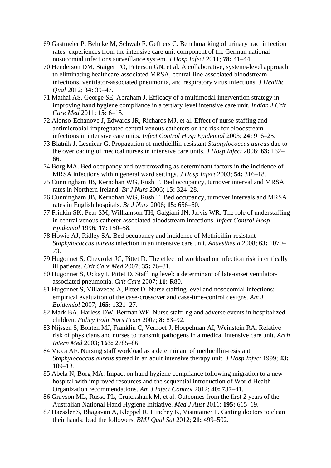- 69 Gastmeier P, Behnke M, Schwab F, Geff ers C. Benchmarking of urinary tract infection rates: experiences from the intensive care unit component of the German national nosocomial infections surveillance system. *J Hosp Infect* 2011; **78:** 41–44.
- 70 Henderson DM, Staiger TO, Peterson GN, et al. A collaborative, systems-level approach to eliminating healthcare-associated MRSA, central-line-associated bloodstream infections, ventilator-associated pneumonia, and respiratory virus infections. *J Healthc Qual* 2012; **34:** 39–47.
- 71 Mathai AS, George SE, Abraham J. Efficacy of a multimodal intervention strategy in improving hand hygiene compliance in a tertiary level intensive care unit. *Indian J Crit Care Med* 2011; **15:** 6–15.
- 72 Alonso-Echanove J, Edwards JR, Richards MJ, et al. Effect of nurse staffing and antimicrobial-impregnated central venous catheters on the risk for bloodstream infections in intensive care units. *Infect Control Hosp Epidemiol* 2003; **24:** 916–25.
- 73 Blatnik J, Lesnicar G. Propagation of methicillin-resistant *Staphylococcus aureus* due to the overloading of medical nurses in intensive care units. *J Hosp Infect* 2006; **63:** 162– 66.
- 74 Borg MA. Bed occupancy and overcrowding as determinant factors in the incidence of MRSA infections within general ward settings. *J Hosp Infect* 2003; **54:** 316–18.
- 75 Cunningham JB, Kernohan WG, Rush T. Bed occupancy, turnover interval and MRSA rates in Northern Ireland. *Br J Nurs* 2006; **15:** 324–28.
- 76 Cunningham JB, Kernohan WG, Rush T. Bed occupancy, turnover intervals and MRSA rates in English hospitals. *Br J Nurs* 2006; **15:** 656–60.
- 77 Fridkin SK, Pear SM, Williamson TH, Galgiani JN, Jarvis WR. The role of understaffing in central venous catheter-associated bloodstream infections. *Infect Control Hosp Epidemiol* 1996; **17:** 150–58.
- 78 Howie AJ, Ridley SA. Bed occupancy and incidence of Methicillin-resistant *Staphylococcus aureus* infection in an intensive care unit. *Anaesthesia* 2008; **63:** 1070– 73.
- 79 Hugonnet S, Chevrolet JC, Pittet D. The effect of workload on infection risk in critically ill patients. *Crit Care Med* 2007; **35:** 76–81.
- 80 Hugonnet S, Uckay I, Pittet D. Staffi ng level: a determinant of late-onset ventilatorassociated pneumonia. *Crit Care* 2007; **11:** R80.
- 81 Hugonnet S, Villaveces A, Pittet D. Nurse staffing level and nosocomial infections: empirical evaluation of the case-crossover and case-time-control designs. *Am J Epidemiol* 2007; **165:** 1321–27.
- 82 Mark BA, Harless DW, Berman WF. Nurse staffi ng and adverse events in hospitalized children. *Policy Polit Nurs Pract* 2007; **8:** 83–92.
- 83 Nijssen S, Bonten MJ, Franklin C, Verhoef J, Hoepelman AI, Weinstein RA. Relative risk of physicians and nurses to transmit pathogens in a medical intensive care unit. *Arch Intern Med* 2003; **163:** 2785–86.
- 84 Vicca AF. Nursing staff workload as a determinant of methicillin-resistant *Staphylococcus aureus* spread in an adult intensive therapy unit. *J Hosp Infect* 1999; **43:**  109–13.
- 85 Abela N, Borg MA. Impact on hand hygiene compliance following migration to a new hospital with improved resources and the sequential introduction of World Health Organization recommendations. *Am J Infect Control* 2012; **40:** 737–41.
- 86 Grayson ML, Russo PL, Cruickshank M, et al. Outcomes from the first 2 years of the Australian National Hand Hygiene Initiative. *Med J Aust* 2011; **195:** 615–19.
- 87 Haessler S, Bhagavan A, Kleppel R, Hinchey K, Visintainer P. Getting doctors to clean their hands: lead the followers. *BMJ Qual Saf* 2012; **21:** 499–502.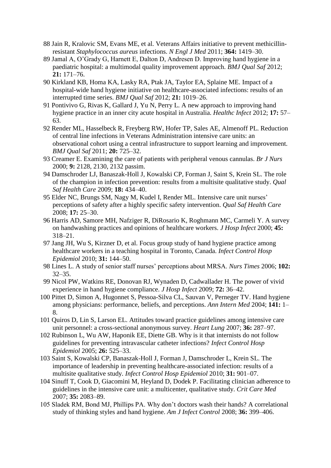- 88 Jain R, Kralovic SM, Evans ME, et al. Veterans Affairs initiative to prevent methicillinresistant *Staphylococcus aureus* infections. *N Engl J Med* 2011; **364:** 1419–30.
- 89 Jamal A, O'Grady G, Harnett E, Dalton D, Andresen D. Improving hand hygiene in a paediatric hospital: a multimodal quality improvement approach. *BMJ Qual Saf* 2012; **21:** 171–76.
- 90 Kirkland KB, Homa KA, Lasky RA, Ptak JA, Taylor EA, Splaine ME. Impact of a hospital-wide hand hygiene initiative on healthcare-associated infections: results of an interrupted time series. *BMJ Qual Saf* 2012; **21:** 1019–26.
- 91 Pontivivo G, Rivas K, Gallard J, Yu N, Perry L. A new approach to improving hand hygiene practice in an inner city acute hospital in Australia. *Healthc Infect* 2012; **17:** 57– 63.
- 92 Render ML, Hasselbeck R, Freyberg RW, Hofer TP, Sales AE, Almenoff PL. Reduction of central line infections in Veterans Administration intensive care units: an observational cohort using a central infrastructure to support learning and improvement. *BMJ Qual Saf* 2011; **20:** 725–32.
- 93 Creamer E. Examining the care of patients with peripheral venous cannulas. *Br J Nurs*  2000; **9:** 2128, 2130, 2132 passim.
- 94 Damschroder LJ, Banaszak-Holl J, Kowalski CP, Forman J, Saint S, Krein SL. The role of the champion in infection prevention: results from a multisite qualitative study. *Qual Saf Health Care* 2009; **18:** 434–40.
- 95 Elder NC, Brungs SM, Nagy M, Kudel I, Render ML. Intensive care unit nurses' perceptions of safety after a highly specific safety intervention. *Qual Saf Health Care*  2008; **17:** 25–30.
- 96 Harris AD, Samore MH, Nafziger R, DiRosario K, Roghmann MC, Carmeli Y. A survey on handwashing practices and opinions of healthcare workers. *J Hosp Infect* 2000; **45:**  318–21.
- 97 Jang JH, Wu S, Kirzner D, et al. Focus group study of hand hygiene practice among healthcare workers in a teaching hospital in Toronto, Canada. *Infect Control Hosp Epidemiol* 2010; **31:** 144–50.
- 98 Lines L. A study of senior staff nurses' perceptions about MRSA. *Nurs Times* 2006; **102:**  32–35.
- 99 Nicol PW, Watkins RE, Donovan RJ, Wynaden D, Cadwallader H. The power of vivid experience in hand hygiene compliance. *J Hosp Infect* 2009; **72:** 36–42.
- 100 Pittet D, Simon A, Hugonnet S, Pessoa-Silva CL, Sauvan V, Perneger TV. Hand hygiene among physicians: performance, beliefs, and perceptions. *Ann Intern Med* 2004; **141:** 1– 8.
- 101 Quiros D, Lin S, Larson EL. Attitudes toward practice guidelines among intensive care unit personnel: a cross-sectional anonymous survey. *Heart Lung* 2007; **36:** 287–97.
- 102 Rubinson L, Wu AW, Haponik EE, Diette GB. Why is it that internists do not follow guidelines for preventing intravascular catheter infections? *Infect Control Hosp Epidemiol* 2005; **26:** 525–33.
- 103 Saint S, Kowalski CP, Banaszak-Holl J, Forman J, Damschroder L, Krein SL. The importance of leadership in preventing healthcare-associated infection: results of a multisite qualitative study. *Infect Control Hosp Epidemiol* 2010; **31:** 901–07.
- 104 Sinuff T, Cook D, Giacomini M, Heyland D, Dodek P. Facilitating clinician adherence to guidelines in the intensive care unit: a multicenter, qualitative study. *Crit Care Med*  2007; **35:** 2083–89.
- 105 Sladek RM, Bond MJ, Phillips PA. Why don't doctors wash their hands? A correlational study of thinking styles and hand hygiene. *Am J Infect Control* 2008; **36:** 399–406.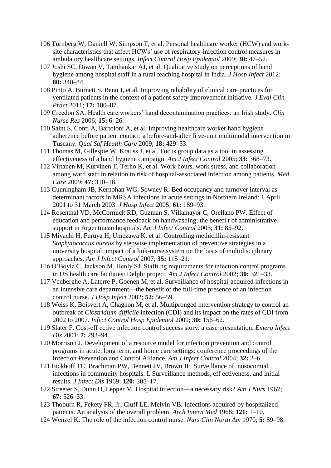- 106 Turnberg W, Daniell W, Simpson T, et al. Personal healthcare worker (HCW) and worksite characteristics that affect HCWs' use of respiratory-infection control measures in ambulatory healthcare settings. *Infect Control Hosp Epidemiol* 2009; **30:** 47–52.
- 107 Joshi SC, Diwan V, Tamhankar AJ, et al. Qualitative study on perceptions of hand hygiene among hospital staff in a rural teaching hospital in India. *J Hosp Infect* 2012; **80:** 340–44.
- 108 Pinto A, Burnett S, Benn J, et al. Improving reliability of clinical care practices for ventilated patients in the context of a patient safety improvement initiative. *J Eval Clin Pract* 2011; **17:** 180–87.
- 109 Creedon SA. Health care workers' hand decontamination practices: an Irish study. *Clin Nurse Res* 2006; **15:** 6–26.
- 110 Saint S, Conti A, Bartoloni A, et al. Improving healthcare worker hand hygiene adherence before patient contact: a before-and-after fi ve-unit multimodal intervention in Tuscany. *Qual Saf Health Care* 2009; **18:** 429–33.
- 111 Thomas M, Gillespie W, Krauss J, et al. Focus group data as a tool in assessing effectiveness of a hand hygiene campaign. *Am J Infect Control* 2005; **33:** 368–73.
- 112 Virtanen M, Kurvinen T, Terho K, et al. Work hours, work stress, and collaboration among ward staff in relation to risk of hospital-associated infection among patients. *Med Care* 2009; **47:** 310–18.
- 113 Cunningham JB, Kernohan WG, Sowney R. Bed occupancy and turnover interval as determinant factors in MRSA infections in acute settings in Northern Ireland: 1 April 2001 to 31 March 2003. *J Hosp Infect* 2005; **61:** 189–93.
- 114 Rosenthal VD, McCormick RD, Guzman S, Villamayor C, Orellano PW. Effect of education and performance feedback on handwashing: the benefi t of administrative support in Argentinean hospitals. *Am J Infect Control* 2003; **31:** 85–92.
- 115 Miyachi H, Furuya H, Umezawa K, et al. Controlling methicillin-resistant *Staphylococcus aureus* by stepwise implementation of preventive strategies in a university hospital: impact of a link-nurse system on the basis of multidisciplinary approaches. *Am J Infect Control* 2007; **35:** 115–21.
- 116 O'Boyle C, Jackson M, Henly SJ. Staffi ng requirements for infection control programs in US health care facilities: Delphi project. *Am J Infect Control* 2002; **30:** 321–33.
- 117 Venberghe A, Laterre P, Goenen M, et al. Surveillance of hospital-acquired infections in an intensive care department—the benefit of the full-time presence of an infection control nurse. *J Hosp Infect* 2002; **52:** 56–59.
- 118 Weiss K, Boisvert A, Chagnon M, et al. Multipronged intervention strategy to control an outbreak of *Clostridium difficile* infection (CDI) and its impact on the rates of CDI from 2002 to 2007. *Infect Control Hosp Epidemiol* 2009; **30:** 156–62.
- 119 Slater F. Cost-eff ective infection control success story: a case presentation. *Emerg Infect Dis* 2001; **7:** 293–94.
- 120 Morrison J. Development of a resource model for infection prevention and control programs in acute, long term, and home care settings: conference proceedings of the Infection Prevention and Control Alliance. *Am J Infect Control* 2004; **32:** 2–6.
- 121 Eickhoff TC, Brachman PW, Bennett JV, Brown JF. Surveillance of nosocomial infections in community hospitals. I. Surveillance methods, eff ectiveness, and initial results. *J Infect Dis* 1969; **120:** 305–17.
- 122 Streeter S, Dunn H, Lepper M. Hospital infection—a necessary risk? *Am J Nurs* 1967; **67:** 526–33.
- 123 Thoburn R, Fekety FR, Jr, Cluff LE, Melvin VB. Infections acquired by hospitalized patients. An analysis of the overall problem. *Arch Intern Med* 1968; **121:** 1–10.
- 124 Wenzel K. The role of the infection control nurse. *Nurs Clin North Am* 1970; **5:** 89–98.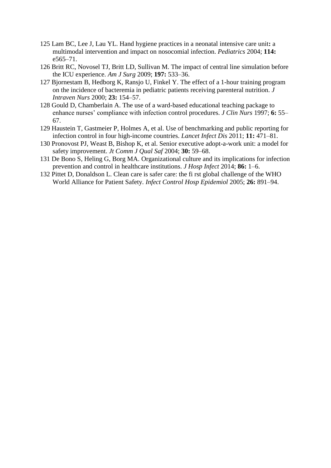- 125 Lam BC, Lee J, Lau YL. Hand hygiene practices in a neonatal intensive care unit**:** a multimodal intervention and impact on nosocomial infection. *Pediatrics* 2004; **114:**  e565–71.
- 126 Britt RC, Novosel TJ, Britt LD, Sullivan M. The impact of central line simulation before the ICU experience. *Am J Surg* 2009; **197:** 533–36.
- 127 Bjornestam B, Hedborg K, Ransjo U, Finkel Y. The effect of a 1-hour training program on the incidence of bacteremia in pediatric patients receiving parenteral nutrition. *J Intraven Nurs* 2000; **23:** 154–57.
- 128 Gould D, Chamberlain A. The use of a ward-based educational teaching package to enhance nurses' compliance with infection control procedures. *J Clin Nurs* 1997; **6:** 55– 67.
- 129 Haustein T, Gastmeier P, Holmes A, et al. Use of benchmarking and public reporting for infection control in four high-income countries. *Lancet Infect Dis* 2011; **11:** 471–81.
- 130 Pronovost PJ, Weast B, Bishop K, et al. Senior executive adopt-a-work unit: a model for safety improvement. *Jt Comm J Qual Saf* 2004; **30:** 59–68.
- 131 De Bono S, Heling G, Borg MA. Organizational culture and its implications for infection prevention and control in healthcare institutions. *J Hosp Infect* 2014; **86:** 1–6.
- 132 Pittet D, Donaldson L. Clean care is safer care: the fi rst global challenge of the WHO World Alliance for Patient Safety. *Infect Control Hosp Epidemiol* 2005; **26:** 891–94.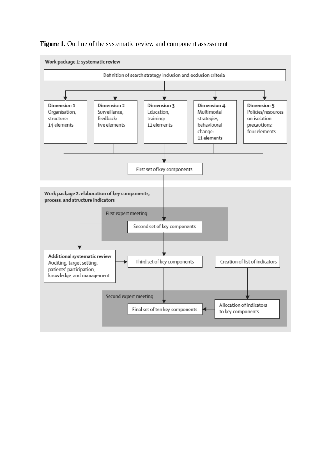

# Figure 1. Outline of the systematic review and component assessment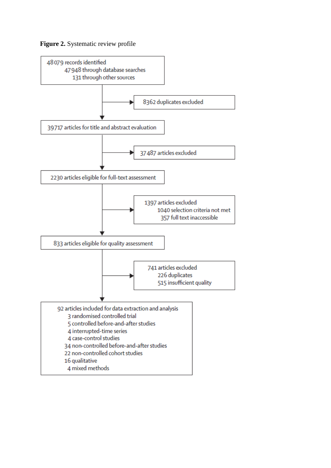

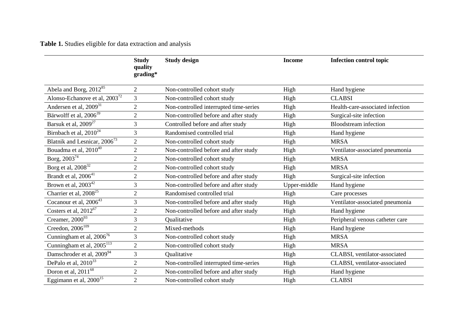**Table 1.** Studies eligible for data extraction and analysis

|                                          | <b>Study</b><br>quality<br>grading* | <b>Study design</b>                    | <b>Income</b> | <b>Infection control topic</b>   |
|------------------------------------------|-------------------------------------|----------------------------------------|---------------|----------------------------------|
| Abela and Borg, 2012 <sup>85</sup>       | $\overline{2}$                      | Non-controlled cohort study            | High          | Hand hygiene                     |
| Alonso-Echanove et al, $2003^{72}$       | 3                                   | Non-controlled cohort study            | High          | <b>CLABSI</b>                    |
| Andersen et al, 2009 <sup>31</sup>       | $\overline{2}$                      | Non-controlled interrupted time-series | High          | Health-care-associated infection |
| Bärwolff et al, 2006 <sup>39</sup>       | $\overline{2}$                      | Non-controlled before and after study  | High          | Surgical-site infection          |
| Barsuk et al, 2009 <sup>27</sup>         | 3                                   | Controlled before and after study      | High          | <b>Bloodstream</b> infection     |
| Birnbach et al, 2010 <sup>24</sup>       | 3                                   | Randomised controlled trial            | High          | Hand hygiene                     |
| Blatnik and Lesnicar, 2006 <sup>73</sup> | $\overline{2}$                      | Non-controlled cohort study            | High          | <b>MRSA</b>                      |
| Bouadma et al, 2010 <sup>40</sup>        | $\overline{2}$                      | Non-controlled before and after study  | High          | Ventilator-associated pneumonia  |
| Borg, $2003^{74}$                        | $\overline{2}$                      | Non-controlled cohort study            | High          | <b>MRSA</b>                      |
| Borg et al, $2008^{32}$                  | $\mathbf{2}$                        | Non-controlled cohort study            | High          | <b>MRSA</b>                      |
| Brandt et al, 2006 <sup>41</sup>         | $\overline{2}$                      | Non-controlled before and after study  | High          | Surgical-site infection          |
| Brown et al, 2003 <sup>42</sup>          | 3                                   | Non-controlled before and after study  | Upper-middle  | Hand hygiene                     |
| Charrier et al, 2008 <sup>25</sup>       | $\overline{2}$                      | Randomised controlled trial            | High          | Care processes                   |
| Cocanour et al, 2006 <sup>43</sup>       | 3                                   | Non-controlled before and after study  | High          | Ventilator-associated pneumonia  |
| Costers et al, $2012^{67}$               | $\overline{2}$                      | Non-controlled before and after study  | High          | Hand hygiene                     |
| Creamer, 2000 <sup>93</sup>              | 3                                   | Qualitative                            | High          | Peripheral venous catheter care  |
| Creedon, $2006^{109}$                    | $\overline{2}$                      | Mixed-methods                          | High          | Hand hygiene                     |
| Cunningham et al, 2006 <sup>76</sup>     | 3                                   | Non-controlled cohort study            | High          | <b>MRSA</b>                      |
| Cunningham et al, 2005 <sup>113</sup>    | $\overline{2}$                      | Non-controlled cohort study            | High          | <b>MRSA</b>                      |
| Damschroder et al, 2009 <sup>94</sup>    | 3                                   | Qualitative                            | High          | CLABSI, ventilator-associated    |
| DePalo et al, $2010^{33}$                | $\overline{2}$                      | Non-controlled interrupted time-series | High          | CLABSI, ventilator-associated    |
| Doron et al, 2011 <sup>68</sup>          | $\overline{2}$                      | Non-controlled before and after study  | High          | Hand hygiene                     |
| Eggimann et al, 2000 <sup>15</sup>       | $\overline{2}$                      | Non-controlled cohort study            | High          | <b>CLABSI</b>                    |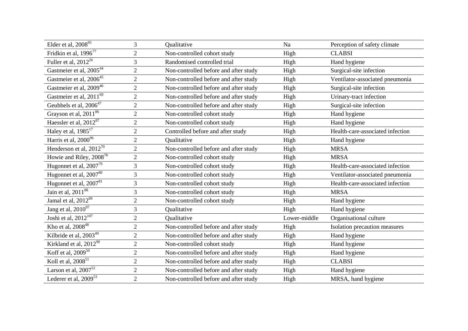| Elder et al, $2008^{95}$            | 3              | Qualitative                           | Na           | Perception of safety climate     |
|-------------------------------------|----------------|---------------------------------------|--------------|----------------------------------|
| Fridkin et al, $1996^{77}$          | $\overline{2}$ | Non-controlled cohort study           | High         | <b>CLABSI</b>                    |
| Fuller et al, 2012 <sup>26</sup>    | $\overline{3}$ | Randomised controlled trial           | High         | Hand hygiene                     |
| Gastmeier et al, 2005 <sup>44</sup> | $\overline{2}$ | Non-controlled before and after study | High         | Surgical-site infection          |
| Gastmeier et al, 2006 <sup>45</sup> | $\overline{2}$ | Non-controlled before and after study | High         | Ventilator-associated pneumonia  |
| Gastmeier et al, 2009 <sup>46</sup> | $\overline{2}$ | Non-controlled before and after study | High         | Surgical-site infection          |
| Gastmeier et al, 2011 <sup>69</sup> | $\overline{2}$ | Non-controlled before and after study | High         | Urinary-tract infection          |
| Geubbels et al, 2006 <sup>47</sup>  | $\overline{2}$ | Non-controlled before and after study | High         | Surgical-site infection          |
| Grayson et al, 2011 <sup>86</sup>   | $\overline{2}$ | Non-controlled cohort study           | High         | Hand hygiene                     |
| Haessler et al, 2012 <sup>87</sup>  | $\overline{2}$ | Non-controlled cohort study           | High         | Hand hygiene                     |
| Haley et al, $1985^{17}$            | $\overline{2}$ | Controlled before and after study     | High         | Health-care-associated infection |
| Harris et al, $2000^{96}$           | $\overline{2}$ | Qualitative                           | High         | Hand hygiene                     |
| Henderson et al, $2012^{70}$        | $\overline{2}$ | Non-controlled before and after study | High         | <b>MRSA</b>                      |
| Howie and Riley, 2008 <sup>78</sup> | $\overline{2}$ | Non-controlled cohort study           | High         | <b>MRSA</b>                      |
| Hugonnet et al, 2007 <sup>79</sup>  | 3              | Non-controlled cohort study           | High         | Health-care-associated infection |
| Hugonnet et al, 2007 <sup>80</sup>  | 3              | Non-controlled cohort study           | High         | Ventilator-associated pneumonia  |
| Hugonnet et al, 2007 <sup>81</sup>  | 3              | Non-controlled cohort study           | High         | Health-care-associated infection |
| Jain et al, 2011 <sup>88</sup>      | 3              | Non-controlled cohort study           | High         | <b>MRSA</b>                      |
| Jamal et al, 2012 <sup>89</sup>     | $\overline{2}$ | Non-controlled cohort study           | High         | Hand hygiene                     |
| Jang et al, $2010^{97}$             | 3              | Qualitative                           | High         | Hand hygiene                     |
| Joshi et al, $2012^{107}$           | $\overline{2}$ | Qualitative                           | Lower-middle | Organisational culture           |
| Kho et al, 2008 <sup>48</sup>       | $\overline{2}$ | Non-controlled before and after study | High         | Isolation precaution measures    |
| Kilbride et al, 2003 <sup>49</sup>  | $\overline{2}$ | Non-controlled before and after study | High         | Hand hygiene                     |
| Kirkland et al, 2012 <sup>90</sup>  | $\overline{2}$ | Non-controlled cohort study           | High         | Hand hygiene                     |
| Koff et al, $2009^{50}$             | $\sqrt{2}$     | Non-controlled before and after study | High         | Hand hygiene                     |
| Koll et al, $2008^{51}$             | $\sqrt{2}$     | Non-controlled before and after study | High         | <b>CLABSI</b>                    |
| Larson et al, $2007^{52}$           | $\overline{2}$ | Non-controlled before and after study | High         | Hand hygiene                     |
| Lederer et al, 2009 <sup>53</sup>   | $\overline{2}$ | Non-controlled before and after study | High         | MRSA, hand hygiene               |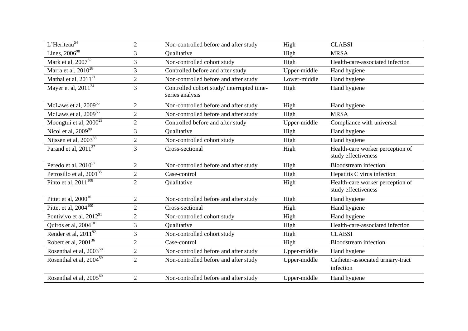| $L$ 'Heriteau <sup>54</sup>          | $\overline{2}$ | Non-controlled before and after study                        | High         | <b>CLABSI</b>                                           |
|--------------------------------------|----------------|--------------------------------------------------------------|--------------|---------------------------------------------------------|
| Lines, $2006^{98}$                   | 3              | Qualitative                                                  | High         | <b>MRSA</b>                                             |
| Mark et al, $2007^{82}$              | 3              | Non-controlled cohort study                                  | High         | Health-care-associated infection                        |
| Marra et al, 2010 <sup>28</sup>      | 3              | Controlled before and after study                            | Upper-middle | Hand hygiene                                            |
| Mathai et al, 2011 <sup>71</sup>     | $\overline{2}$ | Non-controlled before and after study                        | Lower-middle | Hand hygiene                                            |
| Mayer et al, 2011 <sup>34</sup>      | $\overline{3}$ | Controlled cohort study/interrupted time-<br>series analysis | High         | Hand hygiene                                            |
| McLaws et al, 2009 <sup>55</sup>     | $\overline{2}$ | Non-controlled before and after study                        | High         | Hand hygiene                                            |
| McLaws et al, 2009 <sup>56</sup>     | $\mathfrak{2}$ | Non-controlled before and after study                        | High         | <b>MRSA</b>                                             |
| Moongtui et al, 2000 <sup>29</sup>   | $\overline{2}$ | Controlled before and after study                            | Upper-middle | Compliance with universal                               |
| Nicol et al, $2009^{99}$             | 3              | Qualitative                                                  | High         | Hand hygiene                                            |
| Nijssen et al, $2003^{83}$           | $\mathfrak{2}$ | Non-controlled cohort study                                  | High         | Hand hygiene                                            |
| Parand et al, 2011 <sup>37</sup>     | 3              | Cross-sectional                                              | High         | Health-care worker perception of<br>study effectiveness |
| Peredo et al, 2010 <sup>57</sup>     | $\overline{2}$ | Non-controlled before and after study                        | High         | <b>Bloodstream</b> infection                            |
| Petrosillo et al, 2001 <sup>35</sup> | $\mathfrak{2}$ | Case-control                                                 | High         | Hepatitis C virus infection                             |
| Pinto et al, $2011^{108}$            | $\overline{2}$ | Qualitative                                                  | High         | Health-care worker perception of<br>study effectiveness |
| Pittet et al, $2000^{16}$            | $\overline{2}$ | Non-controlled before and after study                        | High         | Hand hygiene                                            |
| Pittet et al, $2004^{100}$           | $\overline{2}$ | Cross-sectional                                              | High         | Hand hygiene                                            |
| Pontivivo et al, 2012 <sup>91</sup>  | $\overline{2}$ | Non-controlled cohort study                                  | High         | Hand hygiene                                            |
| Quiros et al, 2004 <sup>101</sup>    | 3              | Qualitative                                                  | High         | Health-care-associated infection                        |
| Render et al, 2011 <sup>92</sup>     | 3              | Non-controlled cohort study                                  | High         | <b>CLABSI</b>                                           |
| Robert et al, $2001^{36}$            | $\overline{2}$ | Case-control                                                 | High         | <b>Bloodstream</b> infection                            |
| Rosenthal et al, 2003 <sup>58</sup>  | $\sqrt{2}$     | Non-controlled before and after study                        | Upper-middle | Hand hygiene                                            |
| Rosenthal et al, $2004^{59}$         | $\overline{2}$ | Non-controlled before and after study                        | Upper-middle | Catheter-associated urinary-tract                       |
|                                      |                |                                                              |              | infection                                               |
|                                      |                |                                                              |              |                                                         |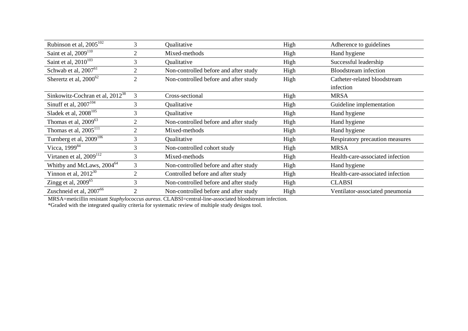| Rubinson et al, 2005 <sup>102</sup>         | 3              | Qualitative                           | High | Adherence to guidelines          |
|---------------------------------------------|----------------|---------------------------------------|------|----------------------------------|
| Saint et al, $2009^{110}$                   | $\overline{2}$ | Mixed-methods                         | High | Hand hygiene                     |
| Saint et al, $2010^{103}$                   | 3              | Qualitative                           | High | Successful leadership            |
| Schwab et al, 2007 <sup>61</sup>            | $\overline{2}$ | Non-controlled before and after study | High | <b>Bloodstream</b> infection     |
| Sherertz et al, $2000^{62}$                 | 2              | Non-controlled before and after study | High | Catheter-related bloodstream     |
|                                             |                |                                       |      | infection                        |
| Sinkowitz-Cochran et al, 2012 <sup>38</sup> | 3              | Cross-sectional                       | High | <b>MRSA</b>                      |
| Sinuff et al, $2007^{104}$                  | 3              | Qualitative                           | High | Guideline implementation         |
| Sladek et al, $2008^{105}$                  | 3              | Qualitative                           | High | Hand hygiene                     |
| Thomas et al, 2009 <sup>63</sup>            | $\overline{2}$ | Non-controlled before and after study | High | Hand hygiene                     |
| Thomas et al, 2005 <sup>111</sup>           | $\overline{2}$ | Mixed-methods                         | High | Hand hygiene                     |
| Turnberg et al, 2009 <sup>106</sup>         | 3              | Qualitative                           | High | Respiratory precaution measures  |
| Vicca, $1999^{84}$                          | 3              | Non-controlled cohort study           | High | <b>MRSA</b>                      |
| Virtanen et al, 2009 <sup>112</sup>         | 3              | Mixed-methods                         | High | Health-care-associated infection |
| Whitby and McLaws, 2004 <sup>64</sup>       | 3              | Non-controlled before and after study | High | Hand hygiene                     |
| Yinnon et al, $2012^{30}$                   | $\overline{2}$ | Controlled before and after study     | High | Health-care-associated infection |
| Zingg et al, $2009^{65}$                    | 3              | Non-controlled before and after study | High | <b>CLABSI</b>                    |
| Zuschneid et al, 2007 <sup>66</sup>         | 2              | Non-controlled before and after study | High | Ventilator-associated pneumonia  |

MRSA=meticillin resistant *Staphylococcus aureus*. CLABSI=central-line-associated bloodstream infection.

\*Graded with the integrated quality criteria for systematic review of multiple study designs tool.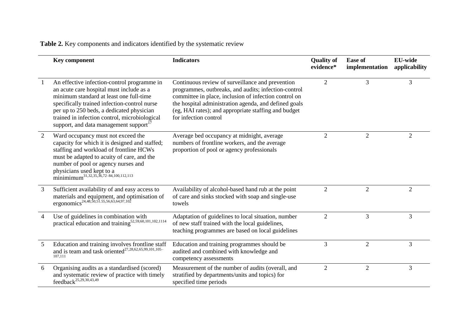|                | <b>Key component</b>                                                                                                                                                                                                                                                                                                                   | <b>Indicators</b>                                                                                                                                                                                                                                                                                           | <b>Quality of</b><br>evidence* | <b>Ease of</b><br>implementation | <b>EU-wide</b><br>applicability |
|----------------|----------------------------------------------------------------------------------------------------------------------------------------------------------------------------------------------------------------------------------------------------------------------------------------------------------------------------------------|-------------------------------------------------------------------------------------------------------------------------------------------------------------------------------------------------------------------------------------------------------------------------------------------------------------|--------------------------------|----------------------------------|---------------------------------|
| $\mathbf{1}$   | An effective infection-control programme in<br>an acute care hospital must include as a<br>minimum standard at least one full-time<br>specifically trained infection-control nurse<br>per up to 250 beds, a dedicated physician<br>trained in infection control, microbiological<br>support, and data management support <sup>17</sup> | Continuous review of surveillance and prevention<br>programmes, outbreaks, and audits; infection-control<br>committee in place, inclusion of infection control on<br>the hospital administration agenda, and defined goals<br>(eg, HAI rates); and appropriate staffing and budget<br>for infection control | $\overline{2}$                 | 3                                | 3                               |
| 2              | Ward occupancy must not exceed the<br>capacity for which it is designed and staffed;<br>staffing and workload of frontline HCWs<br>must be adapted to acuity of care, and the<br>number of pool or agency nurses and<br>physicians used kept to a<br>minimimum <sup>31,32,35,36,72-84,100,112,113</sup>                                | Average bed occupancy at midnight, average<br>numbers of frontline workers, and the average<br>proportion of pool or agency professionals                                                                                                                                                                   | $\overline{2}$                 | $\overline{2}$                   | $\overline{2}$                  |
| 3              | Sufficient availability of and easy access to<br>materials and equipment, and optimisation of<br>ergonomics <sup>24,48,50,51.55,56,63,64,97,102</sup>                                                                                                                                                                                  | Availability of alcohol-based hand rub at the point<br>of care and sinks stocked with soap and single-use<br>towels                                                                                                                                                                                         | $\overline{2}$                 | $\overline{2}$                   | $\overline{2}$                  |
| $\overline{4}$ | Use of guidelines in combination with<br>practical education and training <sup>52,59,60,101,102,1114</sup>                                                                                                                                                                                                                             | Adaptation of guidelines to local situation, number<br>of new staff trained with the local guidelines,<br>teaching programmes are based on local guidelines                                                                                                                                                 | $\overline{2}$                 | 3                                | 3                               |
| 5              | Education and training involves frontline staff<br>and is team and task oriented <sup>27,28,62,65,99,101,105–</sup><br>107,111                                                                                                                                                                                                         | Education and training programmes should be<br>audited and combined with knowledge and<br>competency assessments                                                                                                                                                                                            | 3                              | $\overline{2}$                   | 3                               |
| 6              | Organising audits as a standardised (scored)<br>and systematic review of practice with timely<br>feedback <sup>25,29,30,43,49</sup>                                                                                                                                                                                                    | Measurement of the number of audits (overall, and<br>stratified by departments/units and topics) for<br>specified time periods                                                                                                                                                                              | $\overline{2}$                 | $\overline{2}$                   | 3                               |

**Table 2.** Key components and indicators identified by the systematic review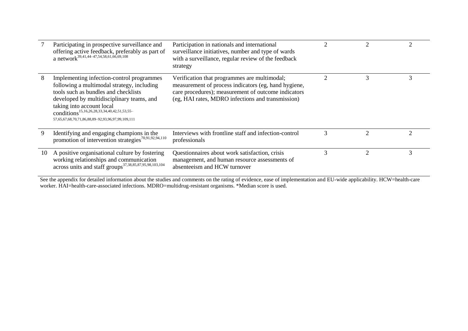|    | Participating in prospective surveillance and<br>offering active feedback, preferably as part of<br>a network <sup>39,41,44-47,54,58,61,66,69,108</sup>                                                                                                                                                                   | Participation in nationals and international<br>surveillance initiatives, number and type of wards<br>with a surveillance, regular review of the feedback<br>strategy                                            |   |   |   |
|----|---------------------------------------------------------------------------------------------------------------------------------------------------------------------------------------------------------------------------------------------------------------------------------------------------------------------------|------------------------------------------------------------------------------------------------------------------------------------------------------------------------------------------------------------------|---|---|---|
| 8  | Implementing infection-control programmes<br>following a multimodal strategy, including<br>tools such as bundles and checklists<br>developed by multidisciplinary teams, and<br>taking into account local<br>conditions <sup>15,16,26,28,33,34,40,42,51,53,55–</sup><br>57,65,67,68,70,71,86,88,89-92,93,96,97,99,109,111 | Verification that programmes are multimodal;<br>measurement of process indicators (eg, hand hygiene,<br>care procedures); measurement of outcome indicators<br>(eg, HAI rates, MDRO infections and transmission) | 2 | 3 | 3 |
| 9  | Identifying and engaging champions in the<br>promotion of intervention strategies <sup>70,91,92,94,110</sup>                                                                                                                                                                                                              | Interviews with frontline staff and infection-control<br>professionals                                                                                                                                           | 3 | 2 |   |
| 10 | A positive organisational culture by fostering<br>working relationships and communication<br>across units and staff groups <sup>37,38,85,87,95,98,103,104</sup>                                                                                                                                                           | Questionnaires about work satisfaction, crisis<br>management, and human resource assessments of<br>absenteeism and HCW turnover                                                                                  | 3 |   |   |

See the appendix for detailed information about the studies and comments on the rating of evidence, ease of implementation and EU-wide applicability. HCW=health-care worker. HAI=health-care-associated infections. MDRO=multidrug-resistant organisms. \*Median score is used.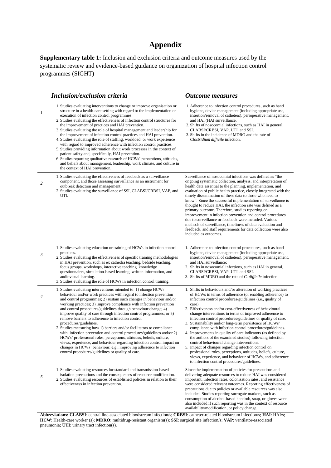# **Appendix**

**Supplementary table 1:** Inclusion and exclusion criteria and outcome measures used by the systematic review and evidence-based guidance on organization of hospital infection control programmes (SIGHT)

|   | <b>Inclusion/exclusion criteria</b>                                                                                                                                                                                                                                                                                                                                                                                                                                                                                                                                                                                                                                                                                                                                                                                                                                                                                                                                 | <b>Outcome measures</b>                                                                                                                                                                                                                                                                                                                                                                                                                                                                                                                                                                                                                                                                                                                                                                                                                                                                                                   |
|---|---------------------------------------------------------------------------------------------------------------------------------------------------------------------------------------------------------------------------------------------------------------------------------------------------------------------------------------------------------------------------------------------------------------------------------------------------------------------------------------------------------------------------------------------------------------------------------------------------------------------------------------------------------------------------------------------------------------------------------------------------------------------------------------------------------------------------------------------------------------------------------------------------------------------------------------------------------------------|---------------------------------------------------------------------------------------------------------------------------------------------------------------------------------------------------------------------------------------------------------------------------------------------------------------------------------------------------------------------------------------------------------------------------------------------------------------------------------------------------------------------------------------------------------------------------------------------------------------------------------------------------------------------------------------------------------------------------------------------------------------------------------------------------------------------------------------------------------------------------------------------------------------------------|
| 1 | 1. Studies evaluating interventions to change or improve organisation or<br>structure in a health-care setting with regard to the implementation or<br>execution of infection control programmes.<br>2. Studies evaluating the effectiveness of infection control structures for<br>the improvement of practices and HAI prevention.<br>3. Studies evaluating the role of hospital management and leadership for<br>the improvement of infection control practices and HAI prevention.<br>4. Studies evaluating the role of staffing, workload, or work experience<br>with regard to improved adherence with infection control practices.<br>5. Studies providing information about work processes in the context of<br>patient safety and, specifically, HAI prevention.<br>6. Studies reporting qualitative research of HCWs' perceptions, attitudes,<br>and beliefs about management, leadership, work climate, and culture in<br>the context of HAI prevention. | 1. Adherence to infection control procedures, such as hand<br>hygiene, device management (including appropriate use,<br>insertion/removal of catheters), perioperative management,<br>and HAI (HAI surveillance.<br>2. Shifts of nosocomial infections, such as HAI in general,<br>CLABSI/CRBSI, VAP, UTI, and SSI.<br>3. Shifts in the incidence of MDRO and the rate of<br>Clostridium difficile infection.                                                                                                                                                                                                                                                                                                                                                                                                                                                                                                             |
| 2 | 1. Studies evaluating the effectiveness of feedback as a surveillance<br>component, and those assessing surveillance as an instrument for<br>outbreak detection and management.<br>2. Studies evaluating the surveillance of SSI, CLABSI/CRBSI, VAP, and<br>UTI.                                                                                                                                                                                                                                                                                                                                                                                                                                                                                                                                                                                                                                                                                                    | Surveillance of nosocomial infections was defined as "the<br>ongoing systematic collection, analysis, and interpretation of<br>health data essential to the planning, implementation, and<br>evaluation of public health practice, closely integrated with the<br>timely dissemination of these data to those who need to<br>know". Since the successful implementation of surveillance is<br>thought to reduce HAI, the infection rate was defined as a<br>primary outcome. Therefore, studies reporting on<br>improvement in infection prevention and control procedures<br>due to surveillance or feedback were included. Various<br>methods of surveillance, timeliness of data evaluation and<br>feedback, and staff requirements for data collection were also<br>included as outcomes.                                                                                                                             |
| 3 | 1. Studies evaluating education or training of HCWs in infection control<br>practices.<br>2. Studies evaluating the effectiveness of specific training methodologies<br>in HAI prevention, such as ex cathedra teaching, bedside teaching,<br>focus groups, workshops, interactive teaching, knowledge<br>questionnaires, simulation-based learning, written information, and<br>audiovisual learning.<br>3. Studies evaluating the role of HCWs in infection control training.                                                                                                                                                                                                                                                                                                                                                                                                                                                                                     | 1. Adherence to infection control procedures, such as hand<br>hygiene, device management (including appropriate use,<br>insertion/removal of catheters), perioperative management,<br>and HAI surveillance;<br>2. Shifts in nosocomial infections, such as HAI in general,<br>CLABSI/CRBSI, VAP, UTI, and SSI.<br>3. Shifts of MDRO and the rate of C. difficile infection.                                                                                                                                                                                                                                                                                                                                                                                                                                                                                                                                               |
| 4 | 1. Studies evaluating interventions intended to: 1) change HCWs'<br>behaviour and/or work practices with regard to infection prevention<br>and control programmes; 2) sustain such changes in behaviour and/or<br>working practices; 3) improve compliance with infection prevention<br>and control procedures/guidelines through behaviour change; 4)<br>improve quality of care through infection control programmes; or 5)<br>remove barriers to adherence to infection control<br>procedures/guidelines.<br>2. Studies measuring how 1) barriers and/or facilitators to compliance<br>with infection prevention and control procedures/guidelines and/or 2)<br>HCWs' professional roles, perceptions, attitudes, beliefs, culture,<br>views, experience, and behaviour regarding infection control impact on<br>changes in HCWs' behaviour, e.g., improving adherence to infection<br>control procedures/guidelines or quality of care.                         | 1. Shifts in behaviours and/or alteration of working practices<br>of HCWs in terms of adherence (or enabling adherence) to<br>infection control procedures/guidelines (i.e., quality of<br>care).<br>2. Effectiveness and/or cost-effectiveness of behavioural<br>change interventions in terms of improved adherence to<br>infection control procedures/guidelines or quality of care.<br>3. Sustainability and/or long-term persistence of HCWs'<br>compliance with infection control procedures/guidelines.<br>4. Improvements in quality of care indicators (as defined by<br>the authors of the examined studies) following infection<br>control behavioural change interventions.<br>5. Impact of changes regarding infection control on<br>professional roles, perceptions, attitudes, beliefs, culture,<br>views, experience, and behaviour of HCWs, and adherence<br>to infection control procedures/guidelines. |
| 5 | 1. Studies evaluating resources for standard and transmission-based<br>isolation precautions and the consequences of resource modification.<br>2. Studies evaluating resources of established policies in relation to their<br>effectiveness in infection prevention.                                                                                                                                                                                                                                                                                                                                                                                                                                                                                                                                                                                                                                                                                               | Since the implementation of policies for precautions and<br>delivering adequate resources to reduce HAI was considered<br>important, infection rates, colonisation rates, and resistance<br>were considered relevant outcomes. Reporting effectiveness of<br>precautions due to policies or available resources was also<br>included. Studies reporting surrogate markers, such as<br>consumption of alcohol-based handrub, soap, or gloves were<br>also included if such reporting was in the context of resource<br>availability/modification, or policy change.                                                                                                                                                                                                                                                                                                                                                        |

**Abbreviations: CLABSI**: central line-associated bloodstream infection/s; **CRBSI**: catheter-related bloodstream infection/s; **HAI**: HAI/s; **HCW**: Health-care worker (s); **MDRO**: multidrug-resistant organism(s); **SSI**: surgical site infection/s; **VAP**: ventilator-associated pneumonia; **UTI**: urinary tract infection(s).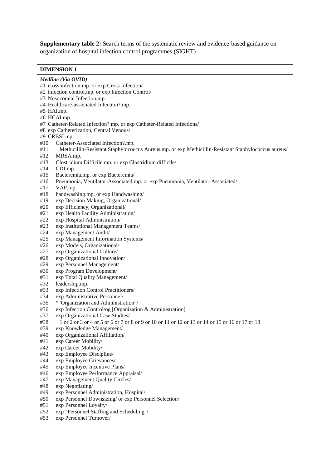**Supplementary table 2:** Search terms of the systematic review and evidence-based guidance on organization of hospital infection control programmes (SIGHT)

### **DIMENSION 1**

*Medline (Via OVID)* #1 cross infection.mp. or exp Cross Infection/ #2 infection control.mp. or exp Infection Control/ #3 Nosocomial Infection.mp. #4 Healthcare-associated Infection?.mp. #5 HAI.mp. #6 HCAI.mp. #7 Catheter-Related Infection?.mp. or exp Catheter-Related Infections/ #8 exp Catheterization, Central Venous/ #9 CRBSI.mp. #10 Catheter-Associated Infection?.mp. #11 Methicillin-Resistant Staphylococcus Aureus.mp. or exp Methicillin-Resistant Staphylococcus aureus/ #12 MRSA.mp. #13 Clostridium Difficile.mp. or exp Clostridium difficile/ #14 CDI.mp. #15 Bacteremia.mp. or exp Bacteremia/ #16 Pneumonia, Ventilator-Associated.mp. or exp Pneumonia, Ventilator-Associated/ #17 VAP.mp. #18 handwashing.mp. or exp Handwashing/ #19 exp Decision Making, Organizational/ #20 exp Efficiency, Organizational/ #21 exp Health Facility Administration/ #22 exp Hospital Administration/ #23 exp Institutional Management Teams/ #24 exp Management Audit/ #25 exp Management Information Systems/ #26 exp Models, Organizational/ #27 exp Organizational Culture/ #28 exp Organizational Innovation/ #29 exp Personnel Management/ #30 exp Program Development/ #31 exp Total Quality Management/ #32 leadership.mp. #33 exp Infection Control Practitioners/ #34 exp Administrative Personnel/ #35 \*"Organization and Administration"/ #36 exp Infection Control/og [Organization & Administration] #37 exp Organizational Case Studies/ #38 1 or 2 or 3 or 4 or 5 or 6 or 7 or 8 or 9 or 10 or 11 or 12 or 13 or 14 or 15 or 16 or 17 or 18 #39 exp Knowledge Management/ #40 exp Organizational Affiliation/ #41 exp Career Mobility/ #42 exp Career Mobility/ #43 exp Employee Discipline/ #44 exp Employee Grievances/ #45 exp Employee Incentive Plans/ #46 exp Employee Performance Appraisal/ #47 exp Management Quality Circles/ #48 exp Negotiating/ #49 exp Personnel Administration, Hospital/ #50 exp Personnel Downsizing/ or exp Personnel Selection/ #51 exp Personnel Loyalty/ #52 exp "Personnel Staffing and Scheduling"/ #53 exp Personnel Turnover/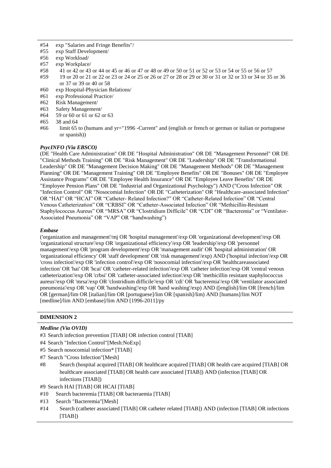- #54 exp "Salaries and Fringe Benefits"/
- #55 exp Staff Development/
- #56 exp Workload/
- #57 exp Workplace/
- #58 41 or 42 or 43 or 44 or 45 or 46 or 47 or 48 or 49 or 50 or 51 or 52 or 53 or 54 or 55 or 56 or 57
- #59 19 or 20 or 21 or 22 or 23 or 24 or 25 or 26 or 27 or 28 or 29 or 30 or 31 or 32 or 33 or 34 or 35 or 36 or 37 or 39 or 40 or 58
- #60 exp Hospital-Physician Relations/
- #61 exp Professional Practice/
- #62 Risk Management/
- #63 Safety Management/
- #64 59 or 60 or 61 or 62 or 63
- #65 38 and 64
- #66 limit 65 to (humans and yr="1996 -Current" and (english or french or german or italian or portuguese or spanish))

### *PsycINFO (Via EBSCO)*

(DE "Health Care Administration" OR DE "Hospital Administration" OR DE "Management Personnel" OR DE "Clinical Methods Training" OR DE "Risk Management" OR DE "Leadership" OR DE "Transformational Leadership" OR DE "Management Decision Making" OR DE "Management Methods" OR DE "Management Planning" OR DE "Management Training" OR DE "Employee Benefits" OR DE "Bonuses" OR DE "Employee Assistance Programs" OR DE "Employee Health Insurance" OR DE "Employee Leave Benefits" OR DE "Employee Pension Plans" OR DE "Industrial and Organizational Psychology") AND ("Cross Infection" OR "Infection Control" OR "Nosocomial Infection" OR DE "Catheterization" OR "Healthcare-associated Infection" OR "HAI" OR "HCAI" OR "Catheter- Related Infection?" OR "Catheter-Related Infection" OR "Central Venous Catheterization" OR "CRBSI" OR "Catheter-Associated Infection" OR "Methicillin-Resistant Staphylococcus Aureus" OR "MRSA" OR "Clostridium Difficile" OR "CDI" OR "Bacteremia" or "Ventilator-Associated Pneumonia" OR "VAP" OR "handwashing")

#### *Embase*

('organization and management'/mj OR 'hospital management'/exp OR 'organizational development'/exp OR 'organizational structure'/exp OR 'organizational efficiency'/exp OR 'leadership'/exp OR 'personnel management'/exp OR 'program development'/exp OR 'management audit' OR 'hospital administration' OR 'organizational efficiency' OR 'staff development' OR 'risk management'/exp) AND ('hospital infection'/exp OR 'cross infection'/exp OR 'infection control'/exp OR 'nosocomial infection'/exp OR 'healthcareassociated infection' OR 'hai' OR 'hcai' OR 'catheter-related infection'/exp OR 'catheter infection'/exp OR 'central venous catheterization'/exp OR 'crbsi' OR 'catheter-associated infection'/exp OR 'methicillin resistant staphylococcus aureus'/exp OR 'mrsa'/exp OR 'clostridium difficile'/exp OR 'cdi' OR 'bacteremia'/exp OR 'ventilator associated pneumonia'/exp OR 'vap' OR 'handwashing'/exp OR 'hand washing'/exp) AND ([english]/lim OR [french]/lim OR [german]/lim OR [italian]/lim OR [portuguese]/lim OR [spanish]/lim) AND [humans]/lim NOT [medline]/lim AND [embase]/lim AND [1996-2011]/py

### **DIMENSION 2**

#### *Medline (Via OVID)*

- [#3](http://www.ncbi.nlm.nih.gov/pubmed/advanced?querykey=3&dbase=pubmed&querytype=eSearch&) Search infection prevention [TIAB] OR infection control [TIAB]
- [#4](http://www.ncbi.nlm.nih.gov/pubmed/advanced?querykey=4&dbase=pubmed&querytype=eSearch&) Search "Infection Control"[Mesh:NoExp]
- [#5](http://www.ncbi.nlm.nih.gov/pubmed/advanced?querykey=5&dbase=pubmed&querytype=eSearch&) Search nosocomial infection\* [TIAB]
- [#7](http://www.ncbi.nlm.nih.gov/pubmed/advanced?querykey=7&dbase=pubmed&querytype=eSearch&) Search "Cross Infection"[Mesh]
- [#8](http://www.ncbi.nlm.nih.gov/pubmed/advanced?querykey=8&dbase=pubmed&querytype=eSearch&) Search (hospital acquired [TIAB] OR healthcare acquired [TIAB] OR health care acquired [TIAB] OR healthcare associated [TIAB] OR health care associated [TIAB]) AND (infection [TIAB] OR infections [TIAB])
- [#9](http://www.ncbi.nlm.nih.gov/pubmed/advanced?querykey=9&dbase=pubmed&querytype=eSearch&) Search HAI [TIAB] OR HCAI [TIAB]
- [#10](http://www.ncbi.nlm.nih.gov/pubmed/advanced?querykey=10&dbase=pubmed&querytype=eSearch&) Search bacteremia [TIAB] OR bacteraemia [TIAB]
- [#13](http://www.ncbi.nlm.nih.gov/pubmed/advanced?querykey=13&dbase=pubmed&querytype=eSearch&) Search "Bacteremia"[Mesh]
- [#14](http://www.ncbi.nlm.nih.gov/pubmed/advanced?querykey=14&dbase=pubmed&querytype=eSearch&) Search (catheter associated [TIAB] OR catheter related [TIAB]) AND (infection [TIAB] OR infections  $[TIAB]$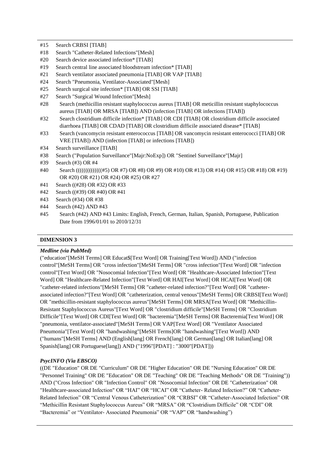- [#15](http://www.ncbi.nlm.nih.gov/pubmed/advanced?querykey=15&dbase=pubmed&querytype=eSearch&) Search CRBSI [TIAB]
- [#18](http://www.ncbi.nlm.nih.gov/pubmed/advanced?querykey=18&dbase=pubmed&querytype=eSearch&) Search "Catheter-Related Infections"[Mesh]
- [#20](http://www.ncbi.nlm.nih.gov/pubmed/advanced?querykey=20&dbase=pubmed&querytype=eSearch&) Search device associated infection\* [TIAB]
- [#19](http://www.ncbi.nlm.nih.gov/pubmed/advanced?querykey=19&dbase=pubmed&querytype=eSearch&) Search central line associated bloodstream infection\* [TIAB]
- [#21](http://www.ncbi.nlm.nih.gov/pubmed/advanced?querykey=21&dbase=pubmed&querytype=eSearch&) Search ventilator associated pneumonia [TIAB] OR VAP [TIAB]
- [#24](http://www.ncbi.nlm.nih.gov/pubmed/advanced?querykey=24&dbase=pubmed&querytype=eSearch&) Search "Pneumonia, Ventilator-Associated"[Mesh]
- [#25](http://www.ncbi.nlm.nih.gov/pubmed/advanced?querykey=25&dbase=pubmed&querytype=eSearch&) Search surgical site infection\* [TIAB] OR SSI [TIAB]
- [#27](http://www.ncbi.nlm.nih.gov/pubmed/advanced?querykey=27&dbase=pubmed&querytype=eSearch&) Search "Surgical Wound Infection"[Mesh]
- [#28](http://www.ncbi.nlm.nih.gov/pubmed/advanced?querykey=28&dbase=pubmed&querytype=eSearch&) Search (methicillin resistant staphylococcus aureus [TIAB] OR meticillin resistant staphylococcus aureus [TIAB] OR MRSA [TIAB]) AND (infection [TIAB] OR infections [TIAB])
- [#32](http://www.ncbi.nlm.nih.gov/pubmed/advanced?querykey=32&dbase=pubmed&querytype=eSearch&) Search clostridium difficile infection\* [TIAB] OR CDI [TIAB] OR clostridium difficile associated diarrhoea [TIAB] OR CDAD [TIAB] OR clostridium difficile associated disease\* [TIAB]
- [#33](http://www.ncbi.nlm.nih.gov/pubmed/advanced?querykey=33&dbase=pubmed&querytype=eSearch&) Search (vancomycin resistant enterococcus [TIAB] OR vancomycin resistant enterococci [TIAB] OR VRE [TIAB]) AND (infection [TIAB] or infections [TIAB])
- [#34](http://www.ncbi.nlm.nih.gov/pubmed/advanced?querykey=34&dbase=pubmed&querytype=eSearch&) Search surveillance [TIAB]
- [#38](http://www.ncbi.nlm.nih.gov/pubmed/advanced?querykey=38&dbase=pubmed&querytype=eSearch&) Search ("Population Surveillance"[Majr:NoExp]) OR "Sentinel Surveillance"[Majr]
- [#39](http://www.ncbi.nlm.nih.gov/pubmed/advanced?querykey=39&dbase=pubmed&querytype=eSearch&) Search (#3) OR #4
- [#40](http://www.ncbi.nlm.nih.gov/pubmed/advanced?querykey=40&dbase=pubmed&querytype=eSearch&) Search (((((((((((((((#5) OR #7) OR #8) OR #9) OR #10) OR #13) OR #14) OR #15) OR #18) OR #19) OR #20) OR #21) OR #24) OR #25) OR #27
- [#41](http://www.ncbi.nlm.nih.gov/pubmed/advanced?querykey=41&dbase=pubmed&querytype=eSearch&) Search ((#28) OR #32) OR #33
- [#42](http://www.ncbi.nlm.nih.gov/pubmed/advanced?querykey=42&dbase=pubmed&querytype=eSearch&) Search ((#39) OR #40) OR #41
- [#43](http://www.ncbi.nlm.nih.gov/pubmed/advanced?querykey=43&dbase=pubmed&querytype=eSearch&) Search (#34) OR #38
- [#44](http://www.ncbi.nlm.nih.gov/pubmed/advanced?querykey=44&dbase=pubmed&querytype=eSearch&) Search (#42) AND #43
- [#45](http://www.ncbi.nlm.nih.gov/pubmed/advanced?querykey=45&dbase=pubmed&querytype=eSearch&) Search (#42) AND #43 Limits: English, French, German, Italian, Spanish, Portuguese, Publication Date from 1996/01/01 to 2010/12/31

#### **DIMENSION 3**

#### *Medline (via PubMed)*

("education"[MeSH Terms] OR Educat\$[Text Word] OR Training[Text Word]) AND ("infection control"[MeSH Terms] OR "cross infection"[MeSH Terms] OR "cross infection"[Text Word] OR "infection control"[Text Word] OR "Nosocomial Infection"[Text Word] OR "Healthcare-Associated Infection"[Text Word] OR "Healthcare-Related Infection"[Text Word] OR HAI[Text Word] OR HCAI[Text Word] OR "catheter-related infections"[MeSH Terms] OR "catheter-related infection?"[Text Word] OR "catheterassociated infection?"[Text Word] OR "catheterization, central venous"[MeSH Terms] OR CRBSI[Text Word] OR "methicillin-resistant staphylococcus aureus"[MeSH Terms] OR MRSA[Text Word] OR "Methicillin-Resistant Staphylococcus Aureus"[Text Word] OR "clostridium difficile"[MeSH Terms] OR "Clostridium Difficile"[Text Word] OR CDI[Text Word] OR "bacteremia"[MeSH Terms] OR Bacteremia[Text Word] OR "pneumonia, ventilator-associated"[MeSH Terms] OR VAP[Text Word] OR "Ventilator Associated Pneumonia"[Text Word] OR "handwashing"[MeSH Terms]OR "handwashing"[Text Word]) AND ("humans"[MeSH Terms] AND (English[lang] OR French[lang] OR German[lang] OR Italian[lang] OR Spanish[lang] OR Portuguese[lang]) AND ("1996"[PDAT] : "3000"[PDAT]))

#### *PsycINFO (Via EBSCO)*

((DE "Education" OR DE "Curriculum" OR DE "Higher Education" OR DE "Nursing Education" OR DE "Personnel Training" OR DE "Education" OR DE "Teaching" OR DE "Teaching Methods" OR DE "Training")) AND ("Cross Infection" OR "Infection Control" OR "Nosocomial Infection" OR DE "Catheterization" OR "Healthcare-associated Infection" OR "HAI" OR "HCAI" OR "Catheter- Related Infection?" OR "Catheter-Related Infection" OR "Central Venous Catheterization" OR "CRBSI" OR "Catheter-Associated Infection" OR "Methicillin Resistant Staphylococcus Aureus" OR "MRSA" OR "Clostridium Difficile" OR "CDI" OR "Bacteremia" or "Ventilator- Associated Pneumonia" OR "VAP" OR "handwashing")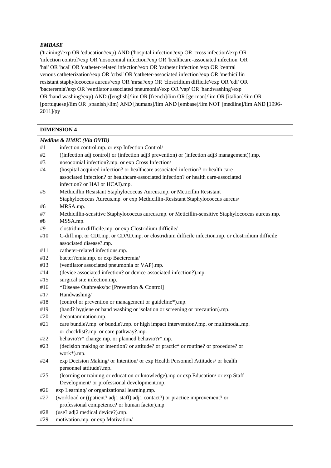### *EMBASE*

('training'/exp OR 'education'/exp) AND ('hospital infection'/exp OR 'cross infection'/exp OR 'infection control'/exp OR 'nosocomial infection'/exp OR 'healthcare-associated infection' OR 'hai' OR 'hcai' OR 'catheter-related infection'/exp OR 'catheter infection'/exp OR 'central venous catheterization'/exp OR 'crbsi' OR 'catheter-associated infection'/exp OR 'methicillin resistant staphylococcus aureus'/exp OR 'mrsa'/exp OR 'clostridium difficile'/exp OR 'cdi' OR 'bacteremia'/exp OR 'ventilator associated pneumonia'/exp OR 'vap' OR 'handwashing'/exp OR 'hand washing'/exp) AND ([english]/lim OR [french]/lim OR [german]/lim OR [italian]/lim OR [portuguese]/lim OR [spanish]/lim) AND [humans]/lim AND [embase]/lim NOT [medline]/lim AND [1996- 2011]/py

### **DIMENSION 4**

### *Medline & HMIC (Via OVID)*

| #1  | infection control.mp. or exp Infection Control/                                                   |
|-----|---------------------------------------------------------------------------------------------------|
| #2  | ((infection adj control) or (infection adj3 prevention) or (infection adj3 management)).mp.       |
| #3  | nosocomial infection?.mp. or exp Cross Infection/                                                 |
| #4  | (hospital acquired infection? or healthcare associated infection? or health care                  |
|     | associated infection? or healthcare-associated infection? or health care-associated               |
|     | infection? or HAI or HCAI).mp.                                                                    |
| #5  | Methicillin Resistant Staphylococcus Aureus.mp. or Meticillin Resistant                           |
|     | Staphylococcus Aureus.mp. or exp Methicillin-Resistant Staphylococcus aureus/                     |
| #6  | MRSA.mp.                                                                                          |
| #7  | Methicillin-sensitive Staphylococcus aureus.mp. or Meticillin-sensitive Staphylococcus aureus.mp. |
| #8  | MSSA.mp.                                                                                          |
| #9  | clostridium difficile.mp. or exp Clostridium difficile/                                           |
| #10 | C-diff.mp. or CDI.mp. or CDAD.mp. or clostridium difficile infection.mp. or clostridium difficile |
|     | associated disease?.mp.                                                                           |
| #11 | catheter-related infections.mp.                                                                   |
| #12 | bacter?emia.mp. or exp Bacteremia/                                                                |
| #13 | (ventilator associated pneumonia or VAP).mp.                                                      |
| #14 | (device associated infection? or device-associated infection?).mp.                                |
| #15 | surgical site infection.mp.                                                                       |
| #16 | *Disease Outbreaks/pc [Prevention & Control]                                                      |
| #17 | Handwashing/                                                                                      |
| #18 | (control or prevention or management or guideline*).mp.                                           |
| #19 | (hand? hygiene or hand washing or isolation or screening or precaution).mp.                       |
| #20 | decontamination.mp.                                                                               |
| #21 | care bundle?.mp. or bundle?.mp. or high impact intervention?.mp. or multimodal.mp.                |
|     | or checklist?.mp. or care pathway?.mp.                                                            |
| #22 | behavio?r* change.mp. or planned behavio?r*.mp.                                                   |
| #23 | (decision making or intention? or attitude? or practic* or routine? or procedure? or              |
|     | work*).mp.                                                                                        |
| #24 | exp Decision Making/ or Intention/ or exp Health Personnel Attitudes/ or health                   |
|     | personnel attitude?.mp.                                                                           |
| #25 | (learning or training or education or knowledge).mp or exp Education/ or exp Staff                |
|     | Development/ or professional development.mp.                                                      |
| #26 | exp Learning/ or organizational learning.mp.                                                      |
| #27 | (workload or ((patient? adj1 staff) adj1 contact?) or practice improvement? or                    |
|     | professional competence? or human factor).mp.                                                     |
| #28 | (use? adj2 medical device?).mp.                                                                   |
| #29 | motivation.mp. or exp Motivation/                                                                 |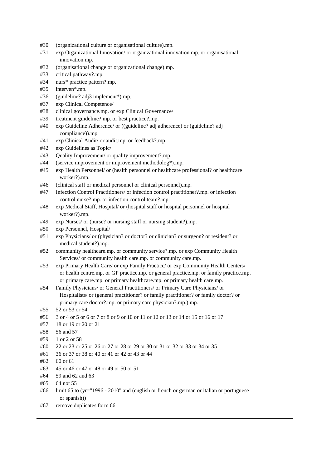- #30 (organizational culture or organisational culture).mp.
- #31 exp Organizational Innovation/ or organizational innovation.mp. or organisational innovation.mp.
- #32 (organisational change or organizational change).mp.
- #33 critical pathway?.mp.
- #34 nurs\* practice pattern?.mp.
- #35 interven\*.mp.
- #36 (guideline? adj3 implement\*).mp.
- #37 exp Clinical Competence/
- #38 clinical governance.mp. or exp Clinical Governance/
- #39 treatment guideline?.mp. or best practice?.mp.
- #40 exp Guideline Adherence/ or ((guideline? adj adherence) or (guideline? adj compliance)).mp.
- #41 exp Clinical Audit/ or audit.mp. or feedback?.mp.
- #42 exp Guidelines as Topic/
- #43 Quality Improvement/ or quality improvement?.mp.
- #44 (service improvement or improvement methodolog\*).mp.
- #45 exp Health Personnel/ or (health personnel or healthcare professional? or healthcare worker?).mp.
- #46 (clinical staff or medical personnel or clinical personnel).mp.
- #47 Infection Control Practitioners/ or infection control practitioner?.mp. or infection control nurse?.mp. or infection control team?.mp.
- #48 exp Medical Staff, Hospital/ or (hospital staff or hospital personnel or hospital worker?).mp.
- #49 exp Nurses/ or (nurse? or nursing staff or nursing student?).mp.
- #50 exp Personnel, Hospital/
- #51 exp Physicians/ or (physician? or doctor? or clinician? or surgeon? or resident? or medical student?).mp.
- #52 community healthcare.mp. or community service?.mp. or exp Community Health Services/ or community health care.mp. or community care.mp.
- #53 exp Primary Health Care/ or exp Family Practice/ or exp Community Health Centers/ or health centre.mp. or GP practice.mp. or general practice.mp. or family practice.mp. or primary care.mp. or primary healthcare.mp. or primary health care.mp.
- #54 Family Physicians/ or General Practitioners/ or Primary Care Physicians/ or Hospitalists/ or (general practitioner? or family practitioner? or family doctor? or primary care doctor?.mp. or primary care physician?.mp.).mp.
- #55 52 or 53 or 54
- #56 3 or 4 or 5 or 6 or 7 or 8 or 9 or 10 or 11 or 12 or 13 or 14 or 15 or 16 or 17
- #57 18 or 19 or 20 or 21
- #58 56 and 57
- $#59 \quad 1 \text{ or } 2 \text{ or } 58$
- #60 22 or 23 or 25 or 26 or 27 or 28 or 29 or 30 or 31 or 32 or 33 or 34 or 35
- #61 36 or 37 or 38 or 40 or 41 or 42 or 43 or 44
- #62 60 or 61
- #63 45 or 46 or 47 or 48 or 49 or 50 or 51
- #64 59 and 62 and 63
- #65 64 not 55
- #66 limit 65 to (yr="1996 2010" and (english or french or german or italian or portuguese or spanish))
- #67 remove duplicates form 66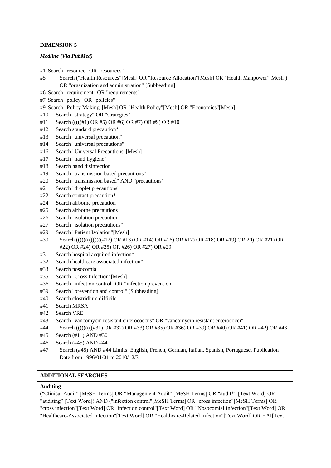### **DIMENSION 5**

#### *Medline (Via PubMed)*

- [#1](http://www.ncbi.nlm.nih.gov/pubmed/advanced?querykey=1&dbase=pubmed&querytype=eSearch&) Search "resource" OR "resources"
- [#5](http://www.ncbi.nlm.nih.gov/pubmed/advanced?querykey=5&dbase=pubmed&querytype=eSearch&) Search ("Health Resources"[Mesh] OR "Resource Allocation"[Mesh] OR "Health Manpower"[Mesh]) OR "organization and administration" [Subheading]
- [#6](http://www.ncbi.nlm.nih.gov/pubmed/advanced?querykey=6&dbase=pubmed&querytype=eSearch&) Search "requirement" OR "requirements"
- [#7](http://www.ncbi.nlm.nih.gov/pubmed/advanced?querykey=7&dbase=pubmed&querytype=eSearch&) Search "policy" OR "policies"
- [#9](http://www.ncbi.nlm.nih.gov/pubmed/advanced?querykey=9&dbase=pubmed&querytype=eSearch&) Search "Policy Making"[Mesh] OR "Health Policy"[Mesh] OR "Economics"[Mesh]
- [#10](http://www.ncbi.nlm.nih.gov/pubmed/advanced?querykey=10&dbase=pubmed&querytype=eSearch&) Search "strategy" OR "strategies"
- [#11](http://www.ncbi.nlm.nih.gov/pubmed/advanced?querykey=11&dbase=pubmed&querytype=eSearch&) Search  $(((#1) \text{ OR } #5) \text{ OR } #6) \text{ OR } #7) \text{ OR } #9) \text{ OR } #10$
- [#12](http://www.ncbi.nlm.nih.gov/pubmed/advanced?querykey=12&dbase=pubmed&querytype=eSearch&) Search standard precaution\*
- [#13](http://www.ncbi.nlm.nih.gov/pubmed/advanced?querykey=13&dbase=pubmed&querytype=eSearch&) Search "universal precaution"
- [#14](http://www.ncbi.nlm.nih.gov/pubmed/advanced?querykey=14&dbase=pubmed&querytype=eSearch&) Search "universal precautions"
- [#16](http://www.ncbi.nlm.nih.gov/pubmed/advanced?querykey=16&dbase=pubmed&querytype=eSearch&) Search "Universal Precautions"[Mesh]
- [#17](http://www.ncbi.nlm.nih.gov/pubmed/advanced?querykey=17&dbase=pubmed&querytype=eSearch&) Search "hand hygiene"
- [#18](http://www.ncbi.nlm.nih.gov/pubmed/advanced?querykey=18&dbase=pubmed&querytype=eSearch&) Search hand disinfection
- [#19](http://www.ncbi.nlm.nih.gov/pubmed/advanced?querykey=19&dbase=pubmed&querytype=eSearch&) Search "transmission based precautions"
- [#20](http://www.ncbi.nlm.nih.gov/pubmed/advanced?querykey=20&dbase=pubmed&querytype=eSearch&) Search "transmission based" AND "precautions"
- [#21](http://www.ncbi.nlm.nih.gov/pubmed/advanced?querykey=21&dbase=pubmed&querytype=eSearch&) Search "droplet precautions"
- [#22](http://www.ncbi.nlm.nih.gov/pubmed/advanced?querykey=22&dbase=pubmed&querytype=eSearch&) Search contact precaution\*
- [#24](http://www.ncbi.nlm.nih.gov/pubmed/advanced?querykey=24&dbase=pubmed&querytype=eSearch&) Search airborne precaution
- [#25](http://www.ncbi.nlm.nih.gov/pubmed/advanced?querykey=25&dbase=pubmed&querytype=eSearch&) Search airborne precautions
- [#26](http://www.ncbi.nlm.nih.gov/pubmed/advanced?querykey=26&dbase=pubmed&querytype=eSearch&) Search "isolation precaution"
- [#27](http://www.ncbi.nlm.nih.gov/pubmed/advanced?querykey=27&dbase=pubmed&querytype=eSearch&) Search "isolation precautions"
- [#29](http://www.ncbi.nlm.nih.gov/pubmed/advanced?querykey=29&dbase=pubmed&querytype=eSearch&) Search "Patient Isolation"[Mesh]
- [#30](http://www.ncbi.nlm.nih.gov/pubmed/advanced?querykey=30&dbase=pubmed&querytype=eSearch&) Search ((((((((((((((#12) OR #13) OR #14) OR #16) OR #17) OR #18) OR #19) OR 20) OR #21) OR #22) OR #24) OR #25) OR #26) OR #27) OR #29
- [#31](http://www.ncbi.nlm.nih.gov/pubmed/advanced?querykey=31&dbase=pubmed&querytype=eSearch&) Search hospital acquired infection\*
- [#32](http://www.ncbi.nlm.nih.gov/pubmed/advanced?querykey=32&dbase=pubmed&querytype=eSearch&) Search healthcare associated infection\*
- [#33](http://www.ncbi.nlm.nih.gov/pubmed/advanced?querykey=33&dbase=pubmed&querytype=eSearch&) Search nosocomial
- [#35](http://www.ncbi.nlm.nih.gov/pubmed/advanced?querykey=35&dbase=pubmed&querytype=eSearch&) Search "Cross Infection"[Mesh]
- [#36](http://www.ncbi.nlm.nih.gov/pubmed/advanced?querykey=36&dbase=pubmed&querytype=eSearch&) Search "infection control" OR "infection prevention"
- [#39](http://www.ncbi.nlm.nih.gov/pubmed/advanced?querykey=39&dbase=pubmed&querytype=eSearch&) Search "prevention and control" [Subheading]
- [#40](http://www.ncbi.nlm.nih.gov/pubmed/advanced?querykey=40&dbase=pubmed&querytype=eSearch&) Search clostridium difficile
- [#41](http://www.ncbi.nlm.nih.gov/pubmed/advanced?querykey=41&dbase=pubmed&querytype=eSearch&) Search MRSA
- [#42](http://www.ncbi.nlm.nih.gov/pubmed/advanced?querykey=42&dbase=pubmed&querytype=eSearch&) Search VRE
- [#43](http://www.ncbi.nlm.nih.gov/pubmed/advanced?querykey=43&dbase=pubmed&querytype=eSearch&) Search "vancomycin resistant enterococcus" OR "vancomycin resistant enterococci"
- [#44](http://www.ncbi.nlm.nih.gov/pubmed/advanced?querykey=44&dbase=pubmed&querytype=eSearch&) Search ((((((((((((((((((((())) OR #32) OR #33) OR #35) OR #36) OR #39) OR #40) OR #41 OR #42) OR #43
- [#45](http://www.ncbi.nlm.nih.gov/pubmed/advanced?querykey=45&dbase=pubmed&querytype=eSearch&) Search (#11) AND #30
- [#46](http://www.ncbi.nlm.nih.gov/pubmed/advanced?querykey=46&dbase=pubmed&querytype=eSearch&) Search (#45) AND #44
- [#47](http://www.ncbi.nlm.nih.gov/pubmed/advanced?querykey=47&dbase=pubmed&querytype=eSearch&) Search (#45) AND #44 Limits: English, French, German, Italian, Spanish, Portuguese, Publication Date from 1996/01/01 to 2010/12/31

#### **ADDITIONAL SEARCHES**

#### **Auditing**

("Clinical Audit" [MeSH Terms] OR "Management Audit" [MeSH Terms] OR "audit\*" [Text Word] OR "auditing" [Text Word]) AND ("infection control"[MeSH Terms] OR "cross infection"[MeSH Terms] OR "cross infection"[Text Word] OR "infection control"[Text Word] OR "Nosocomial Infection"[Text Word] OR "Healthcare-Associated Infection"[Text Word] OR "Healthcare-Related Infection"[Text Word] OR HAI[Text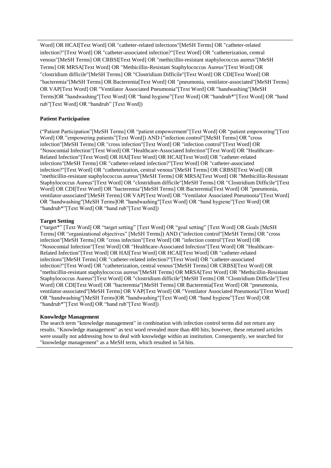Word] OR HCAI[Text Word] OR "catheter-related infections"[MeSH Terms] OR "catheter-related infection?"[Text Word] OR "catheter-associated infection?"[Text Word] OR "catheterization, central venous"[MeSH Terms] OR CRBSI[Text Word] OR "methicillin-resistant staphylococcus aureus"[MeSH Terms] OR MRSA[Text Word] OR "Methicillin-Resistant Staphylococcus Aureus"[Text Word] OR "clostridium difficile"[MeSH Terms] OR "Clostridium Difficile"[Text Word] OR CDI[Text Word] OR "bacteremia"[MeSH Terms] OR Bacteremia[Text Word] OR "pneumonia, ventilator-associated"[MeSH Terms] OR VAP[Text Word] OR "Ventilator Associated Pneumonia"[Text Word] OR "handwashing"[MeSH Terms]OR "handwashing"[Text Word] OR "hand hygiene"[Text Word] OR "handrub\*"[Text Word] OR "hand rub"[Text Word] OR "handrub" [Text Word])

### **Patient Participation**

("Patient Participation"[MeSH Terms] OR "patient empowerment"[Text Word] OR "patient empowering"[Text Word] OR "empowering patients"[Text Word]) AND ("infection control"[MeSH Terms] OR "cross infection"[MeSH Terms] OR "cross infection"[Text Word] OR "infection control"[Text Word] OR "Nosocomial Infection"[Text Word] OR "Healthcare-Associated Infection"[Text Word] OR "Healthcare-Related Infection"[Text Word] OR HAI[Text Word] OR HCAI[Text Word] OR "catheter-related infections"[MeSH Terms] OR "catheter-related infection?"[Text Word] OR "catheter-associated infection?"[Text Word] OR "catheterization, central venous"[MeSH Terms] OR CRBSI[Text Word] OR "methicillin-resistant staphylococcus aureus"[MeSH Terms] OR MRSA[Text Word] OR "Methicillin-Resistant Staphylococcus Aureus"[Text Word] OR "clostridium difficile"[MeSH Terms] OR "Clostridium Difficile"[Text Word] OR CDI[Text Word] OR "bacteremia"[MeSH Terms] OR Bacteremia[Text Word] OR "pneumonia, ventilator-associated"[MeSH Terms] OR VAP[Text Word] OR "Ventilator Associated Pneumonia"[Text Word] OR "handwashing"[MeSH Terms]OR "handwashing"[Text Word] OR "hand hygiene"[Text Word] OR "handrub\*"[Text Word] OR "hand rub"[Text Word])

### **Target Setting**

("target\*" [Text Word] OR "target setting" [Text Word] OR "goal setting" [Text Word] OR Goals [MeSH Terms] OR "organizational objectives" [MeSH Terms]) AND ("infection control"[MeSH Terms] OR "cross infection"[MeSH Terms] OR "cross infection"[Text Word] OR "infection control"[Text Word] OR "Nosocomial Infection"[Text Word] OR "Healthcare-Associated Infection"[Text Word] OR "Healthcare-Related Infection"[Text Word] OR HAI[Text Word] OR HCAI[Text Word] OR "catheter-related infections"[MeSH Terms] OR "catheter-related infection?"[Text Word] OR "catheter-associated infection?"[Text Word] OR "catheterization, central venous"[MeSH Terms] OR CRBSI[Text Word] OR "methicillin-resistant staphylococcus aureus"[MeSH Terms] OR MRSA[Text Word] OR "Methicillin-Resistant Staphylococcus Aureus"[Text Word] OR "clostridium difficile"[MeSH Terms] OR "Clostridium Difficile"[Text Word] OR CDI[Text Word] OR "bacteremia"[MeSH Terms] OR Bacteremia[Text Word] OR "pneumonia, ventilator-associated"[MeSH Terms] OR VAP[Text Word] OR "Ventilator Associated Pneumonia"[Text Word] OR "handwashing"[MeSH Terms]OR "handwashing"[Text Word] OR "hand hygiene"[Text Word] OR "handrub\*"[Text Word] OR "hand rub"[Text Word])

### **Knowledge Management**

The search term "knowledge management" in combination with infection control terms did not return any results. "Knowledge management" as text word revealed more than 400 hits; however, these returned articles were usually not addressing how to deal with knowledge within an institution. Consequently, we searched for "knowledge management" as a MeSH term, which resulted in 54 hits.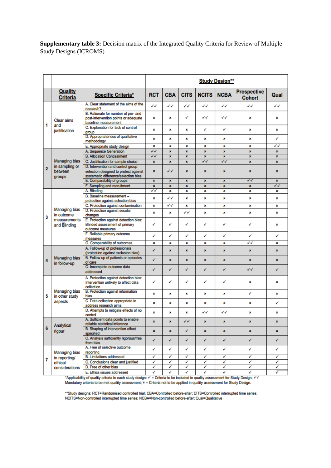**Supplementary table 3:** Decision matrix of the Integrated Quality Criteria for Review of Multiple Study Designs (ICROMS)

|                |                                                             |                                                                                                                    | <b>Study Design**</b> |            |             |                |                |                                     |              |
|----------------|-------------------------------------------------------------|--------------------------------------------------------------------------------------------------------------------|-----------------------|------------|-------------|----------------|----------------|-------------------------------------|--------------|
|                | <b>Quality</b><br><b>Criteria</b>                           | <b>Specific Criteria*</b>                                                                                          | <b>RCT</b>            | <b>CBA</b> | <b>CITS</b> | <b>NCITS</b>   | <b>NCBA</b>    | <b>Prospective</b><br><b>Cohort</b> | Qual         |
|                |                                                             | A. Clear statement of the aims of the<br>research?                                                                 | v                     | س          | س           | W              | W              | W                                   | ✓✓           |
| 1              | Clear aims                                                  | B. Rationale for number of pre- and<br>post-intervention points or adequate<br>baseline measurement                | ×                     | ×          | ✓           | س              | س              | ×                                   | ×            |
|                | and<br>justification                                        | C. Explanation for lack of control<br>group                                                                        | ×                     | ×          | ×           | ✓              | ✓              | ×                                   | ×            |
|                |                                                             | D. Appropriateness of qualitative<br>methodology                                                                   | ×                     | ×          | ×           | ×              | x              | ×                                   | ✓            |
|                |                                                             | E. Appropriate study design                                                                                        | ×                     | ×          | ×           | ×              | ×              | ×                                   | ✓            |
|                |                                                             | A. Sequence Generation                                                                                             | 77                    | x          | x           | x              | $\mathbf{x}$   | x                                   | ×            |
|                |                                                             | <b>B. Allocation Concealment</b>                                                                                   | √√                    | ×          | ×           | $\pmb{\times}$ | $\pmb{\times}$ | ×                                   | ×            |
|                | Managing bias                                               | C. Justification for sample choice                                                                                 | ×                     | x          | ×           | 77             | 11             | x                                   | ×            |
| $\overline{2}$ | in sampling or<br>between<br>groups                         | D. Intervention and control group<br>selection designed to protect against<br>systematic difference/selection bias | ×                     | ィイ         | ×           | ×              | ×              | $\pmb{\times}$                      | ×            |
|                |                                                             | E. Comparability of groups                                                                                         | ×                     | ×          | x           | ×              | $\pmb{\times}$ | ✓✓                                  | $\mathbf{x}$ |
|                |                                                             | F. Sampling and recruitment                                                                                        | ×                     | ×          | x           | ×              | $\mathbf x$    | $\pmb{\times}$                      | 77           |
|                |                                                             | A. Blinding                                                                                                        | ✓                     | ×          | ×           | ×              | x              | ×                                   | ×            |
|                | Managing bias<br>in outcome<br>measurements<br>and Blinding | B. Baseline measurement -<br>protection against selection bias                                                     | ×                     | ✓✓         | ×           | ×              | ×              | ×                                   | ×            |
|                |                                                             | C. Protection against contamination                                                                                | ×                     | ✓✓         | ×           | ×              | x              | ×                                   | x            |
| 3              |                                                             | D. Protection against secular<br>changes                                                                           | x                     | ×          | رر          | x              | x              | x                                   | ×            |
|                |                                                             | E. Protection against detection bias:<br>Blinded assessment of primary<br>outcome measures                         | ✓                     | ✓          | ✓           | ✓              | ✓              | ✓                                   | ×            |
|                |                                                             | F. Reliable primary outcome<br>measures                                                                            | ✓                     | ✓          | ✓           | ✓              | ✓              | ✓                                   | ✓            |
|                |                                                             | G. Comparability of outcomes                                                                                       | ×                     | ×          | ×           | ×              | ×              | ✓                                   | ×            |
|                |                                                             | A. Follow-up of professionals<br>(protection against exclusion bias)                                               | ✓                     | ×          | ×           | ×              | $\pmb{\times}$ | ×                                   | ×            |
| 4              | Managing bias<br>in follow-up                               | B. Follow-up of patients or episodes<br>of care                                                                    | V                     | ×          | ×           | ×              | $\mathbf x$    | ×                                   | ×            |
|                |                                                             | C. Incomplete outcome data<br>addressed                                                                            | ✓                     | ✓          | ✓           | ✓              | ✓              | $\checkmark$                        | ✓            |
|                |                                                             | A. Protection against detection bias:<br>Intervention unlikely to affect data<br>collection                        | ✓                     | ✓          | ✓           | ✓              | ✓              | ×                                   | ×            |
| 5              | Managing bias<br>in other study                             | B. Protection against information<br>bias                                                                          | ×                     | ×          | ×           | ×              | ×              | ✓                                   | ×            |
|                | aspects                                                     | C. Data collection appropriate to<br>address research aims                                                         | ×                     | ×          | ×           | ×              | ×              | ×                                   | ✓            |
|                |                                                             | D. Attempts to mitigate effects of no<br>control                                                                   | ×                     | ×          | ×           | ✓✓             | 77             | x                                   | x            |
|                | Analytical                                                  | A. Sufficient data points to enable<br>reliable statistical inference                                              | ×                     | ×          | ✓✓          | $\pmb{\times}$ | $\pmb{\times}$ | ×                                   | ×            |
| 6              | rigour                                                      | B. Shaping of intervention effect<br>specified                                                                     | x                     | ×          | ✓           | ×              | ×              | ×                                   | ×            |
|                |                                                             | C. Analysis sufficiently rigorous/free<br>from bias                                                                | ✓                     | ✓          | ✓           | ✓              | ✓              | ✓                                   | ✓            |
|                | Managing bias                                               | A. Free of selective outcome<br>reporting                                                                          | ✓                     | ✓          | ✓           | ✓              | ✓              | ✓                                   | ✓            |
| 7              | in reporting/                                               | <b>B.</b> Limitations addressed                                                                                    | ✓                     | ✓          | ✓           | ✓              | ✓              | ✓                                   | ✓            |
|                | ethical                                                     | C. Conclusions clear and justified                                                                                 | ✓                     | ✓          | ✓           | ✓              | ✓              | ✓                                   | ✓            |
|                | considerations                                              | D. Free of other bias                                                                                              | ✓                     | ✔          | ✓           | √              | ✔              | ✔                                   | ✓            |
|                |                                                             | E. Ethics issues addressed                                                                                         | ✓                     | ✓          | ✓           | ✓              | ✓              | ✓                                   | ✓            |

Applicability of quality criteria to each study design:  $\checkmark$  = Criteria to be included in quality assessment for Study Design;  $\checkmark$  /<br>Mandatory criteria to be met quality assessment;  $*$  = Criteria not to be applied in q

\*\*Study designs: RCT=Randomised controlled trial; CBA=Controlled before-after; CITS=Controlled interrupted time series; NCITS=Non-controlled interrupted time series; NCBA=Non-controlled before-after; Qual=Qualitative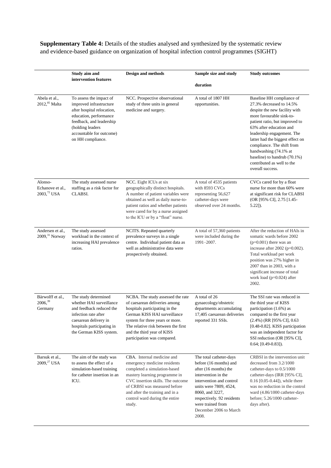**Supplementary Table 4:** Details of the studies analysed and synthesized by the systematic review and evidence-based guidance on organization of hospital infection control programmes (SIGHT)

|                                                | <b>Study aim and</b>                                                                                                                                                                                        | <b>Design and methods</b>                                                                                                                                                                                                                                                       | Sample size and study                                                                                                                                                                                                                                            | <b>Study outcomes</b>                                                                                                                                                                                                                                                                                                                                                                      |
|------------------------------------------------|-------------------------------------------------------------------------------------------------------------------------------------------------------------------------------------------------------------|---------------------------------------------------------------------------------------------------------------------------------------------------------------------------------------------------------------------------------------------------------------------------------|------------------------------------------------------------------------------------------------------------------------------------------------------------------------------------------------------------------------------------------------------------------|--------------------------------------------------------------------------------------------------------------------------------------------------------------------------------------------------------------------------------------------------------------------------------------------------------------------------------------------------------------------------------------------|
|                                                | intervention features                                                                                                                                                                                       |                                                                                                                                                                                                                                                                                 | duration                                                                                                                                                                                                                                                         |                                                                                                                                                                                                                                                                                                                                                                                            |
| Abela et al.,<br>2012, <sup>85</sup> Malta     | To assess the impact of<br>improved infrastructure<br>after hospital relocation,<br>education, performance<br>feedback, and leadership<br>(holding leaders<br>accountable for outcome)<br>on HH compliance. | NCC. Prospective observational<br>study of three units in general<br>medicine and surgery.                                                                                                                                                                                      | A total of 1807 HH<br>opportunities.                                                                                                                                                                                                                             | Baseline HH compliance of<br>27.3% decreased to 14.5%<br>despite the new facility with<br>more favourable sink-to-<br>patient ratio, but improved to<br>63% after education and<br>leadership engagement. The<br>latter had the biggest effect on<br>compliance. The shift from<br>handwashing (74.1% at<br>baseline) to handrub (70.1%)<br>contributed as well to the<br>overall success. |
| Alonso-<br>Echanove et al.,<br>$200372$ USA    | The study assessed nurse<br>staffing as a risk factor for<br>CLABSI.                                                                                                                                        | NCC. Eight ICUs at six<br>geographically distinct hospitals.<br>A number of patient variables were<br>obtained as well as daily nurse-to-<br>patient ratios and whether patients<br>were cared for by a nurse assigned<br>to the ICU or by a "float" nurse.                     | A total of 4535 patients<br>with 8593 CVCs<br>representing 56,627<br>catheter-days were<br>observed over 24 months.                                                                                                                                              | CVCs cared for by a float<br>nurse for more than 60% were<br>at significant risk for CLABSI<br>(OR [95% CI], 2.75 [1.45-<br>$5.22$ ]).                                                                                                                                                                                                                                                     |
| Andersen et al.,<br>2009, <sup>31</sup> Norway | The study assessed<br>workload in the context of<br>increasing HAI prevalence<br>ratios.                                                                                                                    | NCITS. Repeated quarterly<br>prevalence surveys in a single<br>centre. Individual patient data as<br>well as administrative data were<br>prospectively obtained.                                                                                                                | A total of 57,360 patients<br>were included during the<br>1991-2007.                                                                                                                                                                                             | After the reduction of HAIs in<br>somatic wards before 2002<br>$(p=0.001)$ there was an<br>increase after 2002 ( $p=0.002$ ).<br>Total workload per work<br>position was 27% higher in<br>2007 than in 2003, with a<br>significant increase of total<br>work load ( $p=0.024$ ) after<br>2002.                                                                                             |
| Bärwolff et al.,<br>$2006, ^{39}$<br>Germany   | The study determined<br>whether HAI surveillance<br>and feedback reduced the<br>infection rate after<br>caesarean delivery in<br>hospitals participating in<br>the German KISS system.                      | NCBA. The study assessed the rate<br>of caesarean deliveries among<br>hospitals participating in the<br>German KISS HAI surveillance<br>system for three years or more.<br>The relative risk between the first<br>and the third year of KISS<br>participation was compared.     | A total of 26<br>gynaecology/obstetric<br>departments accumulating<br>17,405 caesarean deliveries<br>reported 331 SSIs.                                                                                                                                          | The SSI rate was reduced in<br>the third year of KISS<br>participation (1.6%) as<br>compared to the first year<br>$(2.4\%)$ (RR [95% CI], 0.63<br>[0.48-0.82]. KISS participation<br>was an independent factor for<br>SSI reduction (OR [95% CI],<br>$0.64$ ; [0.49-0.83]).                                                                                                                |
| Barsuk et al.,<br>2009, <sup>27</sup> USA      | The aim of the study was<br>to assess the effect of a<br>simulation-based training<br>for catheter insertion in an<br>ICU.                                                                                  | CBA. Internal medicine and<br>emergency medicine residents<br>completed a simulation-based<br>mastery learning programme in<br>CVC insertion skills. The outcome<br>of CRBSI was measured before<br>and after the training and in a<br>control ward during the entire<br>study. | The total catheter-days<br>before (16 months) and<br>after (16 months) the<br>intervention in the<br>intervention and control<br>units were 7809, 4524,<br>8060, and 3227,<br>respectively. 92 residents<br>were trained from<br>December 2006 to March<br>2008. | CRBSI in the intervention unit<br>decreased from 3.2/1000<br>catheter-days to 0.5/1000<br>catheter-days (IRR [95% CI],<br>$0.16$ [0.05-0.44]), while there<br>was no reduction in the control<br>ward (4.86/1000 catheter-days<br>before; 5.26/1000 catheter-<br>days after).                                                                                                              |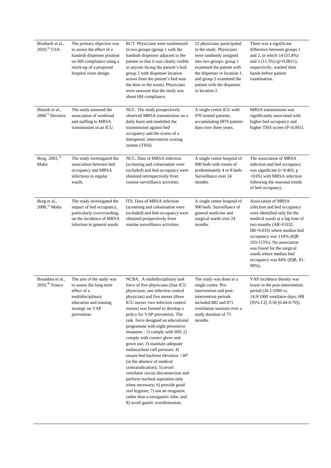| Birnbach et al.,<br>2010, <sup>24</sup> USA    | The primary objective was<br>to assess the effect of a<br>handrub dispenser position<br>on HH compliance using a<br>mock-up of a proposed<br>hospital room design. | RCT. Physicians were randomized<br>in two groups (group 1 with the<br>handrub dispenser adjacent to the<br>patient so that it was clearly visible<br>to anyone facing the patient's bed;<br>group 2 with dispenser location<br>across from the patient's bed near<br>the door to the room). Physicians<br>were unaware that the study was<br>about HH compliance.                                                                                                                                                                                                                                                                                                                                                                                                                                             | 52 physicians participated<br>in the study. Physicians<br>were randomly assigned<br>into two groups: group 1<br>examined the patient with<br>the dispenser in location 1,<br>and group 2 examined the<br>patient with the dispenser<br>in location 2. | There was a significant<br>difference between groups 1<br>and 2, in which 14 (53.8%)<br>and 3 $(11.5\%)$ (p=0.0011),<br>respectively, washed their<br>hands before patient<br>examination.                                                                                                                                               |
|------------------------------------------------|--------------------------------------------------------------------------------------------------------------------------------------------------------------------|---------------------------------------------------------------------------------------------------------------------------------------------------------------------------------------------------------------------------------------------------------------------------------------------------------------------------------------------------------------------------------------------------------------------------------------------------------------------------------------------------------------------------------------------------------------------------------------------------------------------------------------------------------------------------------------------------------------------------------------------------------------------------------------------------------------|-------------------------------------------------------------------------------------------------------------------------------------------------------------------------------------------------------------------------------------------------------|------------------------------------------------------------------------------------------------------------------------------------------------------------------------------------------------------------------------------------------------------------------------------------------------------------------------------------------|
| Blatnik et al.,<br>2006 <sup>73</sup> Slovenia | The study assessed the<br>association of workload<br>and staffing to MRSA<br>transmission in an ICU.                                                               | NCC. The study prospectively<br>observed MRSA transmission on a<br>daily basis and modelled the<br>transmission against bed<br>occupancy and the scores of a<br>therapeutic intervention scoring<br>system (TISS).                                                                                                                                                                                                                                                                                                                                                                                                                                                                                                                                                                                            | A single centre ICU with<br>970 treated patients,<br>accumulating 6876 patient-<br>days over three years.                                                                                                                                             | MRSA transmission was<br>significantly associated with<br>higher bed occupancy and<br>higher TISS scores (P<0.001).                                                                                                                                                                                                                      |
| Borg, 2003, <sup>74</sup><br>Malta             | The study investigated the<br>association between bed<br>occupancy and MRSA<br>infections in regular<br>wards.                                                     | NCC. Data of MRSA infection<br>(screening and colonisation were<br>excluded) and bed occupancy were<br>obtained retrospectively from<br>routine surveillance activities.                                                                                                                                                                                                                                                                                                                                                                                                                                                                                                                                                                                                                                      | A single centre hospital of<br>900 beds with rooms of<br>predominantly 4 or 8 beds.<br>Surveillance over 24<br>months.                                                                                                                                | The association of MRSA<br>infection and bed occupancy<br>was significant ( $r=0.463$ ; p<br><0:05) with MRSA infection<br>following the seasonal trends<br>of bed occupancy.                                                                                                                                                            |
| Borg et al.,<br>$2008$ , $32$ Malta            | The study investigated the<br>impact of bed occupancy,<br>particularly overcrowding,<br>on the incidence of MRSA<br>infection in general wards.                    | ITS. Data of MRSA infection<br>(screening and colonisation were<br>excluded) and bed occupancy were<br>obtained prospectively from<br>routine surveillance activities.                                                                                                                                                                                                                                                                                                                                                                                                                                                                                                                                                                                                                                        | A single centre hospital of<br>900 beds. Surveillance of<br>general medicine and<br>surgical wards over 24<br>months.                                                                                                                                 | Association of MRSA<br>infection and bed occupancy<br>were identified only for the<br>medical wards at a lag time of<br>two months (AR=0.032;<br>IIR= $0.033$ ) where median bed<br>occupancy was 110% (IQR<br>103-115%). No association<br>was found for the surgical<br>wards where median bed<br>occupancy was 84% (IQR, 81-<br>90%). |
| Bouadma et al.,<br>$2010,40$ France            | The aim of the study was<br>to assess the long-term<br>effect of a<br>multidisciplinary<br>education and training<br>strategy on VAP<br>prevention.                | NCBA. A multidisciplinary task<br>force of five physicians (four ICU<br>physicians; one infection control<br>physician) and five nurses (three<br>ICU nurses /two infection control<br>nurses) was formed to develop a<br>policy for VAP prevention. The<br>task force designed an educational<br>programme with eight preventive<br>measures : 1) comply with HH; 2)<br>comply with correct glove and<br>gown use; 3) maintain adequate<br>endotracheal cuff pressure; 4)<br>ensure bed backrest elevation >30°<br>(in the absence of medical<br>contraindication); 5) avoid<br>ventilator circuit disconnection and<br>perform tracheal aspiration only<br>when necessary; 6) provide good<br>oral hygiene; 7) use an orogastric<br>rather than a nasogastric tube; and<br>8) avoid gastric overdistension. | The study was done in a<br>single centre. Pre-<br>intervention and post-<br>intervention periods<br>included 882 and 871<br>ventilation sessions over a<br>study duration of 75<br>months.                                                            | VAP incidence density was<br>lower in the post-intervention<br>period (26.1/1000 vs.<br>14.9/1000 ventilator-days; HR<br>[95% CI], 0.56 [0.44-0.70]).                                                                                                                                                                                    |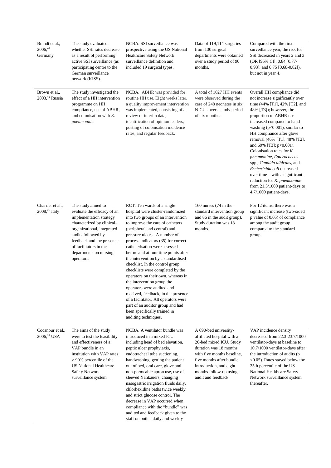| Brandt et al.,<br>2006,41<br>Germany           | The study evaluated<br>whether SSI rates decrease<br>as a result of performing<br>active SSI surveillance (as<br>participating centre to the<br>German surveillance<br>network (KISS).                                                                        | NCBA. SSI surveillance was<br>prospective using the US National<br>Healthcare Safety Network<br>surveillance definition and<br>included 19 surgical types.                                                                                                                                                                                                                                                                                                                                                                                                                                                                                                                                                          | Data of 119,114 surgeries<br>from 130 surgical<br>departments were obtained<br>over a study period of 90<br>months.                                                                                                                            | Compared with the first<br>surveillance year, the risk for<br>SSI decreased in years 2 and 3<br>(OR [95% CI], 0.84 [0.77-<br>0.93]; and 0.75 [0.68-0.82]),<br>but not in year 4.                                                                                                                                                                                                                                                                                                                                                                                  |
|------------------------------------------------|---------------------------------------------------------------------------------------------------------------------------------------------------------------------------------------------------------------------------------------------------------------|---------------------------------------------------------------------------------------------------------------------------------------------------------------------------------------------------------------------------------------------------------------------------------------------------------------------------------------------------------------------------------------------------------------------------------------------------------------------------------------------------------------------------------------------------------------------------------------------------------------------------------------------------------------------------------------------------------------------|------------------------------------------------------------------------------------------------------------------------------------------------------------------------------------------------------------------------------------------------|-------------------------------------------------------------------------------------------------------------------------------------------------------------------------------------------------------------------------------------------------------------------------------------------------------------------------------------------------------------------------------------------------------------------------------------------------------------------------------------------------------------------------------------------------------------------|
| Brown et al.,<br>2003,42 Russia                | The study investigated the<br>effect of a HH intervention<br>programme on HH<br>compliance, use of ABHR,<br>and colonisation with $K$ .<br>pneumoniae.                                                                                                        | NCBA. ABHR was provided for<br>routine HH use. Eight weeks later,<br>a quality improvement intervention<br>was implemented, consisting of a<br>review of interim data,<br>identification of opinion leaders,<br>posting of colonisation incidence<br>rates, and regular feedback.                                                                                                                                                                                                                                                                                                                                                                                                                                   | A total of 1027 HH events<br>were observed during the<br>care of 248 neonates in six<br>NICUs over a study period<br>of six months.                                                                                                            | Overall HH compliance did<br>not increase significantly over<br>time (44% [T1], 42% [T2], and<br>48% [T3]); however, the<br>proportion of ABHR use<br>increased compared to hand<br>washing $(p<0.001)$ , similar to<br>HH compliance after glove<br>removal (46% [T1], 48% [T2],<br>and 69% [T3]; p<0.001).<br>Colonisation rates for K.<br>pneumoniae, Enterococcus<br>spp., Candida albicans, and<br>Escherichia coli decreased<br>over time $-$ with a significant<br>reduction for K. pneumoniae<br>from 21.5/1000 patient-days to<br>4.7/1000 patient-days. |
| Charrier et al.,<br>$2008$ <sup>25</sup> Italy | The study aimed to<br>evaluate the efficacy of an<br>implementation strategy<br>characterized by clinical-<br>organizational, integrated<br>audits followed by<br>feedback and the presence<br>of facilitators in the<br>departments on nursing<br>operators. | RCT. Ten wards of a single<br>hospital were cluster-randomized<br>into two groups of an intervention<br>to improve the care of catheters<br>(peripheral and central) and<br>pressure ulcers. A number of<br>process indicators (35) for correct<br>catheterisation were assessed<br>before and at four time points after<br>the intervention by a standardised<br>checklist. In the control group,<br>checklists were completed by the<br>operators on their own, whereas in<br>the intervention group the<br>operators were audited and<br>received, feedback, in the presence<br>of a facilitator. All operators were<br>part of an auditor group and had<br>been specifically trained in<br>auditing techniques. | 160 nurses $(74$ in the<br>standard intervention group<br>and 86 in the audit group).<br>Study duration was 18<br>months.                                                                                                                      | For 12 items, there was a<br>significant increase (two-sided<br>p value of 0.05) of compliance<br>among the audit group<br>compared to the standard<br>group.                                                                                                                                                                                                                                                                                                                                                                                                     |
| Cocanour et al.,<br>2006, <sup>43</sup> USA    | The aims of the study<br>were to test the feasibility<br>and effectiveness of a<br>VAP bundle in an<br>institution with VAP rates<br>$> 90\%$ percentile of the<br><b>US National Healthcare</b><br><b>Safety Network</b><br>surveillance system.             | NCBA. A ventilator bundle was<br>introduced in a mixed ICU<br>including head of bed elevation,<br>peptic ulcer prophylaxis,<br>endotracheal tube suctioning,<br>handwashing, getting the patient<br>out of bed, oral care, glove and<br>non-permeable apron use, use of<br>sleeved Yankauers, changing<br>nasogastric irrigation fluids daily,<br>chlorhexidine baths twice weekly,<br>and strict glucose control. The<br>decrease in VAP occurred when<br>compliance with the "bundle" was<br>audited and feedback given to the<br>staff on both a daily and weekly                                                                                                                                                | A 690-bed university-<br>affiliated hospital with a<br>20-bed mixed ICU. Study<br>duration was 18 months<br>with five months baseline,<br>five months after bundle<br>introduction, and eight<br>months follow-up using<br>audit and feedback. | VAP incidence density<br>decreased from 22.3-23.7/1000<br>ventilator-days at baseline to<br>10.7/1000 ventilator-days after<br>the introduction of audits (p<br><0.05). Rates stayed below the<br>25th percentile of the US<br>National Healthcare Safety<br>Network surveillance system<br>thereafter.                                                                                                                                                                                                                                                           |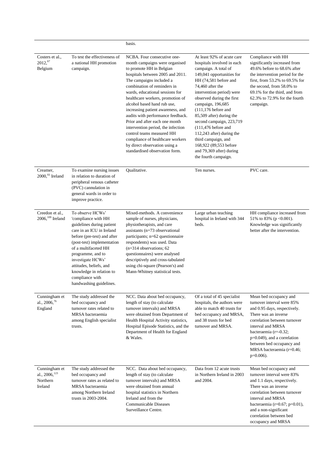|                                                        |                                                                                                                                                                                                                                                                                                                                       | basis.                                                                                                                                                                                                                                                                                                                                                                                                                                                                                                                                                                               |                                                                                                                                                                                                                                                                                                                                                                                                                                                                                         |                                                                                                                                                                                                                                                                                                              |
|--------------------------------------------------------|---------------------------------------------------------------------------------------------------------------------------------------------------------------------------------------------------------------------------------------------------------------------------------------------------------------------------------------|--------------------------------------------------------------------------------------------------------------------------------------------------------------------------------------------------------------------------------------------------------------------------------------------------------------------------------------------------------------------------------------------------------------------------------------------------------------------------------------------------------------------------------------------------------------------------------------|-----------------------------------------------------------------------------------------------------------------------------------------------------------------------------------------------------------------------------------------------------------------------------------------------------------------------------------------------------------------------------------------------------------------------------------------------------------------------------------------|--------------------------------------------------------------------------------------------------------------------------------------------------------------------------------------------------------------------------------------------------------------------------------------------------------------|
| Costers et al.,<br>$2012, ^{67}$<br>Belgium            | To test the effectiveness of<br>a national HH promotion<br>campaign.                                                                                                                                                                                                                                                                  | NCBA. Four consecutive one-<br>month campaigns were organised<br>to promote HH in Belgian<br>hospitals between 2005 and 2011.<br>The campaigns included a<br>combination of reminders in<br>wards, educational sessions for<br>healthcare workers, promotion of<br>alcohol based hand rub use,<br>increasing patient awareness, and<br>audits with performance feedback.<br>Prior and after each one month<br>intervention period, the infection<br>control teams measured HH<br>compliance of healthcare workers<br>by direct observation using a<br>standardised observation form. | At least 92% of acute care<br>hospitals involved in each<br>campaign. A total of<br>149,041 opportunities for<br>HH (74,581 before and<br>74,460 after the<br>intervention period) were<br>observed during the first<br>campaign, 196,685<br>$(111, 176$ before and<br>85,509 after) during the<br>second campaign, 223,719<br>$(111, 476$ before and<br>112,243 after) during the<br>third campaign, and<br>168,922 (89,553 before<br>and 79,369 after) during<br>the fourth campaign. | Compliance with HH<br>significantly increased from<br>49.6% before to 68.6% after<br>the intervention period for the<br>first, from $53.2\%$ to 69.5% for<br>the second, from 58.0% to<br>69.1% for the third, and from<br>62.3% to 72.9% for the fourth<br>campaign.                                        |
| Creamer,<br>$2000$ , $93$ Ireland                      | To examine nursing issues<br>in relation to duration of<br>peripheral venous catheter<br>(PVC) cannulation in<br>general wards in order to<br>improve practice.                                                                                                                                                                       | Qualitative.                                                                                                                                                                                                                                                                                                                                                                                                                                                                                                                                                                         | Ten nurses.                                                                                                                                                                                                                                                                                                                                                                                                                                                                             | PVC care.                                                                                                                                                                                                                                                                                                    |
| Creedon et al.,<br>$2006$ , $^{109}$ Ireland           | To observe HCWs'<br>'compliance with HH<br>guidelines during patient<br>care in an ICU in Ireland<br>before (pre-test) and after<br>(post-test) implementation<br>of a multifaceted HH<br>programme, and to<br>investigate HCWs'<br>attitudes, beliefs, and<br>knowledge in relation to<br>compliance with<br>handwashing guidelines. | Mixed-methods. A convenience<br>sample of nurses, physicians,<br>physiotherapists, and care<br>assistants ( $n=73$ observational<br>participants; n=62 questionnaire<br>respondents) was used. Data<br>$(n=314$ observations; 62<br>questionnaires) were analysed<br>descriptively and cross-tabulated<br>using chi-square (Pearson's) and<br>Mann-Whitney statistical tests.                                                                                                                                                                                                        | Large urban teaching<br>hospital in Ireland with 344<br>beds.                                                                                                                                                                                                                                                                                                                                                                                                                           | HH compliance increased from<br>51% to 83% ( $p < 0.001$ ).<br>Knowledge was significantly<br>better after the intervention.                                                                                                                                                                                 |
| Cunningham et<br>al., 2006, <sup>76</sup><br>England   | The study addressed the<br>bed occupancy and<br>turnover rates related to<br>MRSA bacteraemia<br>among English specialist<br>trusts.                                                                                                                                                                                                  | NCC. Data about bed occupancy,<br>length of stay (to calculate<br>turnover intervals) and MRSA<br>were obtained from Department of<br>Health Hospital Activity statistics,<br>Hospital Episode Statistics, and the<br>Department of Health for England<br>& Wales.                                                                                                                                                                                                                                                                                                                   | Of a total of 45 specialist<br>hospitals, the authors were<br>able to match 40 trusts for<br>bed occupancy and MRSA,<br>and 38 trusts for bed<br>turnover and MRSA.                                                                                                                                                                                                                                                                                                                     | Mean bed occupancy and<br>turnover interval were 85%<br>and 0.95 days, respectively.<br>There was an inverse<br>correlation between turnover<br>interval and MRSA<br>bacteraemia $(r=0.32)$ ;<br>$p=0.049$ , and a correlation<br>between bed occupancy and<br>MRSA bacteraemia ( $r=0.46$ ;<br>$p=0.006$ ). |
| Cunningham et<br>al., 2006, 123<br>Northern<br>Ireland | The study addressed the<br>bed occupancy and<br>turnover rates as related to<br>MRSA bacteraemia<br>among Northern Ireland<br>trusts in 2003-2004.                                                                                                                                                                                    | NCC. Data about bed occupancy,<br>length of stay (to calculate<br>turnover intervals) and MRSA<br>were obtained from annual<br>hospital statistics in Northern<br>Ireland and from the<br><b>Communicable Diseases</b><br>Surveillance Centre.                                                                                                                                                                                                                                                                                                                                       | Data from 12 acute trusts<br>in Northern Ireland in 2003<br>and 2004.                                                                                                                                                                                                                                                                                                                                                                                                                   | Mean bed occupancy and<br>turnover interval were 83%<br>and 1.1 days, respectively.<br>There was an inverse<br>correlation between turnover<br>interval and MRSA<br>bacteraemia ( $r=0.67$ ; $p=0.01$ ),<br>and a non-significant<br>correlation between bed<br>occupancy and MRSA                           |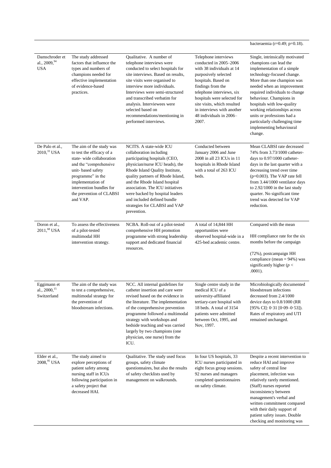|                                                        |                                                                                                                                                                                                                                                |                                                                                                                                                                                                                                                                                                                                                                                       |                                                                                                                                                                                                                                                                                                              | bacteraemia ( $r=0.49$ ; $p=0.18$ ).                                                                                                                                                                                                                                                                                                                                                                               |
|--------------------------------------------------------|------------------------------------------------------------------------------------------------------------------------------------------------------------------------------------------------------------------------------------------------|---------------------------------------------------------------------------------------------------------------------------------------------------------------------------------------------------------------------------------------------------------------------------------------------------------------------------------------------------------------------------------------|--------------------------------------------------------------------------------------------------------------------------------------------------------------------------------------------------------------------------------------------------------------------------------------------------------------|--------------------------------------------------------------------------------------------------------------------------------------------------------------------------------------------------------------------------------------------------------------------------------------------------------------------------------------------------------------------------------------------------------------------|
| Damschroder et<br>al., 2009, 94<br><b>USA</b>          | The study addressed<br>factors that influence the<br>types and numbers of<br>champions needed for<br>effective implementation<br>of evidence-based<br>practices.                                                                               | Qualitative. A number of<br>telephone interviews were<br>conducted to select hospitals for<br>site interviews. Based on results,<br>site visits were organised to<br>interview more individuals.<br>Interviews were semi-structured<br>and transcribed verbatim for<br>analysis. Interviewees were<br>selected based on<br>recommendations/mentioning in<br>performed interviews.     | Telephone interviews<br>conducted in 2005-2006<br>with 38 individuals at 14<br>purposively selected<br>hospitals. Based on<br>findings from the<br>telephone interviews, six<br>hospitals were selected for<br>site visits, which resulted<br>in interviews with another<br>48 individuals in 2006-<br>2007. | Single, intrinsically motivated<br>champions can lead the<br>implementation of a simple<br>technology-focused change.<br>More than one champion was<br>needed when an improvement<br>required individuals to change<br>behaviour. Champions in<br>hospitals with low-quality<br>working relationships across<br>units or professions had a<br>particularly challenging time<br>implementing behavioural<br>change. |
| De Palo et al.,<br>2010, <sup>33</sup> USA             | The aim of the study was<br>to test the efficacy of a<br>state-wide collaboration<br>and the "comprehensive<br>unit-based safety<br>programme" in the<br>implementation of<br>intervention bundles for<br>the prevention of CLABSI<br>and VAP. | NCITS. A state-wide ICU<br>collaboration including<br>participating hospitals (CEO,<br>physician/nurse ICU heads), the<br>Rhode Island Quality Institute,<br>quality partners of Rhode Island,<br>and the Rhode Island hospital<br>association. The ICU initiatives<br>were backed by hospital leaders<br>and included defined bundle<br>strategies for CLABSI and VAP<br>prevention. | Conducted between<br>January 2006 and June<br>2008 in all 23 ICUs in 11<br>hospitals in Rhode Island<br>with a total of 263 ICU<br>beds.                                                                                                                                                                     | Mean CLABSI rate decreased<br>74% from 3.73/1000 catheter-<br>days to 0.97/1000 catheter-<br>days in the last quarter with a<br>decreasing trend over time<br>$(p=0.003)$ . The VAP rate fell<br>from 3.44/1000 ventilator days<br>to $2.92/1000$ in the last study<br>quarter. No significant time<br>trend was detected for VAP<br>reduction.                                                                    |
| Doron et al.,<br>2011, <sup>68</sup> USA               | To assess the effectiveness<br>of a pilot-tested<br>multimodal HH<br>intervention strategy.                                                                                                                                                    | NCBA. Roll-out of a pilot-tested<br>comprehensive HH promotion<br>programme with strong leadership<br>support and dedicated financial<br>resources.                                                                                                                                                                                                                                   | A total of 14,844 HH<br>opportunities were<br>observed hospital-wide in a<br>425-bed academic centre.                                                                                                                                                                                                        | Compared with the mean<br>HH compliance rate for the six<br>months before the campaign<br>(72%), postcampaign HH<br>compliance (mean = $94\%$ ) was<br>significantly higher ( $p <$<br>$.0001$ ).                                                                                                                                                                                                                  |
| Eggimann et<br>al., 2000, <sup>15</sup><br>Switzerland | The aim of the study was<br>to test a comprehensive,<br>multimodal strategy for<br>the prevention of<br>bloodstream infections.                                                                                                                | NCC. All internal guidelines for<br>catheter insertion and care were<br>revised based on the evidence in<br>the literature. The implementation<br>of the comprehensive prevention<br>programme followed a multimodal<br>strategy with workshops and<br>bedside teaching and was carried<br>largely by two champions (one<br>physician, one nurse) from the<br>ICU.                    | Single centre study in the<br>medical ICU of a<br>university-affiliated<br>tertiary-care hospital with<br>18 beds. A total of 3154<br>patients were admitted<br>between Oct, 1995, and<br>Nov, 1997.                                                                                                         | Microbiologically documented<br>bloodstream infections<br>decreased from 2.4/1000<br>device days to 0.8/1000 (RR<br>[95% CI]: $0.31$ [ $0.09 - 0.53$ ]).<br>Rates of respiratory and UTI<br>remained unchanged.                                                                                                                                                                                                    |
| Elder et al.,<br>2008,95 USA                           | The study aimed to<br>explore perceptions of<br>patient safety among<br>nursing staff in ICUs<br>following participation in<br>a safety project that<br>decreased HAI.                                                                         | Qualitative. The study used focus<br>groups, safety climate<br>questionnaires, but also the results<br>of safety checklists used by<br>management on walkrounds.                                                                                                                                                                                                                      | In four US hospitals, 33<br>ICU nurses participated in<br>eight focus group sessions.<br>92 nurses and managers<br>completed questionnaires<br>on safety climate.                                                                                                                                            | Despite a recent intervention to<br>reduce HAI and improve<br>safety of central line<br>placement, infection was<br>relatively rarely mentioned.<br>(Staff) nurses reported<br>inconsistency between<br>management's verbal and<br>written commitment compared<br>with their daily support of<br>patient safety issues. Double<br>checking and monitoring was                                                      |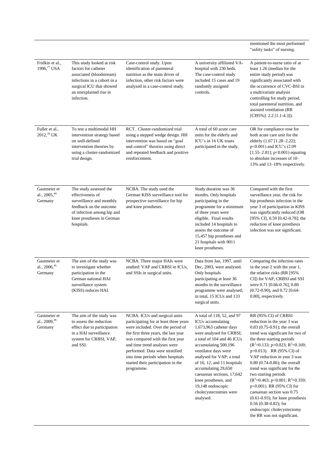|                                          |                                                                                                                                                                                  |                                                                                                                                                                                                                                                                                                                                                     |                                                                                                                                                                                                                                                                                                                                                                                           | mentioned the most performed<br>"safety tasks" of nursing.                                                                                                                                                                                                                                                                                                                                                                                                                                                                                                                                |
|------------------------------------------|----------------------------------------------------------------------------------------------------------------------------------------------------------------------------------|-----------------------------------------------------------------------------------------------------------------------------------------------------------------------------------------------------------------------------------------------------------------------------------------------------------------------------------------------------|-------------------------------------------------------------------------------------------------------------------------------------------------------------------------------------------------------------------------------------------------------------------------------------------------------------------------------------------------------------------------------------------|-------------------------------------------------------------------------------------------------------------------------------------------------------------------------------------------------------------------------------------------------------------------------------------------------------------------------------------------------------------------------------------------------------------------------------------------------------------------------------------------------------------------------------------------------------------------------------------------|
| Fridkin et al.,<br>1996,77 USA           | This study looked at risk<br>factors for catheter<br>associated (bloodstream)<br>infections in a cohort in a<br>surgical ICU that showed<br>an unexplained rise in<br>infection. | Case-control study. Upon<br>identification of parenteral<br>nutrition as the main driver of<br>infection, other risk factors were<br>analyzed in a case-control study.                                                                                                                                                                              | A university affiliated VA-<br>hospital with 230 beds.<br>The case-control study<br>included 15 cases and 19<br>randomly assigned<br>controls.                                                                                                                                                                                                                                            | A patient-to-nurse ratio of at<br>least 1.26 (median for the<br>entire study period) was<br>significantly associated with<br>the occurrence of CVC-BSI in<br>a multivariate analysis<br>controlling for study period,<br>total parenteral nutrition, and<br>assisted ventilation (RR)<br>$[CI95\%]: 2.2 [1.1-4.3]).$                                                                                                                                                                                                                                                                      |
| Fuller et al.,<br>2012, <sup>26</sup> UK | To test a multimodal HH<br>intervention strategy based<br>on well-defined<br>intervention theories by<br>using a cluster-randomized<br>trial design.                             | RCT. Cluster-randomized trial<br>using a stepped wedge design. HH<br>intervention was based on "goal<br>and control" theories using direct<br>and repeated feedback and positive<br>reinforcement.                                                                                                                                                  | A total of 60 acute care<br>units for the elderly and<br>ICU's in 16 UK trusts<br>participated in the study.                                                                                                                                                                                                                                                                              | OR for compliance rose for<br>both acute care unit for the<br>elderly (1.67 [1.28-2.22];<br>$p<0.001$ ) and ICU's (2.09<br>$[1.55-2.81]$ ; p<0.001) equating<br>to absolute increases of 10-<br>13% and 13-18% respectively.                                                                                                                                                                                                                                                                                                                                                              |
| Gastmeier et<br>al., 2005, 44<br>Germany | The study assessed the<br>effectiveness of<br>surveillance and monthly<br>feedback on the outcome<br>of infection among hip and<br>knee prostheses in German<br>hospitals.       | NCBA. The study used the<br>German KISS surveillance tool for<br>prospective surveillance for hip<br>and knee prostheses.                                                                                                                                                                                                                           | Study duration was 36<br>months. Only hospitals<br>participating in the<br>programme for a minimum<br>of three years were<br>eligible. Final results<br>included 14 hospitals to<br>assess the outcome of<br>15,457 hip prostheses and<br>21 hospitals with 9011<br>knee prostheses.                                                                                                      | Compared with the first<br>surveillance year, the risk for<br>hip prosthesis infection in the<br>year 3 of participation in KISS<br>was significantly reduced (OR<br>[95% CI], 0.59 [0.42-0.78]; the<br>reduction of knee prosthesis<br>infection was not significant.                                                                                                                                                                                                                                                                                                                    |
| Gastmeier et<br>al., 2006, 45<br>Germany | The aim of the study was<br>to investigate whether<br>participation in the<br>German national HAI<br>surveillance system<br>(KISS) reduces HAI.                                  | NCBA. Three major HAIs were<br>studied: VAP and CRBSI in ICUs,<br>and SSIs in surgical units.                                                                                                                                                                                                                                                       | Data from Jan, 1997, until<br>Dec, 2003, were analysed.<br>Only hospitals<br>participating at least 36<br>months in the surveillance<br>programme were analysed;<br>in total, 15 ICUs and 133<br>surgical units.                                                                                                                                                                          | Comparing the infection rates<br>in the year 2 with the year 1,<br>the relative risks (RR [95%<br>CI]) for VAP, CRBSI and SSI<br>were 0.71 [0.66-0.76], 0.80<br>$(0.72-0.90)$ , and $0.72$ [0.64-<br>0.80], respectively.                                                                                                                                                                                                                                                                                                                                                                 |
| Gastmeier et<br>al., 2009, 46<br>Germany | The aim of the study was<br>to assess the reduction<br>effect due to participation<br>in a HAI surveillance<br>system for CRBSI, VAP,<br>and SSI.                                | NCBA. ICUs and surgical units<br>participating for at least three years<br>were included. Over the period of<br>the first three years, the last year<br>was compared with the first year<br>and time trend analyses were<br>performed. Data were stratified<br>into time periods when hospitals<br>started their participation in the<br>programme. | A total of 118, 52, and 97<br>ICUs accumulating<br>1,673,963 catheter days<br>were analysed for CRBSI;<br>a total of 104 and 46 ICUs<br>accumulating 500,196<br>ventilator days were<br>analysed for VAP; a total<br>of 16, 12, and 11 hospitals<br>accumulating 29,650<br>caesarean sections, 17,642<br>knee prostheses, and<br>19,148 endoscopic<br>cholecystectomies were<br>analysed. | RR (95% CI) of CRBSI<br>reduction in the year 3 was<br>$0.83$ $(0.75-0.91)$ ; the overall<br>trend was significant for two of<br>the three starting periods<br>$(R^2=0.133; p=0.023; R^2=0.169;$<br>p=0.013). RR (95% CI) of<br>VAP reduction in year 3 was<br>$0.80$ $(0.74-0.86)$ ; the overall<br>trend was significant for the<br>two starting periods<br>$(R^2=0.463; p<0.001; R^2=0.359;$<br>p<0.001). RR (95% CI) for<br>caesarean section was 0.75<br>$(0.61-0.93)$ ; for knee prosthesis<br>$0.56(0.38-0.82)$ ; for<br>endoscopic cholecystectomy<br>the RR was not significant. |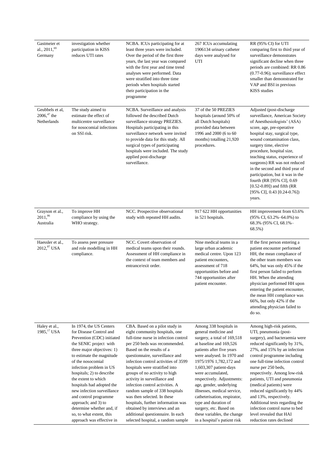| Gastmeier et<br>al., $2011, ^{69}$<br>Germany       | investigation whether<br>participation in KISS<br>reduces UTI rates                                                                                                                                                                                                                                                                                                                                                                                                        | NCBA. ICUs participating for at<br>least three years were included.<br>Over the period of the first three<br>years, the last year was compared<br>with the first year and time trend<br>analyses were performed. Data<br>were stratified into three time<br>periods when hospitals started<br>their participation in the<br>programme                                                                                                                                                                                                                                                                      | 267 ICUs accumulating<br>1906134 urinary catheter<br>days were analysed for<br>UTI                                                                                                                                                                                                                                                                                                                                                                                                     | RR (95% CI) for UTI<br>comparing first to third year of<br>surveillance demonstrates<br>significant decline when three<br>periods are combined: RR 0.86<br>$(0.77-0.96)$ ; surveillance effect<br>smaller than demonstrated for<br>VAP and BSI in previous<br><b>KISS</b> studies                                                                                                                                                                                                                                             |
|-----------------------------------------------------|----------------------------------------------------------------------------------------------------------------------------------------------------------------------------------------------------------------------------------------------------------------------------------------------------------------------------------------------------------------------------------------------------------------------------------------------------------------------------|------------------------------------------------------------------------------------------------------------------------------------------------------------------------------------------------------------------------------------------------------------------------------------------------------------------------------------------------------------------------------------------------------------------------------------------------------------------------------------------------------------------------------------------------------------------------------------------------------------|----------------------------------------------------------------------------------------------------------------------------------------------------------------------------------------------------------------------------------------------------------------------------------------------------------------------------------------------------------------------------------------------------------------------------------------------------------------------------------------|-------------------------------------------------------------------------------------------------------------------------------------------------------------------------------------------------------------------------------------------------------------------------------------------------------------------------------------------------------------------------------------------------------------------------------------------------------------------------------------------------------------------------------|
| Geubbels et al.<br>$2006, ^{47}$ the<br>Netherlands | The study aimed to<br>estimate the effect of<br>multicentre surveillance<br>for nosocomial infections<br>on SSI risk.                                                                                                                                                                                                                                                                                                                                                      | NCBA. Surveillance and analysis<br>followed the described Dutch<br>surveillance strategy PREZIES.<br>Hospitals participating in this<br>surveillance network were invited<br>to provide data for this study. All<br>surgical types of participating<br>hospitals were included. The study<br>applied post-discharge<br>surveillance.                                                                                                                                                                                                                                                                       | 37 of the 50 PREZIES<br>hospitals (around 50% of<br>all Dutch hospitals)<br>provided data between<br>1996 and 2000 (6 to 60<br>months) totalling 21,920<br>procedures.                                                                                                                                                                                                                                                                                                                 | Adjusted (post-discharge<br>surveillance, American Society<br>of Anesthesiologists' (ASA)<br>score, age, pre-operative<br>hospital stay, surgical type,<br>wound contamination class,<br>surgery time, elective<br>procedure, hospital size,<br>teaching status, experience of<br>surgeons) RR was not reduced<br>in the second and third year of<br>participation, but it was in the<br>fourth (RR [95% CI], 0.69<br>$[0.52 - 0.89]$ ) and fifth (RR<br>[95% CI], 0.43 [0.24-0.76])<br>years.                                |
| Grayson et al.,<br>2011, 86<br>Australia            | To improve HH<br>compliance by using the<br>WHO strategy.                                                                                                                                                                                                                                                                                                                                                                                                                  | NCC. Prospective observational<br>study with repeated HH audits.                                                                                                                                                                                                                                                                                                                                                                                                                                                                                                                                           | 917 622 HH opportunities<br>in 521 hospitals.                                                                                                                                                                                                                                                                                                                                                                                                                                          | HH improvement from 63.6%<br>$(95\% \text{ CI}, 63.2\% - 64.0\%)$ to<br>68.3% (95% CI, 68.1%-<br>68.5%)                                                                                                                                                                                                                                                                                                                                                                                                                       |
| Haessler et al.,<br>2012, <sup>87</sup> USA         | To assess peer pressure<br>and role modelling in HH<br>compliance.                                                                                                                                                                                                                                                                                                                                                                                                         | NCC. Covert observation of<br>medical teams upon their rounds.<br>Assessment of HH compliance in<br>the context of team members and<br>entrance/exit order.                                                                                                                                                                                                                                                                                                                                                                                                                                                | Nine medical teams in a<br>large urban academic<br>medical centre. Upon 123<br>patient encounters,<br>assessment of 718<br>opportunities before and<br>744 opportunities after<br>patient encounter.                                                                                                                                                                                                                                                                                   | If the first person entering a<br>patient encounter performed<br>HH, the mean compliance of<br>the other team members was<br>64%, but was only 45% if the<br>first person failed to perform<br>HH. When the attending<br>physician performed HH upon<br>entering the patient encounter,<br>the mean HH compliance was<br>66%, but only 42% if the<br>attending physician failed to<br>do so.                                                                                                                                  |
| Haley et al.,<br>1985, <sup>17</sup> USA            | In 1974, the US Centers<br>for Disease Control and<br>Prevention (CDC) initiated<br>the SENIC project with<br>three major objectives: 1)<br>to estimate the magnitude<br>of the nosocomial<br>infection problem in US<br>hospitals; 2) to describe<br>the extent to which<br>hospitals had adopted the<br>new infection surveillance<br>and control programme<br>approach; and 3) to<br>determine whether and, if<br>so, to what extent, this<br>approach was effective in | CBA. Based on a pilot study in<br>eight community hospitals, one<br>full-time nurse in infection control<br>per 250 beds was recommended.<br>Based on the results of a<br>questionnaire, surveillance and<br>infection control activities of 3599<br>hospitals were stratified into<br>groups of no activity to high<br>activity in surveillance and<br>infection control activities. A<br>random sample of 338 hospitals<br>was then selected. In these<br>hospitals, further information was<br>obtained by interviews and an<br>additional questionnaire. In each<br>selected hospital, a random sample | Among 338 hospitals in<br>general medicine and<br>surgery, a total of 169,518<br>at baseline and 169,526<br>patients after five years<br>were analysed. In 1970 and<br>1975/1976 1,782,172 and<br>1,603,307 patient-days<br>were accumulated,<br>respectively. Adjustments:<br>age, gender, underlying<br>illnesses, medical service,<br>catheterisation, respirator,<br>type and duration of<br>surgery, etc. Based on<br>these variables, the change<br>in a hospital's patient risk | Among high-risk patients,<br>UTI, pneumonia (post-<br>surgery), and bacteraemia were<br>reduced significantly by 31%,<br>27%, and 15% by an infection<br>control programme including<br>one full-time infection control<br>nurse per 250 beds,<br>respectively. Among low-risk<br>patients, UTI and pneumonia<br>(medical patients) were<br>reduced significantly by 44%<br>and 13%, respectively.<br>Additional tests regarding the<br>infection control nurse to bed<br>level revealed that HAI<br>reduction rates declined |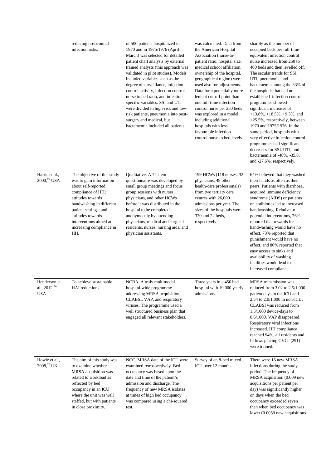|                                           | reducing nosocomial<br>infection risks.                                                                                                                                                                                                                        | of 500 patients hospitalized in<br>1970 and in 1975/1976 (April-<br>March) was selected for detailed<br>patient chart analysis by external<br>trained analysts (this approach was<br>validated in pilot studies). Models<br>included variables such as the<br>degree of surveillance, infection<br>control activity, infection control<br>nurse to bed ratio, and infection-<br>specific variables. SSI and UTI<br>were divided in high-risk and low-<br>risk patients, pneumonia into post-<br>surgery and medical, but<br>bacteraemia included all patients. | was calculated. Data from<br>the American Hospital<br>Association (nurse-to-<br>patient ratio, hospital size,<br>medical school affiliation,<br>ownership of the hospital,<br>geographical region) were<br>used also for adjustments.<br>Data for a potentially more<br>lenient cut-off point than<br>one full-time infection<br>control nurse per 250 beds<br>was explored in a model<br>including additional<br>hospitals with less<br>favourable infection<br>control nurse to bed levels. | sharply as the number of<br>occupied beds per full-time-<br>equivalent infection control<br>nurse increased from 250 to<br>400 beds and then levelled off.<br>The secular trends for SSI,<br>UTI, pneumonia, and<br>bacteraemia among the 33% of<br>the hospitals that had no<br>established infection control<br>programmes showed<br>significant increases of<br>$+13.8\%, +18.5\%, +9.3\%,$ and<br>+25.5%, respectively, between<br>1970 and 1975/1976. In the<br>same period, hospitals with<br>very effective infection control<br>programmes had significant<br>decreases for SSI, UTI, and<br>bacteraemia of -48%, -35.8,<br>and -27.6%, respectively. |
|-------------------------------------------|----------------------------------------------------------------------------------------------------------------------------------------------------------------------------------------------------------------------------------------------------------------|----------------------------------------------------------------------------------------------------------------------------------------------------------------------------------------------------------------------------------------------------------------------------------------------------------------------------------------------------------------------------------------------------------------------------------------------------------------------------------------------------------------------------------------------------------------|-----------------------------------------------------------------------------------------------------------------------------------------------------------------------------------------------------------------------------------------------------------------------------------------------------------------------------------------------------------------------------------------------------------------------------------------------------------------------------------------------|---------------------------------------------------------------------------------------------------------------------------------------------------------------------------------------------------------------------------------------------------------------------------------------------------------------------------------------------------------------------------------------------------------------------------------------------------------------------------------------------------------------------------------------------------------------------------------------------------------------------------------------------------------------|
| Harris et al.,<br>2000, 96 USA            | The objective of this study<br>was to gain information<br>about self-reported<br>compliance of HH;<br>attitudes towards<br>handwashing in different<br>patient settings; and<br>attitudes towards<br>interventions aimed at<br>increasing compliance in<br>HH. | Qualitative. A 74-item<br>questionnaire was developed by<br>small group meetings and focus<br>group sessions with nurses,<br>physicians, and other HCWs<br>before it was distributed in the<br>hospital to be completed<br>anonymously by attending<br>physicians, medical and surgical<br>residents, nurses, nursing aids, and<br>physician assistants.                                                                                                                                                                                                       | 199 HCWs (118 nurses; 32<br>physicians; 49 other<br>health-care professionals)<br>from two tertiary care<br>centres with 26,000<br>admissions per year. The<br>sizes of the hospitals were<br>320 and 22 beds,<br>respectively.                                                                                                                                                                                                                                                               | 64% believed that they washed<br>their hands as often as their<br>peers. Patients with diarrhoea,<br>acquired immune deficiency<br>syndrome (AIDS) or patients<br>on antibiotics led to increased<br>handwashing. Relative to<br>potential interventions, 76%<br>reported that rewards for<br>handwashing would have no<br>effect, 73% reported that<br>punishment would have no<br>effect. and 80% reported that<br>easy access to sinks and<br>availability of washing<br>facilities would lead to<br>increased compliance.                                                                                                                                 |
| Henderson et<br>al., $2012$ , $70$<br>USA | To achieve sustainable<br>HAI reductions.                                                                                                                                                                                                                      | NCBA. A truly multimodal<br>hospital-wide programme<br>addressing MRSA acquisition,<br>CLABSI, VAP, and respiratory<br>viruses. The programme used a<br>well structured business plan that<br>engaged all relevant stakeholders.                                                                                                                                                                                                                                                                                                                               | Three years in a 450 bed<br>hospital with 19,000 yearly<br>admissions.                                                                                                                                                                                                                                                                                                                                                                                                                        | MRSA transmission was<br>reduced from 3.02 to 2.5/1.000<br>patient days in the ICU and<br>2.54 to 2.0/1,000 in non-ICU.<br>CLABSI was reduced from<br>1.3/1000 device-days to<br>0.6/1000. VAP disappeared.<br>Respiratory viral infections<br>increased. HH compliance<br>reached 94%, all residents and<br>fellows placing CVCs (291)<br>were trained.                                                                                                                                                                                                                                                                                                      |
| Howie et al.,<br>2008, <sup>78</sup> UK   | The aim of this study was<br>to examine whether<br>MRSA acquisition was<br>related to workload as<br>reflected by bed<br>occupancy in an ICU<br>where the unit was well<br>staffed, but with patients<br>in close proximity.                                   | NCC. MRSA data of the ICU were<br>examined retrospectively. Bed<br>occupancy was based upon the<br>date and time of the patient's<br>admission and discharge. The<br>frequency of new MRSA isolates<br>at times of high bed occupancy<br>was compared using a chi-squared<br>test.                                                                                                                                                                                                                                                                             | Survey of an 8-bed mixed<br>ICU over 12 months.                                                                                                                                                                                                                                                                                                                                                                                                                                               | There were 16 new MRSA<br>infections during the study<br>period. The frequency of<br>MRSA acquisition (0.009 new<br>acquisitions per patient per<br>day) was significantly higher<br>on days when the bed<br>occupancy exceeded seven<br>than when bed occupancy was<br>lower (0.0059 new acquisitions                                                                                                                                                                                                                                                                                                                                                        |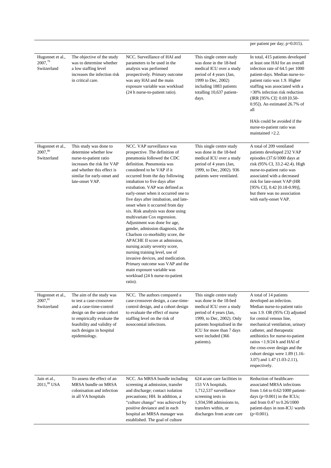|                                                         |                                                                                                                                                                                                                         |                                                                                                                                                                                                                                                                                                                                                                                                                                                                                                                                                                                                                                                                                                                                                                                                                     |                                                                                                                                                                                                                                         | per patient per day; p=0.015).                                                                                                                                                                                                                                                                                                                                                                           |
|---------------------------------------------------------|-------------------------------------------------------------------------------------------------------------------------------------------------------------------------------------------------------------------------|---------------------------------------------------------------------------------------------------------------------------------------------------------------------------------------------------------------------------------------------------------------------------------------------------------------------------------------------------------------------------------------------------------------------------------------------------------------------------------------------------------------------------------------------------------------------------------------------------------------------------------------------------------------------------------------------------------------------------------------------------------------------------------------------------------------------|-----------------------------------------------------------------------------------------------------------------------------------------------------------------------------------------------------------------------------------------|----------------------------------------------------------------------------------------------------------------------------------------------------------------------------------------------------------------------------------------------------------------------------------------------------------------------------------------------------------------------------------------------------------|
| Hugonnet et al.,<br>$2007, ^{79}$<br>Switzerland        | The objective of the study<br>was to determine whether<br>a low staffing level<br>increases the infection risk<br>in critical care.                                                                                     | NCC. Surveillance of HAI and<br>parameters to be used in the<br>analysis was performed<br>prospectively. Primary outcome<br>was any HAI and the main<br>exposure variable was workload<br>(24 h nurse-to-patient ratio).                                                                                                                                                                                                                                                                                                                                                                                                                                                                                                                                                                                            | This single centre study<br>was done in the 18-bed<br>medical ICU over a study<br>period of 4 years (Jan,<br>1999 to Dec, 2002)<br>including 1883 patients<br>totalling 10,637 patient-<br>days.                                        | In total, 415 patients developed<br>at least one HAI for an overall<br>infection rate of 64.5 per 1000<br>patient-days. Median nurse-to-<br>patient ratio was 1.9. Higher<br>staffing was associated with a<br>>30% infection risk reduction<br>(IRR [95% CI]: 0.69 [0.50-<br>0.95]). An estimated 26.7% of<br>all<br>HAIs could be avoided if the<br>nurse-to-patient ratio was<br>maintained $>2.2$ .  |
| Hugonnet et al.,<br>2007, 80<br>Switzerland             | This study was done to<br>determine whether low<br>nurse-to-patient ratio<br>increases the risk for VAP<br>and whether this effect is<br>similar for early-onset and<br>late-onset VAP.                                 | NCC. VAP surveillance was<br>prospective. The definition of<br>pneumonia followed the CDC<br>definition. Pneumonia was<br>considered to be VAP if it<br>occurred from the day following<br>intubation to five days after<br>extubation. VAP was defined as<br>early-onset when it occurred one to<br>five days after intubation, and late-<br>onset when it occurred from day<br>six. Risk analysis was done using<br>multivariate Cox regression.<br>Adjustment was done for age,<br>gender, admission diagnosis, the<br>Charlson co-morbidity score, the<br>APACHE II score at admission,<br>nursing acuity severity score,<br>nursing training level, use of<br>invasive devices, and medication.<br>Primary outcome was VAP and the<br>main exposure variable was<br>workload (24 h nurse-to-patient<br>ratio). | This single centre study<br>was done in the 18-bed<br>medical ICU over a study<br>period of 4 years (Jan,<br>1999, to Dec, 2002). 936<br>patients were ventilated.                                                                      | A total of 209 ventilated<br>patients developed 232 VAP<br>episodes $(37.6/1000$ days at<br>risk (95% CI, 33.2-42.4). High<br>nurse-to-patient ratio was<br>associated with a decreased<br>risk for late-onset VAP (HR<br>[95% CI], 0.42 [0.18-0.99)],<br>but there was no association<br>with early-onset VAP.                                                                                          |
| Hugonnet et al.,<br>$2007$ <sup>81</sup><br>Switzerland | The aim of the study was<br>to test a case-crossover<br>and a case-time-control<br>design on the same cohort<br>to empirically evaluate the<br>feasibility and validity of<br>such designs in hospital<br>epidemiology. | NCC. The authors compared a<br>case-crossover design, a case-time-<br>control design, and a cohort design<br>to evaluate the effect of nurse<br>staffing level on the risk of<br>nosocomial infections.                                                                                                                                                                                                                                                                                                                                                                                                                                                                                                                                                                                                             | This single centre study<br>was done in the 18-bed<br>medical ICU over a study<br>period of 4 years (Jan,<br>1999, to Dec, 2002). Only<br>patients hospitalised in the<br>ICU for more than 7 days<br>were included (366)<br>patients). | A total of 14 patients<br>developed an infection.<br>Median nurse-to-patient ratio<br>was 1.9. OR (95% CI) adjusted<br>for central venous line,<br>mechanical ventilation, urinary<br>catheter, and therapeutic<br>antibiotics for nurse-to-patient<br>ratios $<$ 1.9/24 h and HAI of<br>the cross-over design and the<br>cohort design were 1.89 (1.16-<br>3.07) and 1.47 (1.03-2.11),<br>respectively. |
| Jain et al.,<br>2011,88 USA                             | To assess the effect of an<br>MRSA bundle on MRSA<br>colonisation and infection<br>in all VA hospitals                                                                                                                  | NCC. An MRSA bundle including<br>screening at admission, transfer<br>and discharge; contact isolation<br>precautions; HH. In addition, a<br>"culture change" was achieved by<br>positive deviance and in each<br>hospital an MRSA manager was<br>established. The goal of culture                                                                                                                                                                                                                                                                                                                                                                                                                                                                                                                                   | 624 acute care facilities in<br>153 VA hospitals.<br>1,712,537 surveillance<br>screening tests in<br>1,934,598 admissions to,<br>transfers within, or<br>discharges from acute care                                                     | Reduction of healthcare-<br>associated MRSA infections<br>from 1.64 to $0.62/1000$ patient-<br>days $(p<0.001)$ in the ICUs;<br>and from 0.47 to 0.26/1000<br>patient-days in non-ICU wards<br>$(p<0.001)$ .                                                                                                                                                                                             |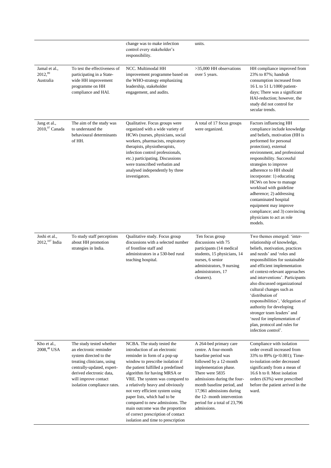|                                        |                                                                                                                                                                                                                             | change was to make infection<br>control every stakeholder's<br>responsibility.                                                                                                                                                                                                                                                                                                                                                                                                                    | units.                                                                                                                                                                                                                                                                                                            |                                                                                                                                                                                                                                                                                                                                                                                                                                                                                                                                          |
|----------------------------------------|-----------------------------------------------------------------------------------------------------------------------------------------------------------------------------------------------------------------------------|---------------------------------------------------------------------------------------------------------------------------------------------------------------------------------------------------------------------------------------------------------------------------------------------------------------------------------------------------------------------------------------------------------------------------------------------------------------------------------------------------|-------------------------------------------------------------------------------------------------------------------------------------------------------------------------------------------------------------------------------------------------------------------------------------------------------------------|------------------------------------------------------------------------------------------------------------------------------------------------------------------------------------------------------------------------------------------------------------------------------------------------------------------------------------------------------------------------------------------------------------------------------------------------------------------------------------------------------------------------------------------|
| Jamal et al.,<br>2012, 89<br>Australia | To test the effectiveness of<br>participating in a State-<br>wide HH improvement<br>programme on HH<br>compliance and HAI.                                                                                                  | NCC. Multimodal HH<br>improvement programme based on<br>the WHO-strategy emphasizing<br>leadership, stakeholder<br>engagement, and audits.                                                                                                                                                                                                                                                                                                                                                        | $>35,000$ HH observations<br>over 5 years.                                                                                                                                                                                                                                                                        | HH compliance improved from<br>23% to 87%; handrub<br>consumption increased from<br>16 L to 51 L/1000 patient-<br>days; There was a significant<br>HAI-reduction; however, the<br>study did not control for<br>secular trends.                                                                                                                                                                                                                                                                                                           |
| Jang et al.,<br>$2010, ^{97}$ Canada   | The aim of the study was<br>to understand the<br>behavioural determinants<br>of HH.                                                                                                                                         | Qualitative. Focus groups were<br>organized with a wide variety of<br>HCWs (nurses, physicians, social<br>workers, pharmacists, respiratory<br>therapists, physiotherapists,<br>infection control professionals,<br>etc.) participating. Discussions<br>were transcribed verbatim and<br>analysed independently by three<br>investigators.                                                                                                                                                        | A total of 17 focus groups<br>were organized.                                                                                                                                                                                                                                                                     | Factors influencing HH<br>compliance include knowledge<br>and beliefs, motivation (HH is<br>performed for personal<br>protection), external<br>environment, and professional<br>responsibility. Successful<br>strategies to improve<br>adherence to HH should<br>incorporate: 1) educating<br>HCWs on how to manage<br>workload with guideline<br>adherence; 2) addressing<br>contaminated hospital<br>equipment may improve<br>compliance; and 3) convincing<br>physicians to act as role<br>models.                                    |
| Joshi et al.,<br>$2012, ^{107}$ India  | To study staff perceptions<br>about HH promotion<br>strategies in India.                                                                                                                                                    | Qualitative study. Focus group<br>discussions with a selected number<br>of frontline staff and<br>administrators in a 530-bed rural<br>teaching hospital.                                                                                                                                                                                                                                                                                                                                         | Ten focus group<br>discussions with 75<br>participants (14 medical<br>students, 15 physicians, 14<br>nurses, 6 senior<br>administrators, 9 nursing<br>administrators, 17<br>cleaners).                                                                                                                            | Two themes emerged: 'inter-<br>relationship of knowledge,<br>beliefs, motivation, practices<br>and needs' and 'roles and<br>responsibilities for sustainable<br>and efficient implementation<br>of context-relevant approaches<br>and interventions'. Participants<br>also discussed organizational<br>cultural changes such as<br>'distribution of<br>responsibilities', 'delegation of<br>authority for developing<br>stronger team leaders' and<br>'need for implementation of<br>plan, protocol and rules for<br>infection control'. |
| Kho et al.,<br>2008, <sup>48</sup> USA | The study tested whether<br>an electronic reminder<br>system directed to the<br>treating clinicians, using<br>centrally-updated, expert-<br>derived electronic data,<br>will improve contact<br>isolation compliance rates. | NCBA. The study tested the<br>introduction of an electronic<br>reminder in form of a pop-up<br>window to prescribe isolation if<br>the patient fulfilled a predefined<br>algorithm for having MRSA or<br>VRE. The system was compared to<br>a relatively heavy and obviously<br>not very efficient system using<br>paper lists, which had to be<br>compared to new admissions. The<br>main outcome was the proportion<br>of correct prescription of contact<br>isolation and time to prescription | A 264-bed primary care<br>centre. A four-month<br>baseline period was<br>followed by a 12-month<br>implementation phase.<br>There were 5835<br>admissions during the four-<br>month baseline period, and<br>17,961 admissions during<br>the 12- month intervention<br>period for a total of 23,796<br>admissions. | Compliance with isolation<br>order overall increased from<br>33% to 89% (p<0.001); Time-<br>to-isolation order decreased<br>significantly from a mean of<br>16.6 h to 0. Most isolation<br>orders (63%) were prescribed<br>before the patient arrived in the<br>ward.                                                                                                                                                                                                                                                                    |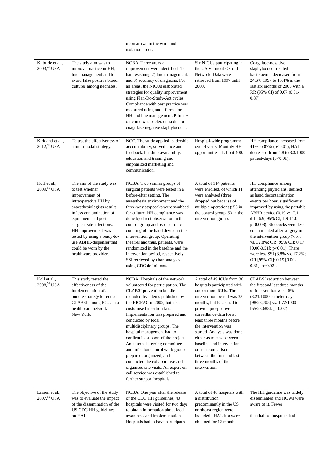|                                             |                                                                                                                                                                                                                                                                                                                                      | upon arrival in the ward and<br>isolation order.                                                                                                                                                                                                                                                                                                                                                                                                                                                                                                                                                                |                                                                                                                                                                                                                                                                                                                                                                                                                                       |                                                                                                                                                                                                                                                                                                                                                                                                                                                                           |
|---------------------------------------------|--------------------------------------------------------------------------------------------------------------------------------------------------------------------------------------------------------------------------------------------------------------------------------------------------------------------------------------|-----------------------------------------------------------------------------------------------------------------------------------------------------------------------------------------------------------------------------------------------------------------------------------------------------------------------------------------------------------------------------------------------------------------------------------------------------------------------------------------------------------------------------------------------------------------------------------------------------------------|---------------------------------------------------------------------------------------------------------------------------------------------------------------------------------------------------------------------------------------------------------------------------------------------------------------------------------------------------------------------------------------------------------------------------------------|---------------------------------------------------------------------------------------------------------------------------------------------------------------------------------------------------------------------------------------------------------------------------------------------------------------------------------------------------------------------------------------------------------------------------------------------------------------------------|
| Kilbride et al.,<br>2003, <sup>49</sup> USA | The study aim was to<br>improve practice in HH,<br>line management and to<br>avoid false positive blood<br>cultures among neonates.                                                                                                                                                                                                  | NCBA. Three areas of<br>improvement were identified: 1)<br>handwashing, 2) line management,<br>and 3) accuracy of diagnosis. For<br>all areas, the NICUs elaborated<br>strategies for quality improvement<br>using Plan-Do-Study-Act cycles.<br>Compliance with best practice was<br>measured using audit forms for<br>HH and line management. Primary<br>outcome was bacteraemia due to<br>coagulase-negative staphylococci.                                                                                                                                                                                   | Six NICUs participating in<br>the US Vermont Oxford<br>Network. Data were<br>retrieved from 1997 until<br>2000.                                                                                                                                                                                                                                                                                                                       | Coagulase-negative<br>staphylococci-related<br>bacteraemia decreased from<br>24.6% 1997 to 16.4% in the<br>last six months of 2000 with a<br>RR (95% CI) of 0.67 (0.51-<br>$(0.87)$ .                                                                                                                                                                                                                                                                                     |
| Kirkland et al.,<br>2012,90 USA             | To test the effectiveness of<br>a multimodal strategy.                                                                                                                                                                                                                                                                               | NCC. The study applied leadership<br>accountability, surveillance and<br>feedback, handrub availability,<br>education and training and<br>emphasized marketing and<br>communication.                                                                                                                                                                                                                                                                                                                                                                                                                            | Hospital-wide programme<br>over 4 years. Monthly HH<br>opportunities of about 400.                                                                                                                                                                                                                                                                                                                                                    | HH compliance increased from<br>41% to 87% (p<0.01); HAI<br>decreased from 4.8 to 3.3/1000<br>patient-days (p<0.01).                                                                                                                                                                                                                                                                                                                                                      |
| Koff et al.,<br>2009, <sup>50</sup> USA     | The aim of the study was<br>to test whether<br>improvement of<br>intraoperative HH by<br>anaesthesiologists results<br>in less contamination of<br>equipment and post-<br>surgical site infections.<br>HH improvement was<br>tested by using a ready-to-<br>use ABHR-dispenser that<br>could be worn by the<br>health-care provider. | NCBA. Two similar groups of<br>surgical patients were tested in a<br>before-after setting. The<br>anaesthesia environment and the<br>three-way stopcocks were swabbed<br>for culture. HH compliance was<br>done by direct observation in the<br>control group and by electronic<br>counting of the hand device in the<br>intervention group. Operating<br>theatres and thus, patients, were<br>randomized in the baseline and the<br>intervention period, respectively.<br>SSI retrieved by chart analysis<br>using CDC definitions.                                                                            | A total of 114 patients<br>were enrolled, of which 11<br>were analysed (three<br>dropped out because of<br>multiple operations): 58 in<br>the control group, 53 in the<br>intervention group.                                                                                                                                                                                                                                         | HH compliance among<br>attending physicians, defined<br>as hand decontamination<br>events per hour, significantly<br>improved by using the portable<br>ABHR device (0.19 vs. 7.1;<br>diff. 6.9; 95% CI, 1.9-11.0;<br>p=0.008). Stopcocks were less<br>contaminated after surgery in<br>the intervention group (7.5%<br>vs. 32.8%; OR [95% CI]: 0.17<br>$[0.06-0.51]$ ; p<0.01). There<br>were less SSI (3.8% vs. 17.2%;<br>OR [95% CI]: 0.19 [0.00-<br>$0.81$ ]; p=0.02). |
| Koll et al.,<br>2008, <sup>51</sup> USA     | This study tested the<br>effectiveness of the<br>implementation of a<br>bundle strategy to reduce<br>CLABSI among ICUs in a<br>health-care network in<br>New York.                                                                                                                                                                   | NCBA. Hospitals of the network<br>volunteered for participation. The<br>CLABSI prevention bundle<br>included five items published by<br>the HICPAC in 2002, but also<br>customised insertion kits.<br>Implementation was prepared and<br>conducted by local<br>multidisciplinary groups. The<br>hospital management had to<br>confirm its support of the project.<br>An external steering committee<br>and infection control work group<br>prepared, organized, and<br>conducted the collaborative and<br>organised site visits. An expert on-<br>call service was established to<br>further support hospitals. | A total of 49 ICUs from 36<br>hospitals participated with<br>one or more ICUs. The<br>intervention period was 33<br>months, but ICUs had to<br>provide prospective<br>surveillance data for at<br>least three months before<br>the intervention was<br>started. Analysis was done<br>either as means between<br>baseline and intervention<br>or as a comparison<br>between the first and last<br>three months of the<br>intervention. | <b>CLABSI</b> reduction between<br>the first and last three months<br>of intervention was 46%<br>$(3.21/1000$ catheter-days<br>[98/28,705] vs. 1.72/1000<br>$[55/28, 688]$ ; p=0.02).                                                                                                                                                                                                                                                                                     |
| Larson et al.,<br>2007, <sup>52</sup> USA   | The objective of the study<br>was to evaluate the impact<br>of the dissemination of the<br>US CDC HH guidelines<br>on HAI.                                                                                                                                                                                                           | NCBA. One year after the release<br>of the CDC HH guidelines, 40<br>hospitals were visited for two days<br>to obtain information about local<br>awareness and implementation.<br>Hospitals had to have participated                                                                                                                                                                                                                                                                                                                                                                                             | A total of 40 hospitals with<br>a distribution<br>predominantly in the US<br>northeast region were<br>included. HAI data were<br>obtained for 12 months                                                                                                                                                                                                                                                                               | The HH guideline was widely<br>disseminated and HCWs were<br>aware of it. Fewer<br>than half of hospitals had                                                                                                                                                                                                                                                                                                                                                             |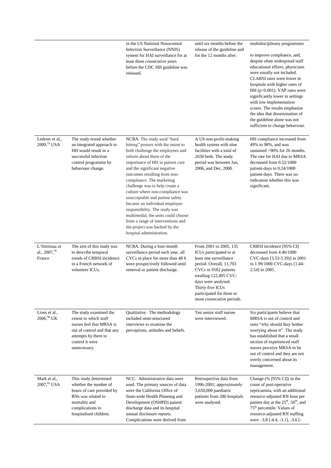|                                                     |                                                                                                                                                                      | in the US National Nosocomial<br>Infection Surveillance (NNIS)<br>system for HAI surveillance for at<br>least three consecutive years<br>before the CDC HH guideline was<br>released.                                                                                                                                                                                                                                                                                                                                                                                                 | until six months before the<br>release of the guideline and<br>for the 12 months after.                                                                                                                                                                        | multidisciplinary programmes<br>to improve compliance, and,<br>despite often widespread staff<br>educational efforts, physicians<br>were usually not included.<br>CLABSI rates were lower in<br>hospitals with higher rates of<br>HH ( $p<0.001$ ). VAP rates were<br>significantly lower in settings<br>with low implementation<br>scores. The results emphasize<br>the idea that dissemination of<br>the guideline alone was not<br>sufficient to change behaviour. |
|-----------------------------------------------------|----------------------------------------------------------------------------------------------------------------------------------------------------------------------|---------------------------------------------------------------------------------------------------------------------------------------------------------------------------------------------------------------------------------------------------------------------------------------------------------------------------------------------------------------------------------------------------------------------------------------------------------------------------------------------------------------------------------------------------------------------------------------|----------------------------------------------------------------------------------------------------------------------------------------------------------------------------------------------------------------------------------------------------------------|-----------------------------------------------------------------------------------------------------------------------------------------------------------------------------------------------------------------------------------------------------------------------------------------------------------------------------------------------------------------------------------------------------------------------------------------------------------------------|
| Lederer et al.,<br>2009, <sup>53</sup> USA          | The study tested whether<br>an integrated approach to<br>HH would result in a<br>successful infection<br>control programme by<br>behaviour change.                   | NCBA. The study used "hard<br>hitting" posters with the intent to<br>both challenge the employees and<br>inform about them of the<br>importance of HH in patient care<br>and the significant negative<br>outcomes resulting from non-<br>compliance. The marketing<br>challenge was to help create a<br>culture where non-compliance was<br>unacceptable and patient safety<br>became an individual employee<br>responsibility. The study was<br>multimodal, the units could choose<br>from a range of interventions and<br>the project was backed by the<br>hospital administration. | A US non-profit-making<br>health system with nine<br>facilities with a total of<br>2650 beds. The study<br>period was between Jan,<br>2006, and Dec, 2008.                                                                                                     | HH compliance increased from<br>49% to 98%, and was<br>sustained >90% for 26 months.<br>The rate for HAI due to MRSA<br>decreased from 0.52/1000<br>patient-days to 0.24/1000<br>patient-days. There was no<br>indication whether this was<br>significant.                                                                                                                                                                                                            |
| L'Hériteau et<br>al., 2007, <sup>54</sup><br>France | The aim of this study was<br>to describe temporal<br>trends of CRBSI incidence<br>in a French network of<br>volunteer ICUs.                                          | NCBA. During a four-month<br>surveillance period each year, all<br>CVCs in place for more than 48 h<br>were prospectively followed until<br>removal or patient discharge.                                                                                                                                                                                                                                                                                                                                                                                                             | From 2001 to 2005, 135<br>ICUs participated to at<br>least one surveillance<br>period. Overall, 11,703<br>CVCs in 9182 patients<br>totalling 122,495 CVC-<br>days were analysed.<br>Thirty-five ICUs<br>participated for three or<br>more consecutive periods. | CRBSI incidence [95% CI]<br>decreased from 4.46/1000<br>CVC-days [3.53-5.39)] in 2001<br>to 1.99/1000 CVC-days [1.44-<br>2.54] in 2005.                                                                                                                                                                                                                                                                                                                               |
| Lines et al.,<br>2006,98 UK                         | The study examined the<br>extent to which staff<br>nurses feel that MRSA is<br>out of control and that any<br>attempts by them to<br>control it were<br>unnecessary. | Qualitative. The methodology<br>included semi-structured<br>interviews to examine the<br>perceptions, attitudes and beliefs.                                                                                                                                                                                                                                                                                                                                                                                                                                                          | Ten senior staff nurses<br>were interviewed.                                                                                                                                                                                                                   | Six participants believe that<br>MRSA is out of control and<br>state "why should they bother<br>worrying about it". The study<br>has established that a small<br>section of experienced staff<br>nurses perceive MRSA to be<br>out of control and they are not<br>overly concerned about its<br>management.                                                                                                                                                           |
| Mark et al.,<br>2007,82 USA                         | This study determined<br>whether the number of<br>hours of care provided by<br>RNs was related to<br>mortality and<br>complications in<br>hospitalised children.     | NCC. Administrative data were<br>used. The primary sources of data<br>were the California Office of<br>State-wide Health Planning and<br>Development (OSHPD) patient<br>discharge data and its hospital<br>annual disclosure reports.<br>Complications were derived from                                                                                                                                                                                                                                                                                                              | Retrospective data from<br>1996-2001; approximately<br>3,650,000 paediatric<br>patients from 286 hospitals<br>were analysed.                                                                                                                                   | Change (% [95% CI]) in the<br>count of post-operative<br>septicaemia, with an additional<br>resource-adjusted RN hour per<br>patient day at the 25 <sup>th</sup> , 50 <sup>th</sup> , and<br>75 <sup>th</sup> percentile. Values of<br>resource-adjusted RN staffing<br>were -3.8 [-4.4, -3.1], -3.6 [-                                                                                                                                                               |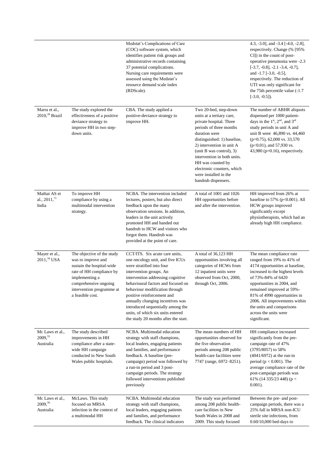|                                             |                                                                                                                                                                                                       | Medstat's Complications of Care<br>(COC) software system, which<br>identifies patient risk groups and<br>administrative records containing<br>37 potential complications.<br>Nursing care requirements were<br>assessed using the Medstat's<br>resource demand scale index<br>(RDScale).                                                                                                                                    |                                                                                                                                                                                                                                                                                                                                                     | 4.3, -3.0], and -3.4 [-4.0, -2.8],<br>respectively. Change (% [95%<br>$CI$ ]) in the count of post-<br>operative pneumonia were -2.3<br>$[-3.7, -0.8]$ , $-2.1 -3.4$ , $-0.7]$ ,<br>and -1.7 [-3.0, -0.5],<br>respectively. The reduction of<br>UTI was only significant for<br>the 75th percentile value (-1.7)<br>$[-3.0, -0.5]$ .                |
|---------------------------------------------|-------------------------------------------------------------------------------------------------------------------------------------------------------------------------------------------------------|-----------------------------------------------------------------------------------------------------------------------------------------------------------------------------------------------------------------------------------------------------------------------------------------------------------------------------------------------------------------------------------------------------------------------------|-----------------------------------------------------------------------------------------------------------------------------------------------------------------------------------------------------------------------------------------------------------------------------------------------------------------------------------------------------|-----------------------------------------------------------------------------------------------------------------------------------------------------------------------------------------------------------------------------------------------------------------------------------------------------------------------------------------------------|
| Marra et al.,<br>$2010$ , $^{28}$ Brazil    | The study explored the<br>effectiveness of a positive<br>deviance strategy to<br>improve HH in two step-<br>down units.                                                                               | CBA. The study applied a<br>positive-deviance strategy to<br>improve HH.                                                                                                                                                                                                                                                                                                                                                    | Two 20-bed, step-down<br>units at a tertiary care,<br>private hospital. Three<br>periods of three months<br>duration were<br>distinguished: 1) baseline,<br>2) intervention in unit A<br>(unit B was control), 3)<br>intervention in both units.<br>HH was counted by<br>electronic counters, which<br>were installed in the<br>handrub dispensers. | The number of ABHR aliquots<br>dispensed per 1000 patient-<br>days in the $1st$ , $2nd$ , and $3rd$<br>study periods in unit A and<br>unit B were 46,890 vs. 44,460<br>$(p=0.75)$ , 62,000 vs. 33,570<br>(p<0.01), and 57,930 vs.<br>43,980 ( $p=0.16$ ), respectively.                                                                             |
| Mathai AS et<br>al., $2011$ , $71$<br>India | To improve HH<br>compliance by using a<br>multimodal intervention<br>strategy.                                                                                                                        | NCBA. The intervention included<br>lectures, posters, but also direct<br>feedback upon the many<br>observation sessions. In addition,<br>leaders in the unit actively<br>promoted HH and handed out<br>handrub to HCW and visitors who<br>forgot them. Handrub was<br>provided at the point of care.                                                                                                                        | A total of 1001 and 1026<br>HH opportunities before<br>and after the intervention.                                                                                                                                                                                                                                                                  | HH improved from 26% at<br>baseline to 57% ( $p<0.001$ ). All<br>HCW groups improved<br>significantly except<br>physiotherapists, which had an<br>already high HH compliance.                                                                                                                                                                       |
| Mayer et al.,<br>$201134$ USA               | The objective of the study<br>was to improve and<br>sustain the hospital-wide<br>rate of HH compliance by<br>implementing a<br>comprehensive ongoing<br>intervention programme at<br>a feasible cost. | CCT/ITS. Six acute care units,<br>one oncology unit, and five ICUs<br>were stratified into four<br>intervention groups. An<br>intervention addressing cognitive<br>behavioural factors and focused on<br>behaviour modification through<br>positive reinforcement and<br>annually changing incentives was<br>introduced sequentially among the<br>units, of which six units entered<br>the study 20 months after the start. | A total of 36,123 HH<br>opportunities involving all<br>categories of HCWs from<br>12 inpatient units were<br>observed from Oct, 2000,<br>through Oct, 2006.                                                                                                                                                                                         | The mean compliance rate<br>ranged from 19% to 41% of<br>4174 opportunities at baseline,<br>increased to the highest levels<br>of 73%-84% of 6420<br>opportunities in 2004, and<br>remained improved at 59%-<br>81% of 4990 opportunities in<br>2006. All improvements within<br>the units and comparisons<br>across the units were<br>significant. |
| Mc Laws et al.,<br>2009, 55<br>Australia    | The study described<br>improvements in HH<br>compliance after a state-<br>wide HH campaign<br>conducted in New South<br>Wales public hospitals.                                                       | NCBA. Multimodal education<br>strategy with staff champions,<br>local leaders, engaging patients<br>and families, and performance<br>feedback. A baseline (pre-<br>campaign) period was followed by<br>a run-in period and 3 post-<br>campaign periods. The strategy<br>followed interventions published<br>previously                                                                                                      | The mean numbers of HH<br>opportunities observed for<br>the five observation<br>periods among 208 public<br>health-care facilities were<br>7747 (range, 6972-8251).                                                                                                                                                                                 | HH compliance increased<br>significantly from the pre-<br>campaign rate of 47%<br>(3795/8057) to 58%<br>$(4041/6972)$ at the run-in<br>period ( $p < 0.001$ ). The<br>average compliance rate of the<br>post-campaign periods was<br>61% (14 335/23 448) ( $p <$<br>$0.001$ ).                                                                      |
| Mc Laws et al.,<br>2009, 56<br>Australia    | McLaws. This study<br>focused on MRSA<br>infection in the context of<br>a multimodal HH                                                                                                               | NCBA. Multimodal education<br>strategy with staff champions,<br>local leaders, engaging patients<br>and families, and performance<br>feedback. The clinical indicators                                                                                                                                                                                                                                                      | The study was performed<br>among 208 public health-<br>care facilities in New<br>South Wales in 2008 and<br>2009. This study focused                                                                                                                                                                                                                | Between the pre- and post-<br>campaign periods, there was a<br>25% fall in MRSA non-ICU<br>sterile site infections, from<br>$0.60/10,000$ bed-days to                                                                                                                                                                                               |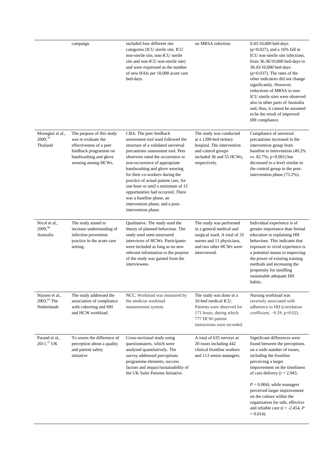|                                                           | campaign.                                                                                                                                            | included four different site<br>categories (ICU sterile site, ICU<br>non-sterile site, non-ICU sterile<br>site and non-ICU non-sterile site)<br>and were expressed as the number<br>of new HAIs per 10,000 acute care<br>bed-days.                                                                                                                                                                                                                                                       | on MRSA infection.                                                                                                                                          | $0.45/10{,}000$ bed-days<br>$(p=0.027)$ , and a 16% fall in<br>ICU non-sterile site infections,<br>from $36.36/10,000$ bed-days to<br>30.43/10,000 bed-days<br>$(p=0.037)$ . The rates of the<br>other indicators did not change<br>significantly. However,<br>reductions of MRSA in non-<br>ICU sterile sites were observed<br>also in other parts of Australia<br>and, thus, it cannot be assumed<br>to be the result of improved<br>HH compliance. |
|-----------------------------------------------------------|------------------------------------------------------------------------------------------------------------------------------------------------------|------------------------------------------------------------------------------------------------------------------------------------------------------------------------------------------------------------------------------------------------------------------------------------------------------------------------------------------------------------------------------------------------------------------------------------------------------------------------------------------|-------------------------------------------------------------------------------------------------------------------------------------------------------------|-------------------------------------------------------------------------------------------------------------------------------------------------------------------------------------------------------------------------------------------------------------------------------------------------------------------------------------------------------------------------------------------------------------------------------------------------------|
| Moongtui et al.,<br>$2000, ^{29}$<br>Thailand             | The purpose of this study<br>was to evaluate the<br>effectiveness of a peer<br>feedback programme on<br>handwashing and glove<br>wearing among HCWs. | CBA. The peer feedback<br>assessment tool used followed the<br>structure of a validated universal<br>precautions assessment tool. Peer<br>observers rated the occurrence or<br>non-occurrence of appropriate<br>handwashing and glove wearing<br>for their co-workers during the<br>practice of actual patient care, for<br>one hour or until a minimum of 15<br>opportunities had occurred. There<br>was a baseline phase, an<br>intervention phase, and a post-<br>intervention phase. | The study was conducted<br>at a 1200-bed tertiary<br>hospital. The intervention<br>and control groups<br>included 36 and 55 HCWs,<br>respectively.          | Compliance of universal<br>precautions increased in the<br>intervention group from<br>baseline to intervention (49.2%<br>vs. 82.7%; p<0.001) but<br>decreased to a level similar to<br>the control group in the post-<br>intervention phase (73.2%).                                                                                                                                                                                                  |
| Nicol et al.,<br>2009,99<br>Australia                     | The study aimed to<br>increase understanding of<br>infection prevention<br>practice in the acute care<br>setting.                                    | Qualitative. The study used the<br>theory of planned behaviour. The<br>study used semi-structured<br>interviews of HCWs. Participants<br>were included as long as no new<br>relevant information to the purpose<br>of the study was gained from the<br>interviewees.                                                                                                                                                                                                                     | The study was performed<br>in a general medical and<br>surgical ward. A total of 33<br>nurses and 11 physicians,<br>and two other HCWs were<br>interviewed. | Individual experience is of<br>greater importance than formal<br>education in explaining HH<br>behaviour. This indicates that<br>exposure to vivid experience is<br>a potential means to improving<br>the power of existing training<br>methods and increasing the<br>propensity for instilling<br>sustainable adequate HH<br>habits.                                                                                                                 |
| Nijssen et al.,<br>2003, <sup>83</sup> The<br>Netherlands | The study addressed the<br>association of compliance<br>with cohorting and HH<br>and HCW workload.                                                   | NCC. Workload was measured by<br>the medicus workload<br>measurement system.                                                                                                                                                                                                                                                                                                                                                                                                             | The study was done in a<br>16-bed medical ICU.<br>Patients were observed for<br>171 hours, during which<br>777 HCW-patient<br>interactions were recorded.   | Nursing workload was<br>inversely associated with<br>adherence to HH (correlation<br>coefficient, $-0.38$ ; p=0.02).                                                                                                                                                                                                                                                                                                                                  |
| Parand et al<br>$201137$ UK                               | To assess the difference of<br>perception about a quality<br>and patient safety<br>initiative                                                        | Cross-sectional study using<br>questionnaires, which were<br>analysed quantitatively. The<br>survey addressed perceptions<br>programme elements, success<br>factors and impact/sustainability of<br>the UK Safer Patients Initiative.                                                                                                                                                                                                                                                    | A total of 635 surveys at<br>20 trusts including 442<br>clinical frontline workers<br>and 113 senior managers.                                              | Significant differences were<br>found between the perceptions<br>on a wide number of issues,<br>including the frontline<br>perceiving a larger<br>improvement on the timeliness<br>of care delivery $(t = 2.943,$<br>$P = 0.004$ , while managers<br>perceived larger improvement<br>on the culture within the<br>organisation for safe, effective<br>and reliable care $(t = -2.454, P)$<br>$= 0.014$ .                                              |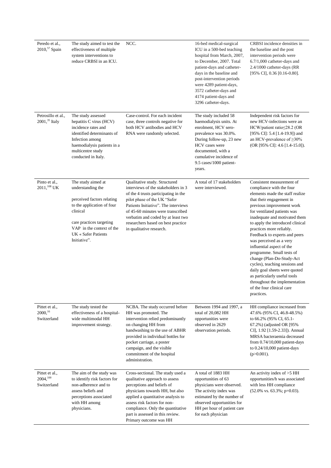| Peredo et al.,<br>2010, <sup>57</sup> Spain     | The study aimed to test the<br>effectiveness of multiple<br>system interventions to<br>reduce CRBSI in an ICU.                                                                                                  | NCC.                                                                                                                                                                                                                                                                                                                              | 16-bed medical-surgical<br>ICU in a 500-bed teaching<br>hospital from March, 2007,<br>to December, 2007. Total<br>patient-days and catheter-<br>days in the baseline and<br>post-intervention periods<br>were 4289 patient-days,<br>3572 catheter-days and<br>4174 patient-days and<br>3296 catheter-days. | CRBSI incidence densities in<br>the baseline and the post<br>intervention periods were<br>6.7/1,000 catheter-days and<br>2.4/1000 catheter-days (RR<br>[95% CI], 0.36 [0.16-0.80].                                                                                                                                                                                                                                                                                                                                                                                                                                  |
|-------------------------------------------------|-----------------------------------------------------------------------------------------------------------------------------------------------------------------------------------------------------------------|-----------------------------------------------------------------------------------------------------------------------------------------------------------------------------------------------------------------------------------------------------------------------------------------------------------------------------------|------------------------------------------------------------------------------------------------------------------------------------------------------------------------------------------------------------------------------------------------------------------------------------------------------------|---------------------------------------------------------------------------------------------------------------------------------------------------------------------------------------------------------------------------------------------------------------------------------------------------------------------------------------------------------------------------------------------------------------------------------------------------------------------------------------------------------------------------------------------------------------------------------------------------------------------|
| Petrosillo et al.,<br>2001, <sup>35</sup> Italy | The study assessed<br>hepatitis C virus (HCV)<br>incidence rates and<br>identified determinants of<br>Infection among<br>haemodialysis patients in a<br>multicentre study<br>conducted in Italy.                | Case-control. For each incident<br>case, three controls negative for<br>both HCV antibodies and HCV<br>RNA were randomly selected.                                                                                                                                                                                                | The study included 58<br>haemodialysis units. At<br>enrolment, HCV sero-<br>prevalence was 30.0%.<br>During follow-up, 23 new<br>HCV cases were<br>documented, with a<br>cumulative incidence of<br>9.5 cases/1000 patient-<br>years.                                                                      | Independent risk factors for<br>new HCV-infections were an<br>HCW/patient ratio  subseteq 10R<br>[95% CI]: 5.4 [1.4-19.9]) and<br>an HCV-prevalence of $\geq$ 30%<br>(OR [95% CI]: 4.6 [1.4-15.0]).                                                                                                                                                                                                                                                                                                                                                                                                                 |
| Pinto et al.,<br>$2011,^{108}$ UK               | The study aimed at<br>understanding the<br>perceived factors relating<br>to the application of four<br>clinical<br>care practices targeting<br>VAP in the context of the<br>UK « Safer Patients<br>Initiative". | Qualitative study. Structured<br>interviews of the stakeholders in 3<br>of the 4 trusts participating in the<br>pilot phase of the UK "Safer<br>Patients Initiative". The interviews<br>of 45-60 minutes were transcribed<br>verbatim and coded by at least two<br>researchers based on best practice<br>in qualitative research. | A total of 17 stakeholders<br>were interviewed.                                                                                                                                                                                                                                                            | Consistent measurement of<br>compliance with the four<br>elements made the staff realize<br>that their engagement in<br>previous improvement work<br>for ventilated patients was<br>inadequate and motivated them<br>to apply the introduced clinical<br>practices more reliably.<br>Feedback to experts and peers<br>was perceived as a very<br>influential aspect of the<br>programme. Small tests of<br>change (Plan-Do-Study-Act<br>cycles), teaching sessions and<br>daily goal sheets were quoted<br>as particularly useful tools<br>throughout the implementation<br>of the four clinical care<br>practices. |
| Pittet et al.,<br>2000,16<br>Switzerland        | The study tested the<br>effectiveness of a hospital-<br>wide multimodal HH<br>improvement strategy.                                                                                                             | NCBA. The study occurred before<br>HH was promoted. The<br>intervention relied predominantly<br>on changing HH from<br>handwashing to the use of ABHR<br>provided in individual bottles for<br>pocket carriage, a poster<br>campaign, and the visible<br>commitment of the hospital<br>administration.                            | Between 1994 and 1997, a<br>total of 20,082 HH<br>opportunities were<br>observed in 2629<br>observation periods.                                                                                                                                                                                           | HH compliance increased from<br>47.6% (95% CI, 46.8-48.5%)<br>to 66.2% (95% CI, 65.1-<br>67.2%) (adjusted OR [95%<br>CI], 1.92 [1.59-2.33]). Annual<br>MRSA bacteraemia decreased<br>from 0.74/10,000 patient-days<br>to 0.24/10,000 patient-days<br>$(p>0.001)$ .                                                                                                                                                                                                                                                                                                                                                  |
| Pittet et al.,<br>2004,100<br>Switzerland       | The aim of the study was<br>to identify risk factors for<br>non-adherence and to<br>assess beliefs and<br>perceptions associated<br>with HH among<br>physicians.                                                | Cross-sectional. The study used a<br>qualitative approach to assess<br>perceptions and beliefs of<br>physicians towards HH, but also<br>applied a quantitative analysis to<br>assess risk factors for non-<br>compliance. Only the quantitative<br>part is assessed in this review.<br>Primary outcome was HH                     | A total of 1883 HH<br>opportunities of 63<br>physicians were observed.<br>The activity index was<br>estimated by the number of<br>observed opportunities for<br>HH per hour of patient care<br>for each physician                                                                                          | An activity index of >5 HH<br>opportunities/h was associated<br>with less HH compliance<br>$(52.0\% \text{ vs. } 63.3\%; \text{ p=0.03}).$                                                                                                                                                                                                                                                                                                                                                                                                                                                                          |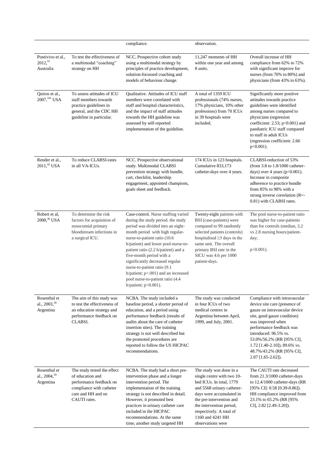|                                                       |                                                                                                                                              | compliance.                                                                                                                                                                                                                                                                                                                                                                                                                                                         | observation.                                                                                                                                                                                                                                                             |                                                                                                                                                                                                                                                                                                                              |
|-------------------------------------------------------|----------------------------------------------------------------------------------------------------------------------------------------------|---------------------------------------------------------------------------------------------------------------------------------------------------------------------------------------------------------------------------------------------------------------------------------------------------------------------------------------------------------------------------------------------------------------------------------------------------------------------|--------------------------------------------------------------------------------------------------------------------------------------------------------------------------------------------------------------------------------------------------------------------------|------------------------------------------------------------------------------------------------------------------------------------------------------------------------------------------------------------------------------------------------------------------------------------------------------------------------------|
| Pontivivo et al.,<br>$2012, ^{91}$<br>Australia       | To test the effectiveness of<br>a multimodal "coaching"<br>strategy on HH                                                                    | NCC. Prospective cohort study<br>using a multimodal strategy by<br>principles of practice development,<br>solution-focussed coaching and<br>models of behaviour change.                                                                                                                                                                                                                                                                                             | 11,247 moments of HH<br>within one year and among<br>8 units.                                                                                                                                                                                                            | Overall increase of HH<br>compliance from 62% to 72%<br>with significant improve for<br>nurses (from 70% to 80%) and<br>physicians (from 43% to 63%).                                                                                                                                                                        |
| Quiros et al.,<br>2007, <sup>101</sup> USA            | To assess attitudes of ICU<br>staff members towards<br>practice guidelines in<br>general, and the CDC HH<br>guideline in particular.         | Qualitative. Attitudes of ICU staff<br>members were correlated with<br>staff and hospital characteristics,<br>and the impact of staff attitudes<br>towards the HH guideline was<br>assessed by self-reported<br>implementation of the guideline.                                                                                                                                                                                                                    | A total of 1359 ICU<br>professionals (74% nurses,<br>17% physicians, 10% other<br>professions) from 70 ICUs<br>in 39 hospitals were<br>included.                                                                                                                         | Significantly more positive<br>attitudes towards practice<br>guidelines were identified<br>among nurses compared to<br>physicians (regression<br>coefficient: 2.53; $p<0.001$ ) and<br>paediatric ICU staff compared<br>to staff in adult ICUs<br>(regression coefficient: 2.66<br>$p<0.001$ ).                              |
| Render et al.,<br>2011,92 USA                         | To reduce CLABSI-rates<br>in all VA-ICUs.                                                                                                    | NCC. Prospective observational<br>study. Multimodal CLABSI<br>prevention strategy with bundle,<br>cart, checklist, leadership<br>engagement, appointed champions,<br>goals sheet and feedback.                                                                                                                                                                                                                                                                      | 174 ICUs in 123 hospitals.<br>Cumulative 833,173<br>catheter-days over 4 years.                                                                                                                                                                                          | CLABSI-reduction of 53%<br>(from $3.8$ to $1.8/1000$ catheter-<br>days) over 4 years ( $p<0.001$ ).<br>Increase in composite<br>adherence to practice bundle<br>from 85% to 98% with a<br>strong inverse correlation (R=-<br>0.81) with CLABSI rates.                                                                        |
| Robert et al,<br>2000, <sup>36</sup> USA              | To determine the risk<br>factors for acquisition of<br>nosocomial primary<br>bloodstream infections in<br>a surgical ICU.                    | Case-control. Nurse staffing varied<br>during the study period. the study<br>period was divided into an eight-<br>month period with high regular-<br>nurse-to-patient ratio (10.6<br>h/patient) and lower pool-nurse-to-<br>patient ratio (2.2 h/patient) and a<br>five-month period with a<br>significantly decreased regular<br>nurse-to-patient ratio (9.1<br>h/patient; p<.001) and an increased<br>pool nurse-to-patient ratio (4.4<br>h/patient; $p<0.001$ ). | Twenty-eight patients with<br>BSI (case-patients) were<br>compared to 99 randomly<br>selected patients (controls)<br>hospitalised $\geq$ 3 days in the<br>same unit. The overall<br>primary BSI rate in the<br>SICU was 4.6 per 1000<br>patient-days.                    | The pool nurse-to-patient ratio<br>was higher for case-patients<br>than for controls (median, 3.2)<br>vs 2.8 nursing hours/patient-<br>day;<br>$p<0.001$ ).                                                                                                                                                                  |
| Rosenthal et<br>al., 2003, <sup>58</sup><br>Argentina | The aim of this study was<br>to test the effectiveness of<br>an education strategy and<br>performance feedback on<br><b>CLABSI.</b>          | NCBA. The study included a<br>baseline period, a shorter period of<br>education, and a period using<br>performance feedback (results of<br>audits about the care of catheter<br>insertion sites). The training<br>strategy is not well described but<br>the promoted procedures are<br>reported to follow the US HICPAC<br>recommendations.                                                                                                                         | The study was conducted<br>in four ICUs of two<br>medical centres in<br>Argentina between April,<br>1999, and July, 2001.                                                                                                                                                | Compliance with intravascular<br>device site care (presence of<br>gauze on intravascular device<br>site, good gauze condition)<br>was improved when<br>performance feedback was<br>introduced: 96.5% vs.<br>53.0%/56.2% (RR [95% CI],<br>$1.72$ [1.40-2.10]), 89.6% vs.<br>48.7%/43.2% (RR [95% CI],<br>$2.07$ [1.65-2.62]). |
| Rosenthal et<br>al., 2004, <sup>59</sup><br>Argentina | The study tested the effect<br>of education and<br>performance feedback on<br>compliance with catheter<br>care and HH and on<br>CAUTI rates. | NCBA. The study had a short pre-<br>intervention phase and a longer<br>intervention period. The<br>implementation of the training<br>strategy is not described in detail.<br>However, it promoted best<br>practices in urinary catheter care<br>included in the HICPAC<br>recommendations. At the same<br>time, another study targeted HH                                                                                                                           | The study was done in a<br>single centre with two 10-<br>bed ICUs. In total, 1779<br>and 5568 urinary catheter-<br>days were accumulated in<br>the pre-intervention and<br>the intervention period,<br>respectively. A total of<br>1160 and 4241 HH<br>observations were | The CAUTI rate decreased<br>from 21.3/1000 catheter-days<br>to 12.4/1000 catheter-days (RR<br>[95% CI]: 0.58 [0.39-0.86]).<br>HH compliance improved from<br>23.1% to 65.2% (RR [95%<br>CI], 2.82 [2.49-3.20]).                                                                                                              |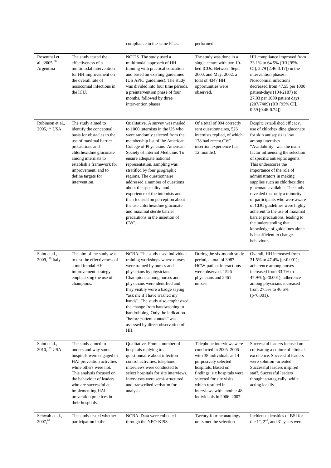|                                                 |                                                                                                                                                                                                                                                                                   | compliance in the same ICUs.                                                                                                                                                                                                                                                                                                                                                                                                                                                                                                                                                                     | performed.                                                                                                                                                                                                                                                                   |                                                                                                                                                                                                                                                                                                                                                                                                                                                                                                                                                                                                                                                             |
|-------------------------------------------------|-----------------------------------------------------------------------------------------------------------------------------------------------------------------------------------------------------------------------------------------------------------------------------------|--------------------------------------------------------------------------------------------------------------------------------------------------------------------------------------------------------------------------------------------------------------------------------------------------------------------------------------------------------------------------------------------------------------------------------------------------------------------------------------------------------------------------------------------------------------------------------------------------|------------------------------------------------------------------------------------------------------------------------------------------------------------------------------------------------------------------------------------------------------------------------------|-------------------------------------------------------------------------------------------------------------------------------------------------------------------------------------------------------------------------------------------------------------------------------------------------------------------------------------------------------------------------------------------------------------------------------------------------------------------------------------------------------------------------------------------------------------------------------------------------------------------------------------------------------------|
| Rosenthal et<br>al., $2005, ^{60}$<br>Argentina | The study tested the<br>effectiveness of a<br>multimodal intervention<br>for HH improvement on<br>the overall rate of<br>nosocomial infections in<br>the ICU.                                                                                                                     | NCITS. The study used a<br>multimodal approach of HH<br>training with practical education<br>and based on existing guidelines<br>(US APIC guidelines). The study<br>was divided into four time periods,<br>a preintervention phase of four<br>months, followed by three<br>intervention phases.                                                                                                                                                                                                                                                                                                  | The study was done in a<br>single centre with two 10-<br>bed ICUs. Between Sept,<br>2000, and May, 2002, a<br>total of 4347 HH<br>opportunities were<br>observed.                                                                                                            | HH compliance improved from<br>23.1% to 64.5% (RR [95%<br>CI], 2.79 [2.46-3.17]) in the<br>intervention phases.<br>Nosocomial infections<br>decreased from 47.55 per 1000<br>patient-days (104/2187) to<br>27.93 per 1000 patient days<br>(207/7409) (RR [95% CI],<br>$0.59$ [0.46-0.74]).                                                                                                                                                                                                                                                                                                                                                                  |
| Rubinson et al.,<br>2005, <sup>102</sup> USA    | The study aimed to<br>identify the conceptual<br>basis for obstacles to the<br>use of maximal barrier<br>precautions and<br>chlorhexidine gluconate<br>among internists to<br>establish a framework for<br>improvement, and to<br>define targets for<br>intervention.             | Qualitative. A survey was mailed<br>to 1000 internists in the US who<br>were randomly selected from the<br>membership list of the American<br>College of Physicians-American<br>Society of Internal Medicine. To<br>ensure adequate national<br>representation, sampling was<br>stratified by four geographic<br>regions. The questionnaire<br>addressed a number of questions<br>about the speciality, and<br>experience of the internists and<br>then focused on perception about<br>the use chlorhexidine gluconate<br>and maximal sterile barrier<br>precautions in the insertion of<br>CVC. | Of a total of 994 correctly<br>sent questionnaires, 526<br>internists replied, of which<br>178 had recent CVC<br>insertion experience (last<br>12 months).                                                                                                                   | Despite established efficacy,<br>use of chlorhexidine gluconate<br>for skin antisepsis is low<br>among internists.<br>"Availability" was the main<br>factor influencing the selection<br>of specific antiseptic agents.<br>This underscores the<br>importance of the role of<br>administrators in making<br>supplies such as chlorhexidine<br>gluconate available. The study<br>revealed that only a minority<br>of participants who were aware<br>of CDC guidelines were highly<br>adherent to the use of maximal<br>barrier precautions, leading to<br>the understanding that<br>knowledge of guidelines alone<br>is insufficient to change<br>behaviour. |
| Saint et al.,<br>2009, <sup>110</sup> Italy     | The aim of the study was<br>to test the effectiveness of<br>a multimodal HH<br>improvement strategy<br>emphasizing the use of<br>champions.                                                                                                                                       | NCBA. The study used individual<br>training workshops where nurses<br>were trained by nurses and<br>physicians by physicians.<br>Champions among nurses and<br>physicians were identified and<br>they visibly wore a badge saying<br>"ask me if I have washed my<br>hands". The study also emphasized<br>the change from handwashing to<br>handrubbing. Only the indication<br>"before patient contact" was<br>assessed by direct observation of<br>HH.                                                                                                                                          | During the six-month study<br>period, a total of 3987<br>HCW-patient interactions<br>were observed, 1526<br>physicians and 2461<br>nurses.                                                                                                                                   | Overall, HH increased from<br>31.5% to 47.4% (p<0.001);<br>adherence among nurses<br>increased from 33.7% to<br>47.9% (p<0.001); adherence<br>among physicians increased<br>from 27.5% to 46.6%<br>$(p<0.001)$ .                                                                                                                                                                                                                                                                                                                                                                                                                                            |
| Saint et al.,<br>2010, 103 USA                  | The study aimed to<br>understand why some<br>hospitals were engaged in<br>HAI prevention activities<br>while others were not.<br>This analysis focused on<br>the behaviour of leaders<br>who are successful at<br>implementing HAI<br>prevention practices in<br>their hospitals. | Qualitative. From a number of<br>hospitals replying to a<br>questionnaire about infection<br>control activities, telephone<br>interviews were conducted to<br>select hospitals for site interviews.<br>Interviews were semi-structured<br>and transcribed verbatim for<br>analysis.                                                                                                                                                                                                                                                                                                              | Telephone interviews were<br>conducted in 2005-2006<br>with 38 individuals at 14<br>purposively selected<br>hospitals. Based on<br>findings, six hospitals were<br>selected for site visits,<br>which resulted in<br>interviews with another 48<br>individuals in 2006-2007. | Successful leaders focused on<br>cultivating a culture of clinical<br>excellence. Successful leaders<br>were solution -oriented.<br>Successful leaders inspired<br>staff. Successful leaders<br>thought strategically, while<br>acting locally.                                                                                                                                                                                                                                                                                                                                                                                                             |
| Schwab et al.,<br>$2007, ^{61}$                 | The study tested whether<br>participation in the                                                                                                                                                                                                                                  | NCBA. Data were collected<br>through the NEO-KISS                                                                                                                                                                                                                                                                                                                                                                                                                                                                                                                                                | Twenty-four neonatology<br>units met the selection                                                                                                                                                                                                                           | Incidence densities of BSI for<br>the 1 <sup>st</sup> , 2 <sup>nd</sup> , and 3 <sup>rd</sup> years were                                                                                                                                                                                                                                                                                                                                                                                                                                                                                                                                                    |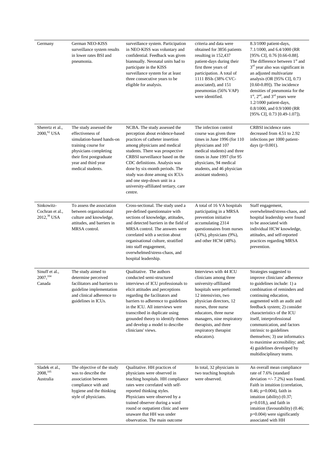| Germany                                                  | German NEO-KISS<br>surveillance system results<br>in lower rates BSI and<br>pneumonia.                                                                                                          | surveillance system. Participation<br>in NEO-KISS was voluntary and<br>confidential. Feedback was given<br>biannually. Neonatal units had to<br>participate in the KISS<br>surveillance system for at least<br>three consecutive years to be<br>eligible for analysis.                                                                                                                         | criteria and data were<br>obtained for 3856 patients<br>resulting in 152,437<br>patient-days during their<br>first three years of<br>participation. A total of<br>1111 BSIs (38% CVC-<br>associated), and 151<br>pneumonias (56% VAP)<br>were identified.                                                 | 8.3/1000 patient-days,<br>7.1/1000, and 6.4/1000 (RR<br>[95% CI], 0.76 [0.66-0.88].<br>The difference between 1 <sup>st</sup> and<br>3 <sup>rd</sup> year also was significant in<br>an adjusted multivariate<br>analysis (OR [95% CI], 0.73<br>$[0.60-0.89]$ ). The incidence<br>densities of pneumonia for the<br>$1st$ , $2nd$ , and $3rd$ years were<br>1.2/1000 patient-days,<br>0.8/1000, and 0.9/1000 (RR<br>[95% CI], 0.73 [0.49-1.07]).                   |
|----------------------------------------------------------|-------------------------------------------------------------------------------------------------------------------------------------------------------------------------------------------------|------------------------------------------------------------------------------------------------------------------------------------------------------------------------------------------------------------------------------------------------------------------------------------------------------------------------------------------------------------------------------------------------|-----------------------------------------------------------------------------------------------------------------------------------------------------------------------------------------------------------------------------------------------------------------------------------------------------------|--------------------------------------------------------------------------------------------------------------------------------------------------------------------------------------------------------------------------------------------------------------------------------------------------------------------------------------------------------------------------------------------------------------------------------------------------------------------|
| Sherertz et al.,<br>2000, <sup>62</sup> USA              | The study assessed the<br>effectiveness of<br>simulation-based hands-on<br>training course for<br>physicians completing<br>their first postgraduate<br>year and third year<br>medical students. | NCBA. The study assessed the<br>perception about evidence-based<br>practices of catheter insertion<br>among physicians and medical<br>students. There was prospective<br>CRBSI surveillance based on the<br>CDC definitions. Analysis was<br>done by six-month periods. The<br>study was done among six ICUs<br>and one step-down unit in a<br>university-affiliated tertiary, care<br>centre. | The infection control<br>course was given three<br>times in June 1996 (for 110<br>physicians and 107<br>medical students) and three<br>times in June 1997 (for 95<br>physicians, 94 medical<br>students, and 46 physician<br>assistant students).                                                         | <b>CRBSI</b> incidence rates<br>decreased from 4.51 to 2.92<br>infections per 1000 patient-<br>days ( $p<0.001$ ).                                                                                                                                                                                                                                                                                                                                                 |
| Sinkowitz-<br>Cochran et al.,<br>2012, <sup>38</sup> USA | To assess the association<br>between organisational<br>culture and knowledge,<br>attitudes, and barriers in<br>MRSA control.                                                                    | Cross-sectional. The study used a<br>pre-defined questionnaire with<br>sections of knowledge, attitudes,<br>and detected barriers in the field of<br>MRSA control. The answers were<br>correlated with a section about<br>organisational culture, stratified<br>into staff engagement,<br>overwhelmed/stress-chaos, and<br>hospital leadership.                                                | A total of 16 VA hospitals<br>participating in a MRSA<br>prevention initiative<br>accumulating 2314<br>questionnaires from nurses<br>(43%), physicians (9%),<br>and other HCW (48%).                                                                                                                      | Staff engagement,<br>overwhelmed/stress-chaos, and<br>hospital leadership were found<br>to be associated with<br>individual HCW knowledge,<br>attitudes, and self-reported<br>practices regarding MRSA<br>prevention.                                                                                                                                                                                                                                              |
| Sinuff et al.,<br>2007,104<br>Canada                     | The study aimed to<br>determine perceived<br>facilitators and barriers to<br>guideline implementation<br>and clinical adherence to<br>guidelines in ICUs.                                       | Qualitative. The authors<br>conducted semi-structured<br>interviews of ICU professionals to<br>elicit attitudes and perceptions<br>regarding the facilitators and<br>barriers to adherence to guidelines<br>in the ICU. All interviews were<br>transcribed in duplicate using<br>grounded theory to identify themes<br>and develop a model to describe<br>clinicians' views.                   | Interviews with 44 ICU<br>clinicians among three<br>university-affiliated<br>hospitals were performed:<br>12 intensivists, two<br>physician directors, 12<br>nurses, three nurse<br>educators, three nurse<br>managers, nine respiratory<br>therapists, and three<br>respiratory therapist<br>educators). | Strategies suggested to<br>improve clinicians' adherence<br>to guidelines include: 1) a<br>combination of reminders and<br>continuing education,<br>augmented with an audit and<br>feedback system; 2) consider<br>characteristics of the ICU<br>itself, interprofessional<br>communication, and factors<br>intrinsic to guidelines<br>themselves; 3) use informatics<br>to maximise accessibility; and;<br>4) guidelines developed by<br>multidisciplinary teams. |
| Sladek et al.,<br>2008,105<br>Australia                  | The objective of the study<br>was to describe the<br>association between<br>compliance with and<br>hygiene and the thinking<br>style of physicians.                                             | Qualitative. HH practices of<br>physicians were observed in<br>teaching hospitals. HH compliance<br>rates were correlated with self-<br>reported thinking styles.<br>Physicians were observed by a<br>trained observer during a ward<br>round or outpatient clinic and were<br>unaware that HH was under<br>observation. The main outcome                                                      | In total, 32 physicians in<br>two teaching hospitals<br>were observed.                                                                                                                                                                                                                                    | An overall mean compliance<br>rate of 7.6% (standard<br>deviation $+/- 7.2\%$ ) was found.<br>Faith in intuition (correlation,<br>$0.46$ ; p=0.004), faith in<br>intuition (ability) (0.37;<br>$p=0.018$ ,), and faith in<br>intuition (favourability) (0.46;<br>$p=0.004$ ) were significantly<br>associated with HH                                                                                                                                              |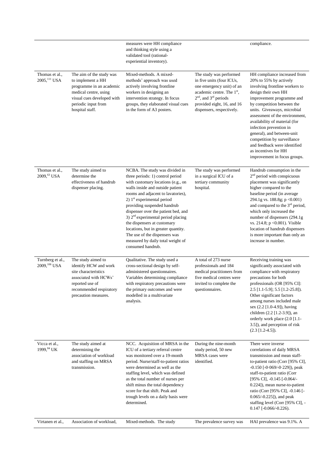|                                           |                                                                                                                                                                            | measures were HH compliance<br>and thinking style using a<br>validated tool (rational-<br>experiential inventory).                                                                                                                                                                                                                                                                                                                                                                                |                                                                                                                                                                                                                     | compliance.                                                                                                                                                                                                                                                                                                                                                                                                                                                  |
|-------------------------------------------|----------------------------------------------------------------------------------------------------------------------------------------------------------------------------|---------------------------------------------------------------------------------------------------------------------------------------------------------------------------------------------------------------------------------------------------------------------------------------------------------------------------------------------------------------------------------------------------------------------------------------------------------------------------------------------------|---------------------------------------------------------------------------------------------------------------------------------------------------------------------------------------------------------------------|--------------------------------------------------------------------------------------------------------------------------------------------------------------------------------------------------------------------------------------------------------------------------------------------------------------------------------------------------------------------------------------------------------------------------------------------------------------|
| Thomas et al<br>2005, <sup>111</sup> USA  | The aim of the study was<br>to implement a HH<br>programme in an academic<br>medical centre, using<br>visual cues developed with<br>periodic input from<br>hospital staff. | Mixed-methods. A mixed-<br>methods' approach was used<br>actively involving frontline<br>workers in designing an<br>intervention strategy. In focus<br>groups, they elaborated visual cues<br>in the form of A3 posters.                                                                                                                                                                                                                                                                          | The study was performed<br>in five units (four ICUs,<br>one emergency unit) of an<br>academic centre. The 1 <sup>st</sup> ,<br>$2nd$ , and $3rd$ periods<br>provided eight, 16, and 16<br>dispensers, respectively. | HH compliance increased from<br>20% to 55% by actively<br>involving frontline workers to<br>design their own HH<br>improvement programme and<br>by competition between the<br>units. Giveaways, microbial<br>assessment of the environment.<br>availability of material (for<br>infection prevention in<br>general), and between-unit<br>competition by surveillance<br>and feedback were identified<br>as incentives for HH<br>improvement in focus groups. |
| Thomas et al.,<br>2009, <sup>63</sup> USA | The study aimed to<br>determine the<br>effectiveness of handrub<br>dispenser placing.                                                                                      | NCBA. The study was divided in<br>three periods: 1) control period<br>with customary locations (e.g., on<br>walls inside and outside patient<br>rooms and adjacent to lavatories),<br>2) $1st$ experimental period<br>providing suspended handrub<br>dispenser over the patient bed, and<br>3) $2nd$ experimental period placing<br>the dispensers at customary<br>locations, but in greater quantity.<br>The use of the dispensers was<br>measured by daily total weight of<br>consumed handrub. | The study was performed<br>in a surgical ICU of a<br>tertiary community<br>hospital.                                                                                                                                | Handrub consumption in the<br>2 <sup>nd</sup> period with conspicuous<br>placement was significantly<br>higher compared to the<br>baseline period (in average<br>294.1g vs. 188.8g; p < 0.001)<br>and compared to the 3 <sup>rd</sup> period,<br>which only increased the<br>number of dispensers (294.1g<br>vs. 214.8; $p < 0.001$ ). Visible<br>location of handrub dispensers<br>is more important than only an<br>increase in number.                    |
| Turnberg et al.,<br>$2009$ , $^{106}$ USA | The study aimed to<br>identify HCW and work<br>site characteristics<br>associated with HCWs'<br>reported use of<br>recommended respiratory<br>precaution measures.         | Qualitative. The study used a<br>cross-sectional design by self-<br>administered questionnaires.<br>Variables determining compliance<br>with respiratory precautions were<br>the primary outcomes and were<br>modelled in a multivariate<br>analysis.                                                                                                                                                                                                                                             | A total of 273 nurse<br>professionals and 184<br>medical practitioners from<br>five medical centres were<br>invited to complete the<br>questionnaires.                                                              | Receiving training was<br>significantly associated with<br>compliance with respiratory<br>precautions for both<br>professionals (OR [95% CI]:<br>2.5 [1.1-5.9]; 5.5 [1.2-25.8]).<br>Other significant factors<br>among nurses included male<br>sex (2.2 [1.0-4.9]), having<br>children (2.2 [1.2-3.9]), an<br>orderly work place (2.0 [1.1-<br>3.5]), and perception of risk<br>$(2.3 [1.2-4.5]).$                                                           |
| Vicca et al<br>1999, 84 UK                | The study aimed at<br>determining the<br>association of workload<br>and staffing on MRSA<br>transmission.                                                                  | NCC. Acquisition of MRSA in the<br>ICU of a tertiary referral centre<br>was monitored over a 19-month<br>period. Nurse/staff-to-patient ratios<br>were determined as well as the<br>staffing level, which was defined<br>as the total number of nurses per<br>shift minus the total dependency<br>score for that shift. Peak and<br>trough levels on a daily basis were<br>determined.                                                                                                            | During the nine-month<br>study period, 50 new<br>MRSA cases were<br>identified.                                                                                                                                     | There were inverse<br>correlations of daily MRSA<br>transmission and mean staff-<br>to-patient ratio (Corr [95% CI],<br>$-0.150$ [ $-0.069/-0.229$ ]), peak<br>staff-to-patient ratio (Corr<br>[95% CI], $-0.145$ [ $-0.064/-$ ]<br>0.224]), mean nurse-to-patient<br>ratio (Corr [95% CI], -0.146 [-<br>$0.065/-0.225$ ]), and peak<br>staffing level (Corr [95% CI], -<br>$0.147$ [-0.066/-0.226).                                                         |
| Virtanen et al.,                          | Association of workload,                                                                                                                                                   | Mixed-methods. The study                                                                                                                                                                                                                                                                                                                                                                                                                                                                          | The prevalence survey was                                                                                                                                                                                           | HAI prevalence was 9.1%. A                                                                                                                                                                                                                                                                                                                                                                                                                                   |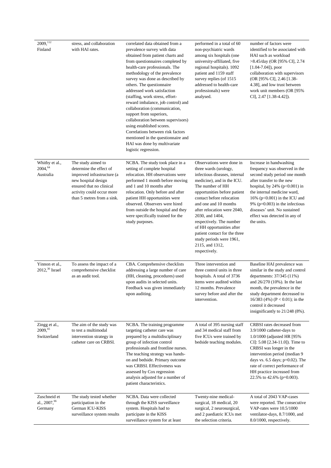| $2009,$ <sup>112</sup><br>Finland            | stress, and collaboration<br>with HAI rates.                                                                                                                                              | correlated data obtained from a<br>prevalence survey with data<br>obtained from patient charts and<br>from questionnaires completed by<br>health-care professionals. The<br>methodology of the prevalence<br>survey was done as described by<br>others. The questionnaire<br>addressed work satisfaction<br>(staffing, work stress, effort-<br>reward imbalance, job control) and<br>collaboration (communication,<br>support from superiors,<br>collaboration between supervisors)<br>using established scores.<br>Correlations between risk factors<br>mentioned in the questionnaire and<br>HAI was done by multivariate<br>logistic regression. | performed in a total of 60<br>non-psychiatric wards<br>among six hospitals (one<br>university-affiliated, five<br>regional hospitals). 1092<br>patient and 1159 staff<br>survey replies (of 1515<br>addressed to health-care<br>professionals) were<br>analysed.                                                                                                                                                                        | number of factors were<br>identified to be associated with<br>HAI such as workload<br>>8.45/day (OR [95% CI], 2.74<br>$[1.04-7.04]$ , poor<br>collaboration with supervisors<br>(OR [95% CI], 2.46 [1.38-<br>4.38], and low trust between<br>work unit members (OR [95%<br>CI], 2.47 [1.38-4.42]).                                                 |
|----------------------------------------------|-------------------------------------------------------------------------------------------------------------------------------------------------------------------------------------------|-----------------------------------------------------------------------------------------------------------------------------------------------------------------------------------------------------------------------------------------------------------------------------------------------------------------------------------------------------------------------------------------------------------------------------------------------------------------------------------------------------------------------------------------------------------------------------------------------------------------------------------------------------|-----------------------------------------------------------------------------------------------------------------------------------------------------------------------------------------------------------------------------------------------------------------------------------------------------------------------------------------------------------------------------------------------------------------------------------------|----------------------------------------------------------------------------------------------------------------------------------------------------------------------------------------------------------------------------------------------------------------------------------------------------------------------------------------------------|
| Whitby et al.,<br>$2004, ^{64}$<br>Australia | The study aimed to<br>determine the effect of<br>improved infrastructure (a<br>new hospital design<br>ensured that no clinical<br>activity could occur more<br>than 5 metres from a sink. | NCBA. The study took place in a<br>setting of complete hospital<br>relocation. HH observations were<br>performed 1 month before moving<br>and 1 and 10 months after<br>relocation. Only before and after<br>patient HH opportunities were<br>observed. Observers were hired<br>from outside the hospital and they<br>were specifically trained for the<br>study purposes.                                                                                                                                                                                                                                                                           | Observations were done in<br>three wards (urology,<br>infectious diseases, internal<br>medicine), and in the ICU.<br>The number of HH<br>opportunities before patient<br>contact before relocation<br>and one and 10 months<br>after relocation were 2040,<br>2030, and 1404,<br>respectively. The number<br>of HH opportunities after<br>patient contact for the three<br>study periods were 1961,<br>2115, and 1312,<br>respectively. | Increase in handwashing<br>frequency was observed in the<br>second study period one month<br>after transfer to the new<br>hospital, by $24\%$ (p<0.001) in<br>the internal medicine ward,<br>16% ( $p<0.001$ ) in the ICU and<br>9% ( $p=0.003$ ) in the infectious<br>diseases' unit. No sustained<br>effect was detected in any of<br>the units. |
| Yinnon et al.,<br>$2012$ , $30$ Israel       | To assess the impact of a<br>comprehensive checklist<br>as an audit tool.                                                                                                                 | CBA. Comprehensive checklists<br>addressing a large number of care<br>(HH, cleaning, procedures) used<br>upon audits in selected units.<br>Feedback was given immediately<br>upon auditing.                                                                                                                                                                                                                                                                                                                                                                                                                                                         | Three intervention and<br>three control units in three<br>hospitals. A total of 3736<br>items were audited within<br>12 months. Prevalence<br>survey before and after the<br>intervention.                                                                                                                                                                                                                                              | Baseline HAI prevalence was<br>similar in the study and control<br>departments: 37/345 (11%)<br>and $26/270$ (10%). In the last<br>month, the prevalence in the<br>study department decreased to<br>16/383 (4%) ( $P < 0.01$ ); in the<br>control it decreased<br>insignificantly to 21/248 (8%).                                                  |
| Zingg et al.,<br>2009, 65<br>Switzerland     | The aim of the study was<br>to test a multimodal<br>intervention strategy in<br>catheter care on CRBSI.                                                                                   | NCBA. The training programme<br>targeting catheter care was<br>prepared by a multidisciplinary<br>group of infection control<br>professionals and frontline nurses.<br>The teaching strategy was hands-<br>on and bedside. Primary outcome<br>was CRBSI. Effectiveness was<br>assessed by Cox regression<br>analysis adjusted for a number of<br>patient characteristics.                                                                                                                                                                                                                                                                           | A total of 395 nursing staff<br>and 34 medical staff from<br>five ICUs were trained by<br>bedside teaching modules.                                                                                                                                                                                                                                                                                                                     | CRBSI rates decreased from<br>3.9/1000 catheter-days to<br>1.0/1000 (adjusted HR [95%<br>CI]: $5.08$ [2.34-11.0]). Time to<br>CRBSI was longer in the<br>intervention period (median 9<br>days vs. 6.5 days; p=0.02). The<br>rate of correct performance of<br>HH practice increased from<br>22.5% to 42.6% ( $p=0.003$ ).                         |
| Zuschneid et<br>al., 2007, 66<br>Germany     | The study tested whether<br>participation in the<br>German ICU-KISS<br>surveillance system results                                                                                        | NCBA. Data were collected<br>through the KISS surveillance<br>system. Hospitals had to<br>participate in the KISS<br>surveillance system for at least                                                                                                                                                                                                                                                                                                                                                                                                                                                                                               | Twenty-nine medical-<br>surgical, 18 medical, 20<br>surgical, 2 neurosurgical,<br>and 2 paediatric ICUs met<br>the selection criteria.                                                                                                                                                                                                                                                                                                  | A total of 2043 VAP-cases<br>were reported. The consecutive<br>VAP-rates were 10.5/1000<br>ventilator-days, 8.7/1000, and<br>8.0/1000, respectively.                                                                                                                                                                                               |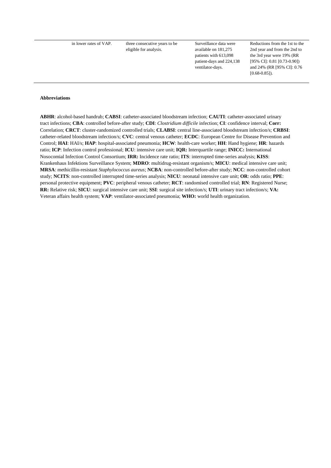| in lower rates of VAP. | three consecutive years to be<br>eligible for analysis. | Surveillance data were<br>available on 181,275<br>patients with 613,098<br>patient-days and 224,138<br>ventilator-days. | Reductions from the 1st to the<br>2nd year and from the 2nd to<br>the 3rd year were 19% (RR)<br>[95% CI]: $0.81$ [0.73-0.90])<br>and 24% (RR [95% CI]: 0.76<br>$[0.68 - 0.85]$ . |
|------------------------|---------------------------------------------------------|-------------------------------------------------------------------------------------------------------------------------|----------------------------------------------------------------------------------------------------------------------------------------------------------------------------------|
|                        |                                                         |                                                                                                                         |                                                                                                                                                                                  |

#### **Abbreviations**

**ABHR**: alcohol-based handrub; **CABSI**: catheter-associated bloodstream infection; **CAUTI**: catheter-associated urinary tract infections; **CBA**: controlled before-after study; **CDI**: *Clostridium difficile* infection; **CI**: confidence interval; **Corr:** Correlation; **CRCT**: cluster-randomized controlled trials; **CLABSI**: central line-associated bloodstream infection/s; **CRBSI**: catheter-related bloodstream infection/s; **CVC**: central venous catheter; **ECDC**: European Centre for Disease Prevention and Control; **HAI**: HAI/s; **HAP**: hospital-associated pneumonia; **HCW**: health-care worker; **HH**: Hand hygiene; **HR**: hazards ratio; **ICP**: Infection control professional; **ICU**: intensive care unit; **IQR:** Interquartile range; **INICC:** International Nosocomial Infection Control Consortium; **IRR:** Incidence rate ratio; **ITS**: interrupted time-series analysis; **KISS**: Krankenhaus Infektions Surveillance System; **MDRO**: multidrug-resistant organism/s; **MICU**: medical intensive care unit; **MRSA**: methicillin-resistant *Staphylococcus aureus*; **NCBA**: non-controlled before-after study; **NCC**: non-controlled cohort study; **NCITS**: non-controlled interrupted time-series analysis; **NICU**: neonatal intensive care unit; **OR**: odds ratio; **PPE**: personal protective equipment; **PVC**: peripheral venous catheter; **RCT**: randomised controlled trial; **RN**: Registered Nurse; **RR:** Relative risk; **SICU**: surgical intensive care unit; **SSI**: surgical site infection/s; **UTI**: urinary tract infection/s; **VA:** Veteran affairs health system; **VAP**: ventilator-associated pneumonia; **WHO:** world health organization.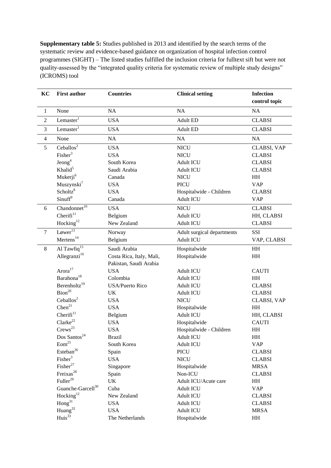**Supplementary table 5:** Studies published in 2013 and identified by the search terms of the systematic review and evidence-based guidance on organization of hospital infection control programmes (SIGHT) – The listed studies fulfilled the inclusion criteria for fulltext sift but were not quality-assessed by the "integrated quality criteria for systematic review of multiple study designs" (ICROMS) tool

| KC             | <b>First author</b>                | <b>Countries</b>         | <b>Clinical setting</b>    | <b>Infection</b> |
|----------------|------------------------------------|--------------------------|----------------------------|------------------|
|                |                                    |                          |                            | control topic    |
| $\mathbf{1}$   | None                               | NA                       | NA                         | NA               |
| $\overline{2}$ | $L$ emaster $1$                    | <b>USA</b>               | <b>Adult ED</b>            | <b>CLABSI</b>    |
| $\mathfrak{Z}$ | Lemaster <sup>1</sup>              | <b>USA</b>               | <b>Adult ED</b>            | <b>CLABSI</b>    |
| $\overline{4}$ | None                               | NA                       | NA                         | <b>NA</b>        |
| 5              | Ceballos <sup>2</sup>              | <b>USA</b>               | <b>NICU</b>                | CLABSI, VAP      |
|                | Fisher <sup>3</sup>                | <b>USA</b>               | <b>NICU</b>                | <b>CLABSI</b>    |
|                | Jeong <sup>4</sup>                 | South Korea              | <b>Adult ICU</b>           | <b>CLABSI</b>    |
|                | Khalid <sup>5</sup>                | Saudi Arabia             | <b>Adult ICU</b>           | <b>CLABSI</b>    |
|                | Mukerji <sup>6</sup>               | Canada                   | <b>NICU</b>                | HH               |
|                | Muszynski <sup>7</sup>             | <b>USA</b>               | <b>PICU</b>                | <b>VAP</b>       |
|                | Scholtz <sup>8</sup>               | <b>USA</b>               | Hospitalwide - Children    | <b>CLABSI</b>    |
|                | Sinuff <sup>9</sup>                | Canada                   | <b>Adult ICU</b>           | <b>VAP</b>       |
| 6              | Chandonnet <sup>10</sup>           | <b>USA</b>               | <b>NICU</b>                | <b>CLABSI</b>    |
|                | Cherifi <sup>11</sup>              | Belgium                  | <b>Adult ICU</b>           | HH, CLABSI       |
|                | Hocking <sup>12</sup>              | New Zealand              | <b>Adult ICU</b>           | <b>CLABSI</b>    |
| $\overline{7}$ | $L\phi \overline{\text{wer}^{13}}$ | Norway                   | Adult surgical departments | SSI              |
|                | Mertens <sup>14</sup>              | Belgium                  | <b>Adult ICU</b>           | VAP, CLABSI      |
| $\,8\,$        | Al Tawfiq $15$                     | Saudi Arabia             | Hospitalwide               | HH               |
|                | Allegranzi <sup>16</sup>           | Costa Rica, Italy, Mali, | Hospitalwide               | HH               |
|                |                                    | Pakistan, Saudi Arabia   |                            |                  |
|                | Arora <sup>17</sup>                | <b>USA</b>               | <b>Adult ICU</b>           | <b>CAUTI</b>     |
|                | Barahona <sup>18</sup>             | Colombia                 | <b>Adult ICU</b>           | HH               |
|                | Berenholtz <sup>19</sup>           | <b>USA/Puerto Rico</b>   | <b>Adult ICU</b>           | <b>CLABSI</b>    |
|                | $\ensuremath{\mathsf{Bion}}^{20}$  | UK                       | <b>Adult ICU</b>           | <b>CLABSI</b>    |
|                | $Ceb$ allos <sup>2</sup>           | <b>USA</b>               | <b>NICU</b>                | CLABSI, VAP      |
|                | Chen <sup>21</sup>                 | <b>USA</b>               | Hospitalwide               | HH               |
|                | Cherifi <sup>11</sup>              | Belgium                  | <b>Adult ICU</b>           | HH, CLABSI       |
|                | Clarke <sup>22</sup>               | <b>USA</b>               | Hospitalwide               | <b>CAUTI</b>     |
|                | $Crews^{23}$                       | <b>USA</b>               | Hospitalwide - Children    | HH               |
|                | Dos Santos <sup>24</sup>           | Brazil                   | <b>Adult ICU</b>           | HH               |
|                | Eom <sup>25</sup>                  | South Korea              | <b>Adult ICU</b>           | <b>VAP</b>       |
|                | Esteban <sup>26</sup>              | Spain                    | <b>PICU</b>                | <b>CLABSI</b>    |
|                | Fisher <sup>3</sup>                | <b>USA</b>               | <b>NICU</b>                | <b>CLABSI</b>    |
|                | Fisher <sup>27</sup>               | Singapore                | Hospitalwide               | <b>MRSA</b>      |
|                | Freixas <sup>28</sup>              | Spain                    | Non-ICU                    | <b>CLABSI</b>    |
|                | Fuller <sup>29</sup>               | UK                       | Adult ICU/Acute care       | HH               |
|                | Guanche-Garcell <sup>30</sup>      | Cuba                     | <b>Adult ICU</b>           | <b>VAP</b>       |
|                | Hocking <sup>12</sup>              | New Zealand              | <b>Adult ICU</b>           | <b>CLABSI</b>    |
|                | $\text{Hong}^{31}$                 | <b>USA</b>               | <b>Adult ICU</b>           | <b>CLABSI</b>    |
|                | Huang <sup>32</sup>                | <b>USA</b>               | <b>Adult ICU</b>           | <b>MRSA</b>      |
|                | Huis <sup>33</sup>                 | The Netherlands          | Hospitalwide               | HH               |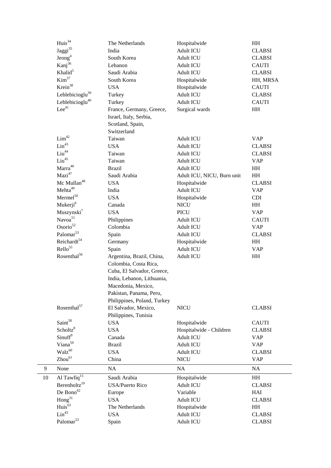|    | Huis <sup>34</sup>          | The Netherlands                                        | Hospitalwide               | HH            |
|----|-----------------------------|--------------------------------------------------------|----------------------------|---------------|
|    | Jaggi <sup>35</sup>         | India                                                  | <b>Adult ICU</b>           | <b>CLABSI</b> |
|    | Jeong <sup>4</sup>          | South Korea                                            | <b>Adult ICU</b>           | <b>CLABSI</b> |
|    | Kanj <sup>36</sup>          | Lebanon                                                | <b>Adult ICU</b>           | <b>CAUTI</b>  |
|    | Khalid <sup>5</sup>         | Saudi Arabia                                           | <b>Adult ICU</b>           | <b>CLABSI</b> |
|    | Kim <sup>37</sup>           | South Korea                                            | Hospitalwide               | HH, MRSA      |
|    | Krein <sup>38</sup>         | <b>USA</b>                                             | Hospitalwide               | <b>CAUTI</b>  |
|    | Leblebicioglu <sup>39</sup> | Turkey                                                 | <b>Adult ICU</b>           | <b>CLABSI</b> |
|    | Leblebicioglu <sup>40</sup> | Turkey                                                 | <b>Adult ICU</b>           | <b>CAUTI</b>  |
|    | $Lee^{41}$                  | France, Germany, Greece,                               | Surgical wards             | HH            |
|    |                             | Israel, Italy, Serbia,                                 |                            |               |
|    |                             | Scotland, Spain,                                       |                            |               |
|    |                             | Switzerland                                            |                            |               |
|    | $\mathrm{Lim}^{42}$         | Taiwan                                                 | <b>Adult ICU</b>           | <b>VAP</b>    |
|    | Lin <sup>43</sup>           | <b>USA</b>                                             | <b>Adult ICU</b>           | <b>CLABSI</b> |
|    | Liu <sup>44</sup>           | Taiwan                                                 | <b>Adult ICU</b>           | <b>CLABSI</b> |
|    | Liu <sup>45</sup>           | Taiwan                                                 | <b>Adult ICU</b>           | <b>VAP</b>    |
|    | $\mbox{Marra}^{46}$         | <b>Brazil</b>                                          | <b>Adult ICU</b>           | HH            |
|    | Mazi <sup>47</sup>          | Saudi Arabia                                           | Adult ICU, NICU, Burn unit | HH            |
|    | Mc Mullan <sup>48</sup>     | <b>USA</b>                                             | Hospitalwide               | <b>CLABSI</b> |
|    | Mehta <sup>49</sup>         | India                                                  | <b>Adult ICU</b>           | <b>VAP</b>    |
|    | Mermel <sup>50</sup>        | <b>USA</b>                                             | Hospitalwide               | <b>CDI</b>    |
|    | Mukerji <sup>6</sup>        | Canada                                                 | <b>NICU</b>                | HH            |
|    | Muszynski <sup>7</sup>      | <b>USA</b>                                             | <b>PICU</b>                | <b>VAP</b>    |
|    | $\mathrm{Navoa}^{51}$       | Philippines                                            | <b>Adult ICU</b>           | <b>CAUTI</b>  |
|    | Osorio $52$                 | Colombia                                               | <b>Adult ICU</b>           | <b>VAP</b>    |
|    | Palomar <sup>53</sup>       |                                                        | <b>Adult ICU</b>           | <b>CLABSI</b> |
|    | Reichardt <sup>54</sup>     | Spain                                                  | Hospitalwide               | HH            |
|    | Rello <sup>55</sup>         | Germany                                                | <b>Adult ICU</b>           | <b>VAP</b>    |
|    | Rosenthal <sup>56</sup>     | Spain                                                  | <b>Adult ICU</b>           |               |
|    |                             | Argentina, Brazil, China,<br>Colombia, Costa Rica,     |                            | HH            |
|    |                             | Cuba, El Salvador, Greece,                             |                            |               |
|    |                             | India, Lebanon, Lithuania,                             |                            |               |
|    |                             |                                                        |                            |               |
|    |                             | Macedonia, Mexico,                                     |                            |               |
|    |                             | Pakistan, Panama, Peru,<br>Philippines, Poland, Turkey |                            |               |
|    | Rosenthal <sup>57</sup>     |                                                        |                            | <b>CLABSI</b> |
|    |                             | El Salvador, Mexico,<br>Philippines, Tunisia           | <b>NICU</b>                |               |
|    | Saint <sup>58</sup>         | <b>USA</b>                                             | Hospitalwide               | <b>CAUTI</b>  |
|    | Scholtz <sup>8</sup>        | <b>USA</b>                                             | Hospitalwide - Children    | <b>CLABSI</b> |
|    | Sinuff <sup>9</sup>         | Canada                                                 | <b>Adult ICU</b>           | <b>VAP</b>    |
|    | Viana <sup>59</sup>         | <b>Brazil</b>                                          | <b>Adult ICU</b>           | <b>VAP</b>    |
|    | $\mathrm{Walz}^{60}$        | <b>USA</b>                                             | <b>Adult ICU</b>           | <b>CLABSI</b> |
|    | Zhou <sup>61</sup>          | China                                                  | <b>NICU</b>                | <b>VAP</b>    |
|    |                             |                                                        |                            |               |
| 9  | None                        | $\rm NA$                                               | NA                         | NA            |
| 10 | Al Tawfiq <sup>15</sup>     | Saudi Arabia                                           | Hospitalwide               | HH            |
|    | Berenholtz $^{19}$          | <b>USA/Puerto Rico</b>                                 | <b>Adult ICU</b>           | <b>CLABSI</b> |
|    | De Bono $62$                | Europe                                                 | Variable                   | HAI           |
|    | Hong <sup>31</sup>          | <b>USA</b>                                             | <b>Adult ICU</b>           | <b>CLABSI</b> |
|    | $Huis^{63}$                 | The Netherlands                                        | Hospitalwide               | HH            |
|    | Lin <sup>43</sup>           | <b>USA</b>                                             | <b>Adult ICU</b>           | <b>CLABSI</b> |
|    | Palomar <sup>53</sup>       | Spain                                                  | <b>Adult ICU</b>           | <b>CLABSI</b> |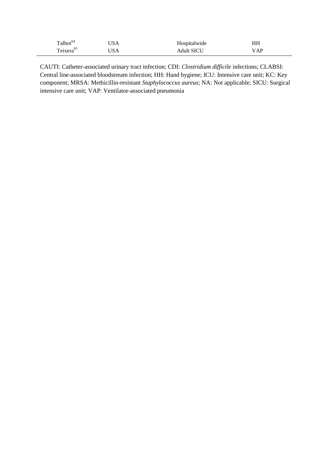| Talbot <sup>64</sup>  | USA  | Hospitalwide      | ΗH  |
|-----------------------|------|-------------------|-----|
| Teixera <sup>65</sup> | 'JSA | <b>Adult SICU</b> | VAP |

CAUTI: Catheter-associated urinary tract infection; CDI: *Clostridium difficile* infections; CLABSI: Central line-associated bloodstream infection; HH: Hand hygiene; ICU: Intensive care unit; KC: Key component; MRSA: Methicillin-resistant *Staphylococcus aureus*; NA: Not applicable; SICU: Surgical intensive care unit; VAP: Ventilator-associated pneumonia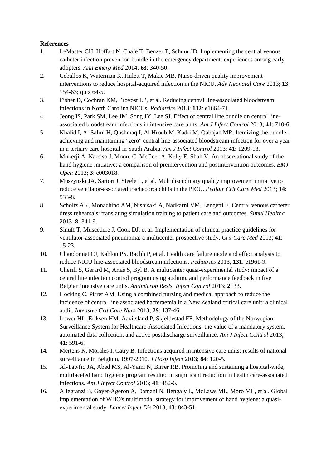# **References**

- <span id="page-61-2"></span>1. LeMaster CH, Hoffart N, Chafe T, Benzer T, Schuur JD. Implementing the central venous catheter infection prevention bundle in the emergency department: experiences among early adopters. *Ann Emerg Med* 2014; **63**: 340-50.
- <span id="page-61-3"></span>2. Ceballos K, Waterman K, Hulett T, Makic MB. Nurse-driven quality improvement interventions to reduce hospital-acquired infection in the NICU. *Adv Neonatal Care* 2013; **13**: 154-63; quiz 64-5.
- <span id="page-61-4"></span>3. Fisher D, Cochran KM, Provost LP, et al. Reducing central line-associated bloodstream infections in North Carolina NICUs. *Pediatrics* 2013; **132**: e1664-71.
- <span id="page-61-5"></span>4. Jeong IS, Park SM, Lee JM, Song JY, Lee SJ. Effect of central line bundle on central lineassociated bloodstream infections in intensive care units. *Am J Infect Control* 2013; **41**: 710-6.
- <span id="page-61-6"></span>5. Khalid I, Al Salmi H, Qushmaq I, Al Hroub M, Kadri M, Qabajah MR. Itemizing the bundle: achieving and maintaining "zero" central line-associated bloodstream infection for over a year in a tertiary care hospital in Saudi Arabia. *Am J Infect Control* 2013; **41**: 1209-13.
- <span id="page-61-7"></span>6. Mukerji A, Narciso J, Moore C, McGeer A, Kelly E, Shah V. An observational study of the hand hygiene initiative: a comparison of preintervention and postintervention outcomes. *BMJ Open* 2013; **3**: e003018.
- <span id="page-61-8"></span>7. Muszynski JA, Sartori J, Steele L, et al. Multidisciplinary quality improvement initiative to reduce ventilator-associated tracheobronchitis in the PICU. *Pediatr Crit Care Med* 2013; **14**: 533-8.
- <span id="page-61-9"></span>8. Scholtz AK, Monachino AM, Nishisaki A, Nadkarni VM, Lengetti E. Central venous catheter dress rehearsals: translating simulation training to patient care and outcomes. *Simul Healthc*  2013; **8**: 341-9.
- <span id="page-61-10"></span>9. Sinuff T, Muscedere J, Cook DJ, et al. Implementation of clinical practice guidelines for ventilator-associated pneumonia: a multicenter prospective study. *Crit Care Med* 2013; **41**: 15-23.
- <span id="page-61-11"></span>10. Chandonnet CJ, Kahlon PS, Rachh P, et al. Health care failure mode and effect analysis to reduce NICU line-associated bloodstream infections. *Pediatrics* 2013; **131**: e1961-9.
- <span id="page-61-12"></span>11. Cherifi S, Gerard M, Arias S, Byl B. A multicenter quasi-experimental study: impact of a central line infection control program using auditing and performance feedback in five Belgian intensive care units. *Antimicrob Resist Infect Control* 2013; **2**: 33.
- <span id="page-61-13"></span>12. Hocking C, Pirret AM. Using a combined nursing and medical approach to reduce the incidence of central line associated bacteraemia in a New Zealand critical care unit: a clinical audit. *Intensive Crit Care Nurs* 2013; **29**: 137-46.
- <span id="page-61-14"></span>13. Lower HL, Eriksen HM, Aavitsland P, Skjeldestad FE. Methodology of the Norwegian Surveillance System for Healthcare-Associated Infections: the value of a mandatory system, automated data collection, and active postdischarge surveillance. *Am J Infect Control* 2013; **41**: 591-6.
- <span id="page-61-15"></span>14. Mertens K, Morales I, Catry B. Infections acquired in intensive care units: results of national surveillance in Belgium, 1997-2010. *J Hosp Infect* 2013; **84**: 120-5.
- <span id="page-61-0"></span>15. Al-Tawfiq JA, Abed MS, Al-Yami N, Birrer RB. Promoting and sustaining a hospital-wide, multifaceted hand hygiene program resulted in significant reduction in health care-associated infections. *Am J Infect Control* 2013; **41**: 482-6.
- <span id="page-61-1"></span>16. Allegranzi B, Gayet-Ageron A, Damani N, Bengaly L, McLaws ML, Moro ML, et al. Global implementation of WHO's multimodal strategy for improvement of hand hygiene: a quasiexperimental study. *Lancet Infect Dis* 2013; **13**: 843-51.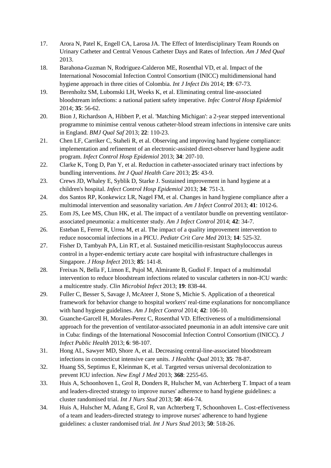- <span id="page-62-7"></span>17. Arora N, Patel K, Engell CA, Larosa JA. The Effect of Interdisciplinary Team Rounds on Urinary Catheter and Central Venous Catheter Days and Rates of Infection. *Am J Med Qual* 2013.
- <span id="page-62-12"></span>18. Barahona-Guzman N, Rodriguez-Calderon ME, Rosenthal VD, et al. Impact of the International Nosocomial Infection Control Consortium (INICC) multidimensional hand hygiene approach in three cities of Colombia. *Int J Infect Dis* 2014; **19**: 67-73.
- <span id="page-62-13"></span>19. Berenholtz SM, Lubomski LH, Weeks K, et al. Eliminating central line-associated bloodstream infections: a national patient safety imperative. *Infec Control Hosp Epidemiol*  2014; **35**: 56-62.
- <span id="page-62-14"></span>20. Bion J, Richardson A, Hibbert P, et al. 'Matching Michigan': a 2-year stepped interventional programme to minimise central venous catheter-blood stream infections in intensive care units in England. *BMJ Qual Saf* 2013; **22**: 110-23.
- <span id="page-62-15"></span>21. Chen LF, Carriker C, Staheli R, et al. Observing and improving hand hygiene compliance: implementation and refinement of an electronic-assisted direct-observer hand hygiene audit program. *Infect Control Hosp Epidemiol* 2013; **34**: 207-10.
- <span id="page-62-16"></span>22. Clarke K, Tong D, Pan Y, et al. Reduction in catheter-associated urinary tract infections by bundling interventions. *Int J Qual Health Care* 2013; **25**: 43-9.
- <span id="page-62-17"></span>23. Crews JD, Whaley E, Syblik D, Starke J. Sustained improvement in hand hygiene at a children's hospital. *Infect Control Hosp Epidemiol* 2013; **34**: 751-3.
- <span id="page-62-2"></span>24. dos Santos RP, Konkewicz LR, Nagel FM, et al. Changes in hand hygiene compliance after a multimodal intervention and seasonality variation. *Am J Infect Control* 2013; **41**: 1012-6.
- <span id="page-62-4"></span>25. Eom JS, Lee MS, Chun HK, et al. The impact of a ventilator bundle on preventing ventilatorassociated pneumonia: a multicenter study. *Am J Infect Control* 2014; **42**: 34-7.
- <span id="page-62-6"></span>26. Esteban E, Ferrer R, Urrea M, et al. The impact of a quality improvement intervention to reduce nosocomial infections in a PICU. *Pediatr Crit Care Med* 2013; **14**: 525-32.
- <span id="page-62-1"></span>27. Fisher D, Tambyah PA, Lin RT, et al. Sustained meticillin-resistant Staphylococcus aureus control in a hyper-endemic tertiary acute care hospital with infrastructure challenges in Singapore. *J Hosp Infect* 2013; **85**: 141-8.
- <span id="page-62-8"></span>28. Freixas N, Bella F, Limon E, Pujol M, Almirante B, Gudiol F. Impact of a multimodal intervention to reduce bloodstream infections related to vascular catheters in non-ICU wards: a multicentre study. *Clin Microbiol Infect* 2013; **19**: 838-44.
- <span id="page-62-10"></span>29. Fuller C, Besser S, Savage J, McAteer J, Stone S, Michie S. Application of a theoretical framework for behavior change to hospital workers' real-time explanations for noncompliance with hand hygiene guidelines. *Am J Infect Control* 2014; **42**: 106-10.
- <span id="page-62-11"></span>30. Guanche-Garcell H, Morales-Perez C, Rosenthal VD. Effectiveness of a multidimensional approach for the prevention of ventilator-associated pneumonia in an adult intensive care unit in Cuba: findings of the International Nosocomial Infection Control Consortium (INICC). *J Infect Public Health* 2013; **6**: 98-107.
- <span id="page-62-0"></span>31. Hong AL, Sawyer MD, Shore A, et al. Decreasing central-line-associated bloodstream infections in connecticut intensive care units. *J Healthc Qual* 2013; **35**: 78-87.
- <span id="page-62-3"></span>32. Huang SS, Septimus E, Kleinman K, et al. Targeted versus universal decolonization to prevent ICU infection. *New Engl J Med* 2013; **368**: 2255-65.
- <span id="page-62-5"></span>33. Huis A, Schoonhoven L, Grol R, Donders R, Hulscher M, van Achterberg T. Impact of a team and leaders-directed strategy to improve nurses' adherence to hand hygiene guidelines: a cluster randomised trial. *Int J Nurs Stud* 2013; **50**: 464-74.
- <span id="page-62-9"></span>34. Huis A, Hulscher M, Adang E, Grol R, van Achterberg T, Schoonhoven L. Cost-effectiveness of a team and leaders-directed strategy to improve nurses' adherence to hand hygiene guidelines: a cluster randomised trial. *Int J Nurs Stud* 2013; **50**: 518-26.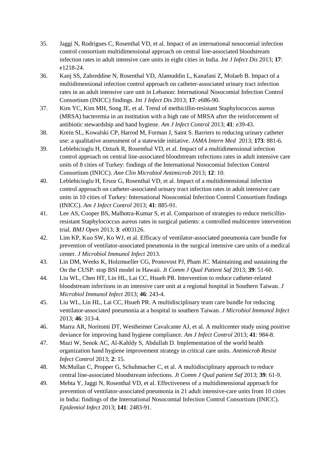- <span id="page-63-12"></span>35. Jaggi N, Rodrigues C, Rosenthal VD, et al. Impact of an international nosocomial infection control consortium multidimensional approach on central line-associated bloodstream infection rates in adult intensive care units in eight cities in India. *Int J Infect Dis* 2013; **17**: e1218-24.
- <span id="page-63-13"></span>36. Kanj SS, Zahreddine N, Rosenthal VD, Alamuddin L, Kanafani Z, Molaeb B. Impact of a multidimensional infection control approach on catheter-associated urinary tract infection rates in an adult intensive care unit in Lebanon: International Nosocomial Infection Control Consortium (INICC) findings. *Int J Infect Dis* 2013; **17**: e686-90.
- <span id="page-63-11"></span>37. Kim YC, Kim MH, Song JE, et al. Trend of methicillin-resistant Staphylococcus aureus (MRSA) bacteremia in an institution with a high rate of MRSA after the reinforcement of antibiotic stewardship and hand hygiene. *Am J Infect Control* 2013; **41**: e39-43.
- <span id="page-63-14"></span>38. Krein SL, Kowalski CP, Harrod M, Forman J, Saint S. Barriers to reducing urinary catheter use: a qualitative assessment of a statewide initiative. *JAMA Intern Med* 2013; **173**: 881-6.
- <span id="page-63-0"></span>39. Leblebicioglu H, Ozturk R, Rosenthal VD, et al. Impact of a multidimensional infection control approach on central line-associated bloodstream infections rates in adult intensive care units of 8 cities of Turkey: findings of the International Nosocomial Infection Control Consortium (INICC). *Ann Clin Microbiol Antimicrob* 2013; **12**: 10.
- <span id="page-63-1"></span>40. Leblebicioglu H, Ersoz G, Rosenthal VD, et al. Impact of a multidimensional infection control approach on catheter-associated urinary tract infection rates in adult intensive care units in 10 cities of Turkey: International Nosocomial Infection Control Consortium findings (INICC). *Am J Infect Control* 2013; **41**: 885-91.
- <span id="page-63-2"></span>41. Lee AS, Cooper BS, Malhotra-Kumar S, et al. Comparison of strategies to reduce meticillinresistant Staphylococcus aureus rates in surgical patients: a controlled multicentre intervention trial. *BMJ Open* 2013; **3**: e003126.
- <span id="page-63-3"></span>42. Lim KP, Kuo SW, Ko WJ, et al. Efficacy of ventilator-associated pneumonia care bundle for prevention of ventilator-associated pneumonia in the surgical intensive care units of a medical center. *J Microbiol Immunol Infect* 2013.
- <span id="page-63-4"></span>43. Lin DM, Weeks K, Holzmueller CG, Pronovost PJ, Pham JC. Maintaining and sustaining the On the CUSP: stop BSI model in Hawaii. *Jt Comm J Qual Patient Saf* 2013; **39**: 51-60.
- <span id="page-63-5"></span>44. Liu WL, Chen HT, Lin HL, Lai CC, Hsueh PR. Intervention to reduce catheter-related bloodstream infections in an intensive care unit at a regional hospital in Southern Taiwan. *J Microbiol Immunol Infect* 2013; **46**: 243-4.
- <span id="page-63-6"></span>45. Liu WL, Lin HL, Lai CC, Hsueh PR. A multidisciplinary team care bundle for reducing ventilator-associated pneumonia at a hospital in southern Taiwan. *J Microbiol Immunol Infect*  2013; **46**: 313-4.
- <span id="page-63-7"></span>46. Marra AR, Noritomi DT, Westheimer Cavalcante AJ, et al. A multicenter study using positive deviance for improving hand hygiene compliance. *Am J Infect Control* 2013; **41**: 984-8.
- <span id="page-63-8"></span>47. Mazi W, Senok AC, Al-Kahldy S, Abdullah D. Implementation of the world health organization hand hygiene improvement strategy in critical care units. *Antimicrob Resist Infect Control* 2013; **2**: 15.
- <span id="page-63-9"></span>48. McMullan C, Propper G, Schuhmacher C, et al. A multidisciplinary approach to reduce central line-associated bloodstream infections. *Jt Comm J Qual patient Saf* 2013; **39**: 61-9.
- <span id="page-63-10"></span>49. Mehta Y, Jaggi N, Rosenthal VD, et al. Effectiveness of a multidimensional approach for prevention of ventilator-associated pneumonia in 21 adult intensive-care units from 10 cities in India: findings of the International Nosocomial Infection Control Consortium (INICC). *Epidemiol Infect* 2013; **141**: 2483-91.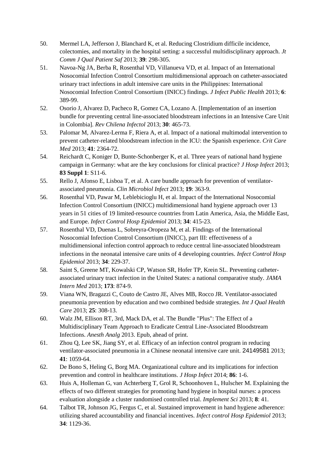- <span id="page-64-0"></span>50. Mermel LA, Jefferson J, Blanchard K, et al. Reducing Clostridium difficile incidence, colectomies, and mortality in the hospital setting: a successful multidisciplinary approach. *Jt Comm J Qual Patient Saf* 2013; **39**: 298-305.
- <span id="page-64-1"></span>51. Navoa-Ng JA, Berba R, Rosenthal VD, Villanueva VD, et al. Impact of an International Nosocomial Infection Control Consortium multidimensional approach on catheter-associated urinary tract infections in adult intensive care units in the Philippines: International Nosocomial Infection Control Consortium (INICC) findings. *J Infect Public Health* 2013; **6**: 389-99.
- <span id="page-64-2"></span>52. Osorio J, Alvarez D, Pacheco R, Gomez CA, Lozano A. [Implementation of an insertion bundle for preventing central line-associated bloodstream infections in an Intensive Care Unit in Colombia]. *Rev Chilena Infectol* 2013; **30**: 465-73.
- <span id="page-64-3"></span>53. Palomar M, Alvarez-Lerma F, Riera A, et al. Impact of a national multimodal intervention to prevent catheter-related bloodstream infection in the ICU: the Spanish experience. *Crit Care Med* 2013; **41**: 2364-72.
- <span id="page-64-4"></span>54. Reichardt C, Koniger D, Bunte-Schonberger K, et al. Three years of national hand hygiene campaign in Germany: what are the key conclusions for clinical practice? *J Hosp Infect* 2013; **83 Suppl 1**: S11-6.
- <span id="page-64-5"></span>55. Rello J, Afonso E, Lisboa T, et al. A care bundle approach for prevention of ventilatorassociated pneumonia. *Clin Microbiol Infect* 2013; **19**: 363-9.
- <span id="page-64-6"></span>56. Rosenthal VD, Pawar M, Leblebicioglu H, et al. Impact of the International Nosocomial Infection Control Consortium (INICC) multidimensional hand hygiene approach over 13 years in 51 cities of 19 limited-resource countries from Latin America, Asia, the Middle East, and Europe. *Infect Control Hosp Epidemiol* 2013; **34**: 415-23.
- <span id="page-64-7"></span>57. Rosenthal VD, Duenas L, Sobreyra-Oropeza M, et al. Findings of the International Nosocomial Infection Control Consortium (INICC), part III: effectiveness of a multidimensional infection control approach to reduce central line-associated bloodstream infections in the neonatal intensive care units of 4 developing countries. *Infect Control Hosp Epidemiol* 2013; **34**: 229-37.
- <span id="page-64-8"></span>58. Saint S, Greene MT, Kowalski CP, Watson SR, Hofer TP, Krein SL. Preventing catheterassociated urinary tract infection in the United States: a national comparative study. *JAMA Intern Med* 2013; **173**: 874-9.
- <span id="page-64-9"></span>59. Viana WN, Bragazzi C, Couto de Castro JE, Alves MB, Rocco JR. Ventilator-associated pneumonia prevention by education and two combined bedside strategies. *Int J Qual Health Care* 2013; **25**: 308-13.
- <span id="page-64-10"></span>60. Walz JM, Ellison RT, 3rd, Mack DA, et al. The Bundle "Plus": The Effect of a Multidisciplinary Team Approach to Eradicate Central Line-Associated Bloodstream Infections. *Anesth Analg* 2013. Epub, ahead of print.
- <span id="page-64-11"></span>61. Zhou Q, Lee SK, Jiang SY, et al. Efficacy of an infection control program in reducing ventilator-associated pneumonia in a Chinese neonatal intensive care unit. 24149581 2013; **41**: 1059-64.
- <span id="page-64-12"></span>62. De Bono S, Heling G, Borg MA. Organizational culture and its implications for infection prevention and control in healthcare institutions. *J Hosp Infect* 2014; **86**: 1-6.
- <span id="page-64-13"></span>63. Huis A, Holleman G, van Achterberg T, Grol R, Schoonhoven L, Hulscher M. Explaining the effects of two different strategies for promoting hand hygiene in hospital nurses: a process evaluation alongside a cluster randomised controlled trial. *Implement Sci* 2013; **8**: 41.
- <span id="page-64-14"></span>64. Talbot TR, Johnson JG, Fergus C, et al. Sustained improvement in hand hygiene adherence: utilizing shared accountability and financial incentives. *Infect control Hosp Epidemiol* 2013; **34**: 1129-36.